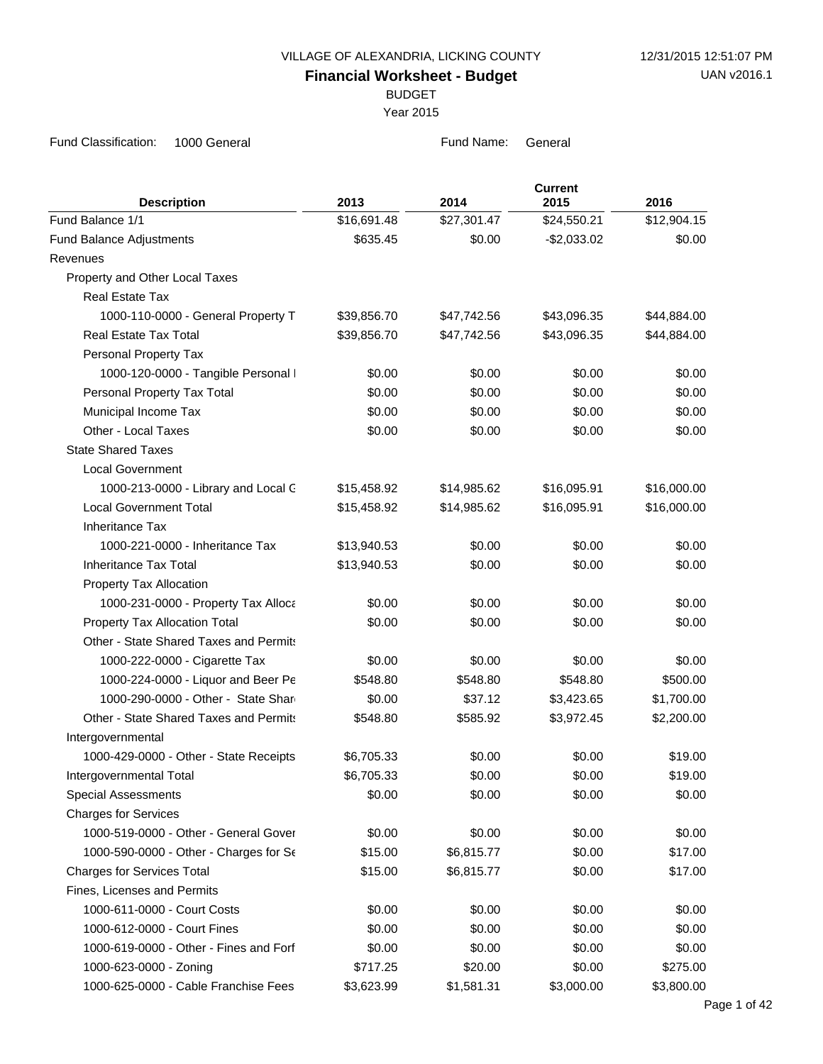VILLAGE OF ALEXANDRIA, LICKING COUNTY 12/31/2015 12:51:07 PM

**Financial Worksheet - Budget**

BUDGET

Year 2015

| <b>Description</b>                     | 2013        | 2014        | <b>Current</b><br>2015 | 2016        |
|----------------------------------------|-------------|-------------|------------------------|-------------|
| Fund Balance 1/1                       | \$16,691.48 | \$27,301.47 | \$24,550.21            | \$12,904.15 |
| Fund Balance Adjustments               | \$635.45    | \$0.00      | $-$2,033.02$           | \$0.00      |
| Revenues                               |             |             |                        |             |
| Property and Other Local Taxes         |             |             |                        |             |
| <b>Real Estate Tax</b>                 |             |             |                        |             |
| 1000-110-0000 - General Property T     | \$39,856.70 | \$47,742.56 | \$43,096.35            | \$44,884.00 |
| Real Estate Tax Total                  | \$39,856.70 | \$47,742.56 | \$43,096.35            | \$44,884.00 |
| Personal Property Tax                  |             |             |                        |             |
| 1000-120-0000 - Tangible Personal I    | \$0.00      | \$0.00      | \$0.00                 | \$0.00      |
| Personal Property Tax Total            | \$0.00      | \$0.00      | \$0.00                 | \$0.00      |
| Municipal Income Tax                   | \$0.00      | \$0.00      | \$0.00                 | \$0.00      |
| Other - Local Taxes                    | \$0.00      | \$0.00      | \$0.00                 | \$0.00      |
| <b>State Shared Taxes</b>              |             |             |                        |             |
| <b>Local Government</b>                |             |             |                        |             |
| 1000-213-0000 - Library and Local C    | \$15,458.92 | \$14,985.62 | \$16,095.91            | \$16,000.00 |
| <b>Local Government Total</b>          | \$15,458.92 | \$14,985.62 | \$16,095.91            | \$16,000.00 |
| <b>Inheritance Tax</b>                 |             |             |                        |             |
| 1000-221-0000 - Inheritance Tax        | \$13,940.53 | \$0.00      | \$0.00                 | \$0.00      |
| Inheritance Tax Total                  | \$13,940.53 | \$0.00      | \$0.00                 | \$0.00      |
| Property Tax Allocation                |             |             |                        |             |
| 1000-231-0000 - Property Tax Alloca    | \$0.00      | \$0.00      | \$0.00                 | \$0.00      |
| Property Tax Allocation Total          | \$0.00      | \$0.00      | \$0.00                 | \$0.00      |
| Other - State Shared Taxes and Permits |             |             |                        |             |
| 1000-222-0000 - Cigarette Tax          | \$0.00      | \$0.00      | \$0.00                 | \$0.00      |
| 1000-224-0000 - Liquor and Beer Pe     | \$548.80    | \$548.80    | \$548.80               | \$500.00    |
| 1000-290-0000 - Other - State Share    | \$0.00      | \$37.12     | \$3,423.65             | \$1,700.00  |
| Other - State Shared Taxes and Permits | \$548.80    | \$585.92    | \$3,972.45             | \$2,200.00  |
| Intergovernmental                      |             |             |                        |             |
| 1000-429-0000 - Other - State Receipts | \$6,705.33  | \$0.00      | \$0.00                 | \$19.00     |
| Intergovernmental Total                | \$6,705.33  | \$0.00      | \$0.00                 | \$19.00     |
| <b>Special Assessments</b>             | \$0.00      | \$0.00      | \$0.00                 | \$0.00      |
| <b>Charges for Services</b>            |             |             |                        |             |
| 1000-519-0000 - Other - General Gover  | \$0.00      | \$0.00      | \$0.00                 | \$0.00      |
| 1000-590-0000 - Other - Charges for Se | \$15.00     | \$6,815.77  | \$0.00                 | \$17.00     |
| <b>Charges for Services Total</b>      | \$15.00     | \$6,815.77  | \$0.00                 | \$17.00     |
| Fines, Licenses and Permits            |             |             |                        |             |
| 1000-611-0000 - Court Costs            | \$0.00      | \$0.00      | \$0.00                 | \$0.00      |
| 1000-612-0000 - Court Fines            | \$0.00      | \$0.00      | \$0.00                 | \$0.00      |
| 1000-619-0000 - Other - Fines and Forf | \$0.00      | \$0.00      | \$0.00                 | \$0.00      |
| 1000-623-0000 - Zoning                 | \$717.25    | \$20.00     | \$0.00                 | \$275.00    |
| 1000-625-0000 - Cable Franchise Fees   | \$3,623.99  | \$1,581.31  | \$3,000.00             | \$3,800.00  |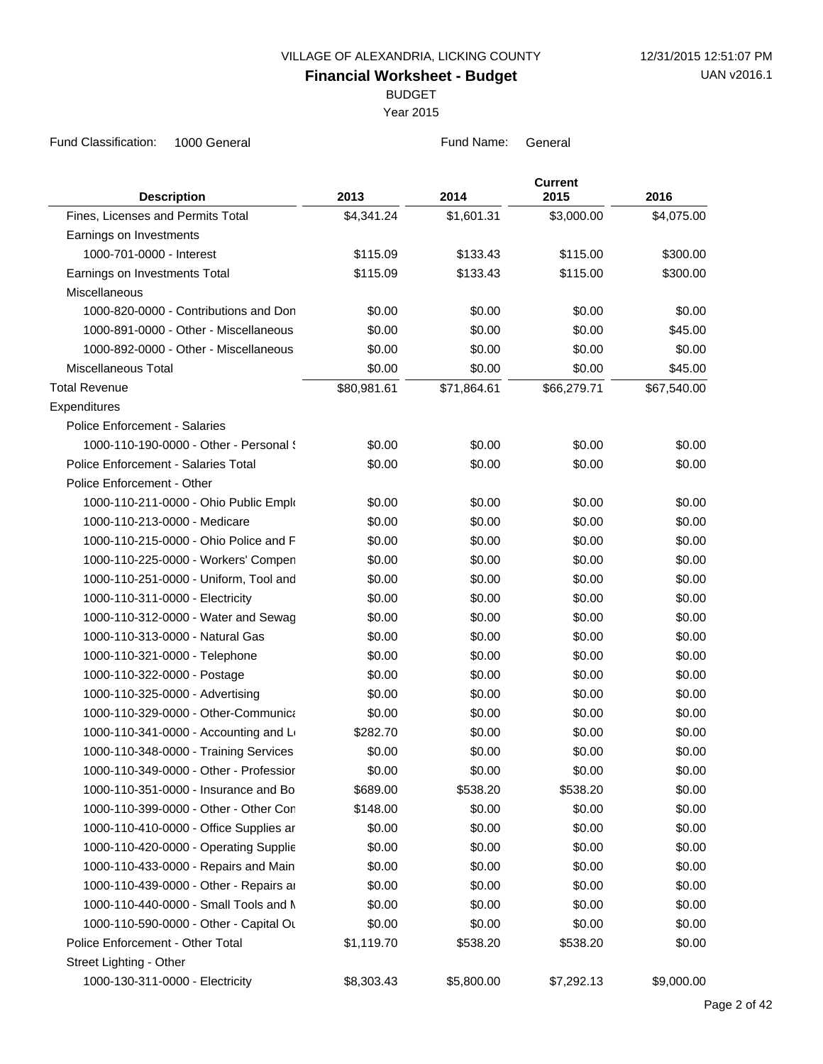BUDGET

Year 2015

| <b>Description</b>                     | 2013        | 2014        | <b>Current</b><br>2015 | 2016        |
|----------------------------------------|-------------|-------------|------------------------|-------------|
| Fines, Licenses and Permits Total      | \$4,341.24  | \$1,601.31  | \$3,000.00             | \$4,075.00  |
| Earnings on Investments                |             |             |                        |             |
| 1000-701-0000 - Interest               | \$115.09    | \$133.43    | \$115.00               | \$300.00    |
| Earnings on Investments Total          | \$115.09    | \$133.43    | \$115.00               | \$300.00    |
| Miscellaneous                          |             |             |                        |             |
| 1000-820-0000 - Contributions and Don  | \$0.00      | \$0.00      | \$0.00                 | \$0.00      |
| 1000-891-0000 - Other - Miscellaneous  | \$0.00      | \$0.00      | \$0.00                 | \$45.00     |
| 1000-892-0000 - Other - Miscellaneous  | \$0.00      | \$0.00      | \$0.00                 | \$0.00      |
| Miscellaneous Total                    | \$0.00      | \$0.00      | \$0.00                 | \$45.00     |
| <b>Total Revenue</b>                   | \$80,981.61 | \$71,864.61 | \$66,279.71            | \$67,540.00 |
| Expenditures                           |             |             |                        |             |
| <b>Police Enforcement - Salaries</b>   |             |             |                        |             |
| 1000-110-190-0000 - Other - Personal { | \$0.00      | \$0.00      | \$0.00                 | \$0.00      |
| Police Enforcement - Salaries Total    | \$0.00      | \$0.00      | \$0.00                 | \$0.00      |
| Police Enforcement - Other             |             |             |                        |             |
| 1000-110-211-0000 - Ohio Public Emplo  | \$0.00      | \$0.00      | \$0.00                 | \$0.00      |
| 1000-110-213-0000 - Medicare           | \$0.00      | \$0.00      | \$0.00                 | \$0.00      |
| 1000-110-215-0000 - Ohio Police and F  | \$0.00      | \$0.00      | \$0.00                 | \$0.00      |
| 1000-110-225-0000 - Workers' Compen    | \$0.00      | \$0.00      | \$0.00                 | \$0.00      |
| 1000-110-251-0000 - Uniform, Tool and  | \$0.00      | \$0.00      | \$0.00                 | \$0.00      |
| 1000-110-311-0000 - Electricity        | \$0.00      | \$0.00      | \$0.00                 | \$0.00      |
| 1000-110-312-0000 - Water and Sewag    | \$0.00      | \$0.00      | \$0.00                 | \$0.00      |
| 1000-110-313-0000 - Natural Gas        | \$0.00      | \$0.00      | \$0.00                 | \$0.00      |
| 1000-110-321-0000 - Telephone          | \$0.00      | \$0.00      | \$0.00                 | \$0.00      |
| 1000-110-322-0000 - Postage            | \$0.00      | \$0.00      | \$0.00                 | \$0.00      |
| 1000-110-325-0000 - Advertising        | \$0.00      | \$0.00      | \$0.00                 | \$0.00      |
| 1000-110-329-0000 - Other-Communica    | \$0.00      | \$0.00      | \$0.00                 | \$0.00      |
| 1000-110-341-0000 - Accounting and Lo  | \$282.70    | \$0.00      | \$0.00                 | \$0.00      |
| 1000-110-348-0000 - Training Services  | \$0.00      | \$0.00      | \$0.00                 | \$0.00      |
| 1000-110-349-0000 - Other - Professior | \$0.00      | \$0.00      | \$0.00                 | \$0.00      |
| 1000-110-351-0000 - Insurance and Bo   | \$689.00    | \$538.20    | \$538.20               | \$0.00      |
| 1000-110-399-0000 - Other - Other Con  | \$148.00    | \$0.00      | \$0.00                 | \$0.00      |
| 1000-110-410-0000 - Office Supplies ar | \$0.00      | \$0.00      | \$0.00                 | \$0.00      |
| 1000-110-420-0000 - Operating Supplie  | \$0.00      | \$0.00      | \$0.00                 | \$0.00      |
| 1000-110-433-0000 - Repairs and Main   | \$0.00      | \$0.00      | \$0.00                 | \$0.00      |
| 1000-110-439-0000 - Other - Repairs ar | \$0.00      | \$0.00      | \$0.00                 | \$0.00      |
| 1000-110-440-0000 - Small Tools and N  | \$0.00      | \$0.00      | \$0.00                 | \$0.00      |
| 1000-110-590-0000 - Other - Capital Ou | \$0.00      | \$0.00      | \$0.00                 | \$0.00      |
| Police Enforcement - Other Total       | \$1,119.70  | \$538.20    | \$538.20               | \$0.00      |
| Street Lighting - Other                |             |             |                        |             |
| 1000-130-311-0000 - Electricity        | \$8,303.43  | \$5,800.00  | \$7,292.13             | \$9,000.00  |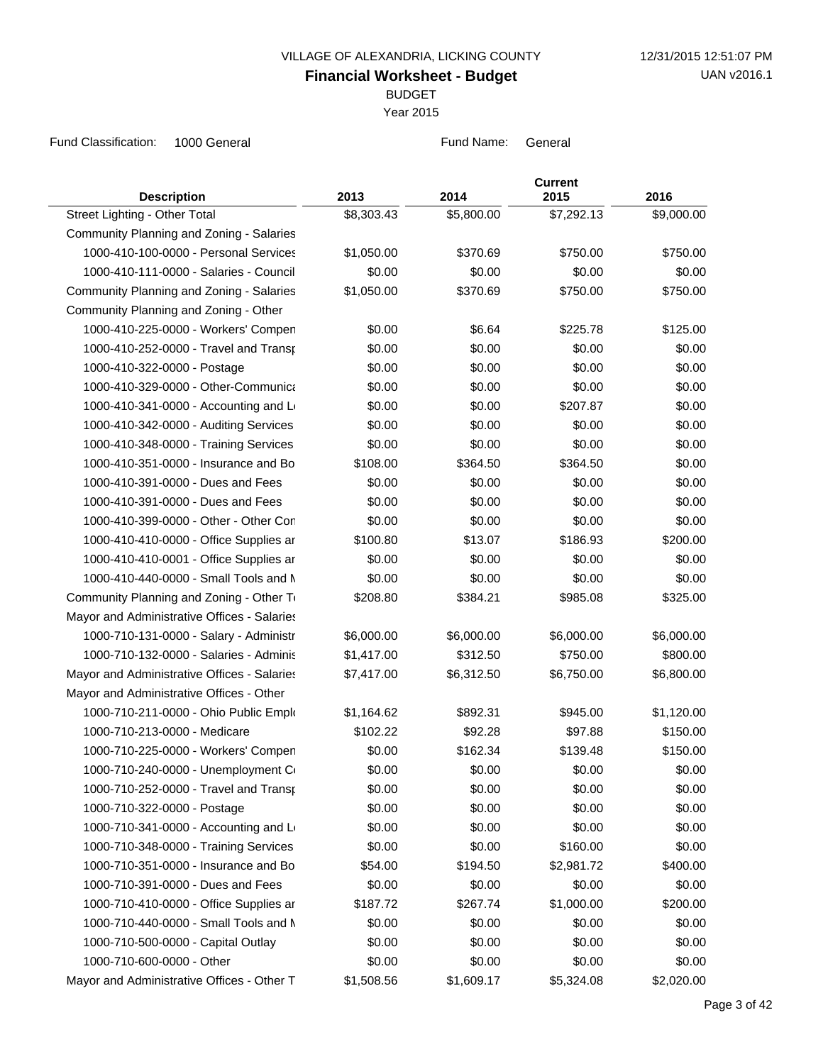BUDGET

Year 2015

| <b>Description</b>                          | 2013       | 2014       | <b>Current</b><br>2015 | 2016       |
|---------------------------------------------|------------|------------|------------------------|------------|
| Street Lighting - Other Total               | \$8,303.43 | \$5,800.00 | \$7,292.13             | \$9,000.00 |
| Community Planning and Zoning - Salaries    |            |            |                        |            |
| 1000-410-100-0000 - Personal Services       | \$1,050.00 | \$370.69   | \$750.00               | \$750.00   |
| 1000-410-111-0000 - Salaries - Council      | \$0.00     | \$0.00     | \$0.00                 | \$0.00     |
| Community Planning and Zoning - Salaries    | \$1,050.00 | \$370.69   | \$750.00               | \$750.00   |
| Community Planning and Zoning - Other       |            |            |                        |            |
| 1000-410-225-0000 - Workers' Compen         | \$0.00     | \$6.64     | \$225.78               | \$125.00   |
| 1000-410-252-0000 - Travel and Transp       | \$0.00     | \$0.00     | \$0.00                 | \$0.00     |
| 1000-410-322-0000 - Postage                 | \$0.00     | \$0.00     | \$0.00                 | \$0.00     |
| 1000-410-329-0000 - Other-Communica         | \$0.00     | \$0.00     | \$0.00                 | \$0.00     |
| 1000-410-341-0000 - Accounting and L        | \$0.00     | \$0.00     | \$207.87               | \$0.00     |
| 1000-410-342-0000 - Auditing Services       | \$0.00     | \$0.00     | \$0.00                 | \$0.00     |
| 1000-410-348-0000 - Training Services       | \$0.00     | \$0.00     | \$0.00                 | \$0.00     |
| 1000-410-351-0000 - Insurance and Bo        | \$108.00   | \$364.50   | \$364.50               | \$0.00     |
| 1000-410-391-0000 - Dues and Fees           | \$0.00     | \$0.00     | \$0.00                 | \$0.00     |
| 1000-410-391-0000 - Dues and Fees           | \$0.00     | \$0.00     | \$0.00                 | \$0.00     |
| 1000-410-399-0000 - Other - Other Con       | \$0.00     | \$0.00     | \$0.00                 | \$0.00     |
| 1000-410-410-0000 - Office Supplies ar      | \$100.80   | \$13.07    | \$186.93               | \$200.00   |
| 1000-410-410-0001 - Office Supplies ar      | \$0.00     | \$0.00     | \$0.00                 | \$0.00     |
| 1000-410-440-0000 - Small Tools and N       | \$0.00     | \$0.00     | \$0.00                 | \$0.00     |
| Community Planning and Zoning - Other To    | \$208.80   | \$384.21   | \$985.08               | \$325.00   |
| Mayor and Administrative Offices - Salaries |            |            |                        |            |
| 1000-710-131-0000 - Salary - Administr      | \$6,000.00 | \$6,000.00 | \$6,000.00             | \$6,000.00 |
| 1000-710-132-0000 - Salaries - Adminis      | \$1,417.00 | \$312.50   | \$750.00               | \$800.00   |
| Mayor and Administrative Offices - Salaries | \$7,417.00 | \$6,312.50 | \$6,750.00             | \$6,800.00 |
| Mayor and Administrative Offices - Other    |            |            |                        |            |
| 1000-710-211-0000 - Ohio Public Emplo       | \$1,164.62 | \$892.31   | \$945.00               | \$1,120.00 |
| 1000-710-213-0000 - Medicare                | \$102.22   | \$92.28    | \$97.88                | \$150.00   |
| 1000-710-225-0000 - Workers' Compen         | \$0.00     | \$162.34   | \$139.48               | \$150.00   |
| 1000-710-240-0000 - Unemployment Co         | \$0.00     | \$0.00     | \$0.00                 | \$0.00     |
| 1000-710-252-0000 - Travel and Transp       | \$0.00     | \$0.00     | \$0.00                 | \$0.00     |
| 1000-710-322-0000 - Postage                 | \$0.00     | \$0.00     | \$0.00                 | \$0.00     |
| 1000-710-341-0000 - Accounting and L        | \$0.00     | \$0.00     | \$0.00                 | \$0.00     |
| 1000-710-348-0000 - Training Services       | \$0.00     | \$0.00     | \$160.00               | \$0.00     |
| 1000-710-351-0000 - Insurance and Bo        | \$54.00    | \$194.50   | \$2,981.72             | \$400.00   |
| 1000-710-391-0000 - Dues and Fees           | \$0.00     | \$0.00     | \$0.00                 | \$0.00     |
| 1000-710-410-0000 - Office Supplies ar      | \$187.72   | \$267.74   | \$1,000.00             | \$200.00   |
| 1000-710-440-0000 - Small Tools and N       | \$0.00     | \$0.00     | \$0.00                 | \$0.00     |
| 1000-710-500-0000 - Capital Outlay          | \$0.00     | \$0.00     | \$0.00                 | \$0.00     |
| 1000-710-600-0000 - Other                   | \$0.00     | \$0.00     | \$0.00                 | \$0.00     |
| Mayor and Administrative Offices - Other T  | \$1,508.56 | \$1,609.17 | \$5,324.08             | \$2,020.00 |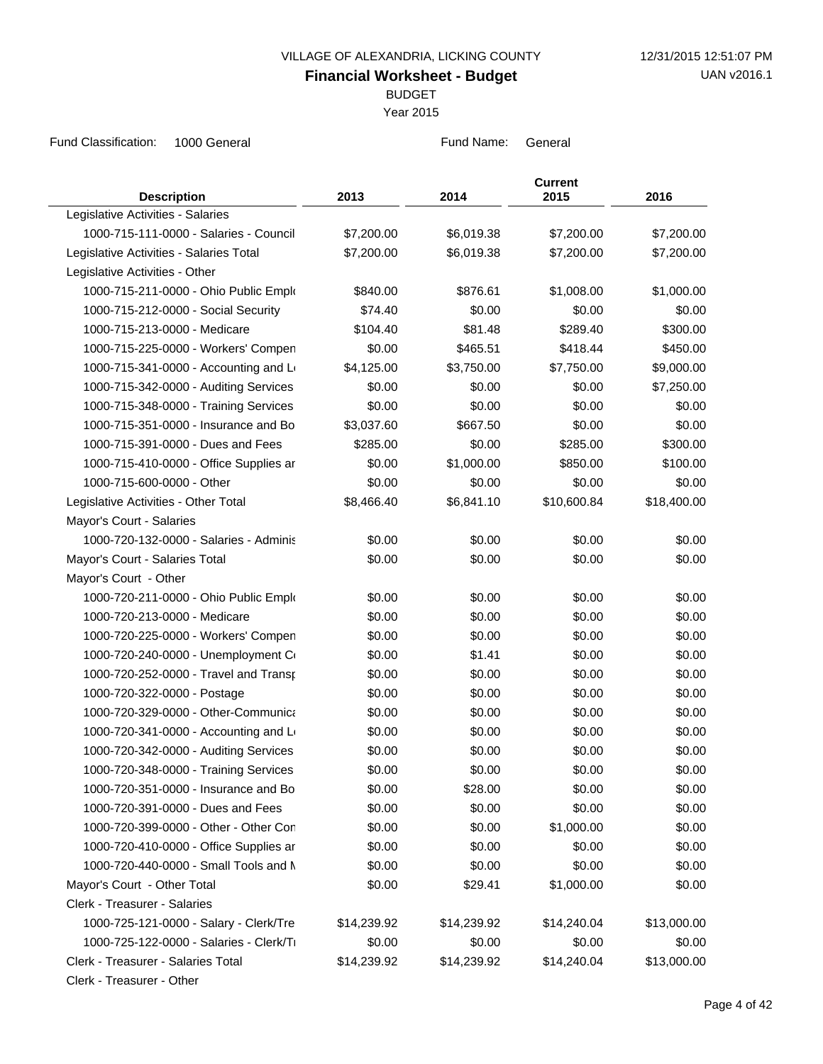BUDGET

Year 2015

Fund Classification: 1000 General **Fund Name:** General Fund Name: General

| <b>Description</b>                      | 2013        | 2014        | <b>Current</b><br>2015 | 2016        |
|-----------------------------------------|-------------|-------------|------------------------|-------------|
| Legislative Activities - Salaries       |             |             |                        |             |
| 1000-715-111-0000 - Salaries - Council  | \$7,200.00  | \$6,019.38  | \$7,200.00             | \$7,200.00  |
| Legislative Activities - Salaries Total | \$7,200.00  | \$6,019.38  | \$7,200.00             | \$7,200.00  |
| Legislative Activities - Other          |             |             |                        |             |
| 1000-715-211-0000 - Ohio Public Emplo   | \$840.00    | \$876.61    | \$1,008.00             | \$1,000.00  |
| 1000-715-212-0000 - Social Security     | \$74.40     | \$0.00      | \$0.00                 | \$0.00      |
| 1000-715-213-0000 - Medicare            | \$104.40    | \$81.48     | \$289.40               | \$300.00    |
| 1000-715-225-0000 - Workers' Compen     | \$0.00      | \$465.51    | \$418.44               | \$450.00    |
| 1000-715-341-0000 - Accounting and Le   | \$4,125.00  | \$3,750.00  | \$7,750.00             | \$9,000.00  |
| 1000-715-342-0000 - Auditing Services   | \$0.00      | \$0.00      | \$0.00                 | \$7,250.00  |
| 1000-715-348-0000 - Training Services   | \$0.00      | \$0.00      | \$0.00                 | \$0.00      |
| 1000-715-351-0000 - Insurance and Bo    | \$3,037.60  | \$667.50    | \$0.00                 | \$0.00      |
| 1000-715-391-0000 - Dues and Fees       | \$285.00    | \$0.00      | \$285.00               | \$300.00    |
| 1000-715-410-0000 - Office Supplies ar  | \$0.00      | \$1,000.00  | \$850.00               | \$100.00    |
| 1000-715-600-0000 - Other               | \$0.00      | \$0.00      | \$0.00                 | \$0.00      |
| Legislative Activities - Other Total    | \$8,466.40  | \$6,841.10  | \$10,600.84            | \$18,400.00 |
| Mayor's Court - Salaries                |             |             |                        |             |
| 1000-720-132-0000 - Salaries - Adminis  | \$0.00      | \$0.00      | \$0.00                 | \$0.00      |
| Mayor's Court - Salaries Total          | \$0.00      | \$0.00      | \$0.00                 | \$0.00      |
| Mayor's Court - Other                   |             |             |                        |             |
| 1000-720-211-0000 - Ohio Public Emplo   | \$0.00      | \$0.00      | \$0.00                 | \$0.00      |
| 1000-720-213-0000 - Medicare            | \$0.00      | \$0.00      | \$0.00                 | \$0.00      |
| 1000-720-225-0000 - Workers' Compen     | \$0.00      | \$0.00      | \$0.00                 | \$0.00      |
| 1000-720-240-0000 - Unemployment Co     | \$0.00      | \$1.41      | \$0.00                 | \$0.00      |
| 1000-720-252-0000 - Travel and Transp   | \$0.00      | \$0.00      | \$0.00                 | \$0.00      |
| 1000-720-322-0000 - Postage             | \$0.00      | \$0.00      | \$0.00                 | \$0.00      |
| 1000-720-329-0000 - Other-Communica     | \$0.00      | \$0.00      | \$0.00                 | \$0.00      |
| 1000-720-341-0000 - Accounting and Lo   | \$0.00      | \$0.00      | \$0.00                 | \$0.00      |
| 1000-720-342-0000 - Auditing Services   | \$0.00      | \$0.00      | \$0.00                 | \$0.00      |
| 1000-720-348-0000 - Training Services   | \$0.00      | \$0.00      | \$0.00                 | \$0.00      |
| 1000-720-351-0000 - Insurance and Bo    | \$0.00      | \$28.00     | \$0.00                 | \$0.00      |
| 1000-720-391-0000 - Dues and Fees       | \$0.00      | \$0.00      | \$0.00                 | \$0.00      |
| 1000-720-399-0000 - Other - Other Con   | \$0.00      | \$0.00      | \$1,000.00             | \$0.00      |
| 1000-720-410-0000 - Office Supplies ar  | \$0.00      | \$0.00      | \$0.00                 | \$0.00      |
| 1000-720-440-0000 - Small Tools and N   | \$0.00      | \$0.00      | \$0.00                 | \$0.00      |
| Mayor's Court - Other Total             | \$0.00      | \$29.41     | \$1,000.00             | \$0.00      |
| Clerk - Treasurer - Salaries            |             |             |                        |             |
| 1000-725-121-0000 - Salary - Clerk/Tre  | \$14,239.92 | \$14,239.92 | \$14,240.04            | \$13,000.00 |
| 1000-725-122-0000 - Salaries - Clerk/Ti | \$0.00      | \$0.00      | \$0.00                 | \$0.00      |
| Clerk - Treasurer - Salaries Total      | \$14,239.92 | \$14,239.92 | \$14,240.04            | \$13,000.00 |
|                                         |             |             |                        |             |

Clerk - Treasurer - Other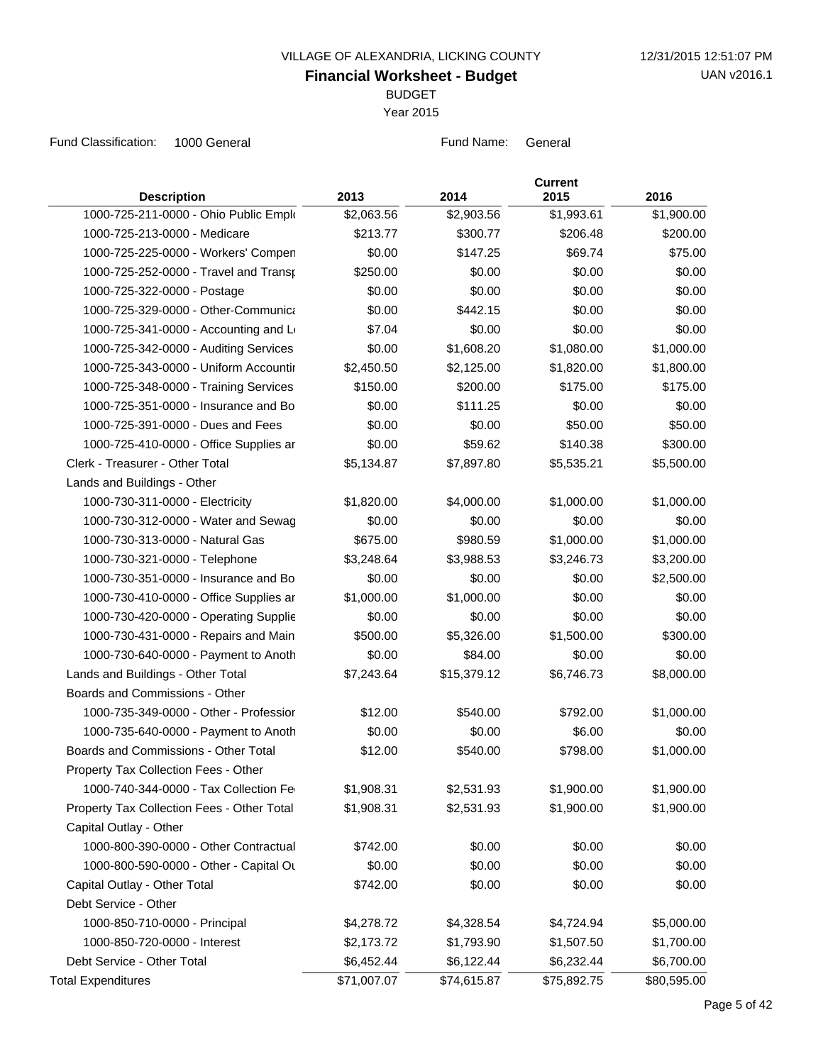BUDGET

Year 2015

| <b>Description</b>                         | 2013        | 2014        | <b>Current</b><br>2015 | 2016        |
|--------------------------------------------|-------------|-------------|------------------------|-------------|
| 1000-725-211-0000 - Ohio Public Emplo      | \$2,063.56  | \$2,903.56  | \$1,993.61             | \$1,900.00  |
| 1000-725-213-0000 - Medicare               | \$213.77    | \$300.77    | \$206.48               | \$200.00    |
| 1000-725-225-0000 - Workers' Compen        | \$0.00      | \$147.25    | \$69.74                | \$75.00     |
| 1000-725-252-0000 - Travel and Transp      | \$250.00    | \$0.00      | \$0.00                 | \$0.00      |
| 1000-725-322-0000 - Postage                | \$0.00      | \$0.00      | \$0.00                 | \$0.00      |
| 1000-725-329-0000 - Other-Communica        | \$0.00      | \$442.15    | \$0.00                 | \$0.00      |
| 1000-725-341-0000 - Accounting and L       | \$7.04      | \$0.00      | \$0.00                 | \$0.00      |
| 1000-725-342-0000 - Auditing Services      | \$0.00      | \$1,608.20  | \$1,080.00             | \$1,000.00  |
| 1000-725-343-0000 - Uniform Accountir      | \$2,450.50  | \$2,125.00  | \$1,820.00             | \$1,800.00  |
| 1000-725-348-0000 - Training Services      | \$150.00    | \$200.00    | \$175.00               | \$175.00    |
| 1000-725-351-0000 - Insurance and Bo       | \$0.00      | \$111.25    | \$0.00                 | \$0.00      |
| 1000-725-391-0000 - Dues and Fees          | \$0.00      | \$0.00      | \$50.00                | \$50.00     |
| 1000-725-410-0000 - Office Supplies ar     | \$0.00      | \$59.62     | \$140.38               | \$300.00    |
| Clerk - Treasurer - Other Total            | \$5,134.87  | \$7,897.80  | \$5,535.21             | \$5,500.00  |
| Lands and Buildings - Other                |             |             |                        |             |
| 1000-730-311-0000 - Electricity            | \$1,820.00  | \$4,000.00  | \$1,000.00             | \$1,000.00  |
| 1000-730-312-0000 - Water and Sewag        | \$0.00      | \$0.00      | \$0.00                 | \$0.00      |
| 1000-730-313-0000 - Natural Gas            | \$675.00    | \$980.59    | \$1,000.00             | \$1,000.00  |
| 1000-730-321-0000 - Telephone              | \$3,248.64  | \$3,988.53  | \$3,246.73             | \$3,200.00  |
| 1000-730-351-0000 - Insurance and Bo       | \$0.00      | \$0.00      | \$0.00                 | \$2,500.00  |
| 1000-730-410-0000 - Office Supplies ar     | \$1,000.00  | \$1,000.00  | \$0.00                 | \$0.00      |
| 1000-730-420-0000 - Operating Supplie      | \$0.00      | \$0.00      | \$0.00                 | \$0.00      |
| 1000-730-431-0000 - Repairs and Main       | \$500.00    | \$5,326.00  | \$1,500.00             | \$300.00    |
| 1000-730-640-0000 - Payment to Anoth       | \$0.00      | \$84.00     | \$0.00                 | \$0.00      |
| Lands and Buildings - Other Total          | \$7,243.64  | \$15,379.12 | \$6,746.73             | \$8,000.00  |
| Boards and Commissions - Other             |             |             |                        |             |
| 1000-735-349-0000 - Other - Professior     | \$12.00     | \$540.00    | \$792.00               | \$1,000.00  |
| 1000-735-640-0000 - Payment to Anoth       | \$0.00      | \$0.00      | \$6.00                 | \$0.00      |
| Boards and Commissions - Other Total       | \$12.00     | \$540.00    | \$798.00               | \$1,000.00  |
| Property Tax Collection Fees - Other       |             |             |                        |             |
| 1000-740-344-0000 - Tax Collection Fe      | \$1,908.31  | \$2,531.93  | \$1,900.00             | \$1,900.00  |
| Property Tax Collection Fees - Other Total | \$1,908.31  | \$2,531.93  | \$1,900.00             | \$1,900.00  |
| Capital Outlay - Other                     |             |             |                        |             |
| 1000-800-390-0000 - Other Contractual      | \$742.00    | \$0.00      | \$0.00                 | \$0.00      |
| 1000-800-590-0000 - Other - Capital Ou     | \$0.00      | \$0.00      | \$0.00                 | \$0.00      |
| Capital Outlay - Other Total               | \$742.00    | \$0.00      | \$0.00                 | \$0.00      |
| Debt Service - Other                       |             |             |                        |             |
| 1000-850-710-0000 - Principal              | \$4,278.72  | \$4,328.54  | \$4,724.94             | \$5,000.00  |
| 1000-850-720-0000 - Interest               | \$2,173.72  | \$1,793.90  | \$1,507.50             | \$1,700.00  |
| Debt Service - Other Total                 | \$6,452.44  | \$6,122.44  | \$6,232.44             | \$6,700.00  |
| <b>Total Expenditures</b>                  | \$71,007.07 | \$74,615.87 | \$75,892.75            | \$80,595.00 |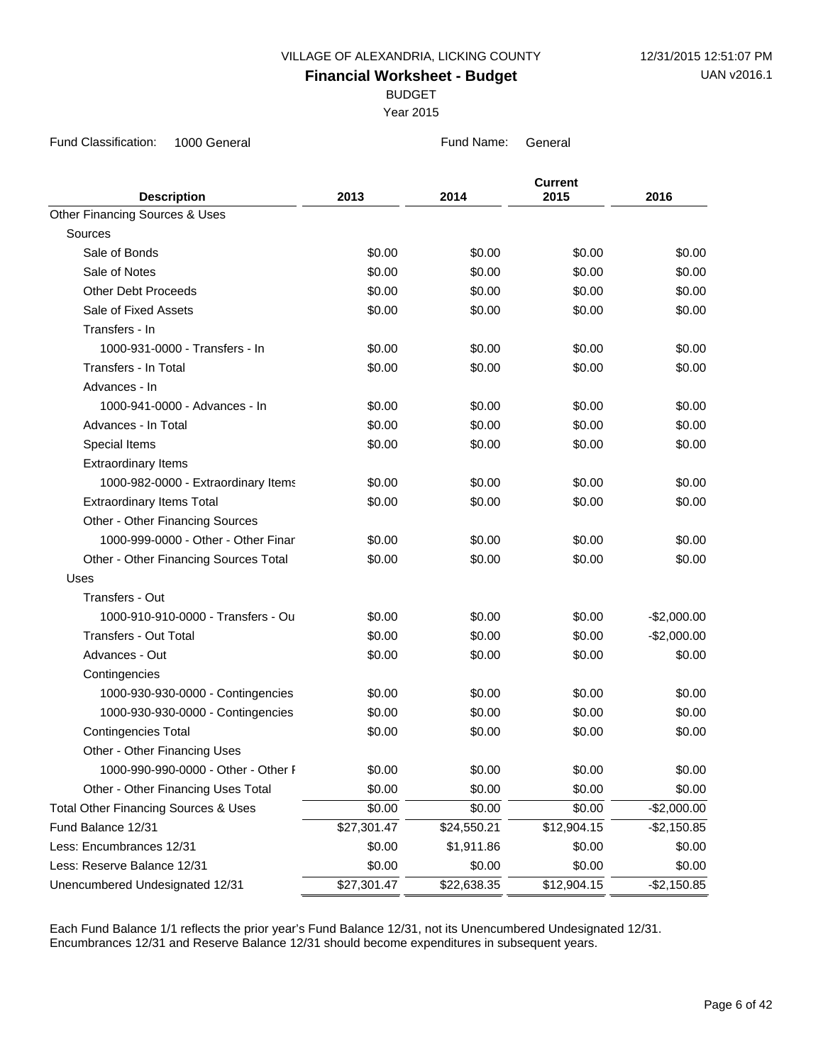BUDGET

Year 2015

Fund Classification: 1000 General **Fund Name:** General Fund Name: General

|                                           |             |             | <b>Current</b> |              |
|-------------------------------------------|-------------|-------------|----------------|--------------|
| <b>Description</b>                        | 2013        | 2014        | 2015           | 2016         |
| <b>Other Financing Sources &amp; Uses</b> |             |             |                |              |
| Sources                                   |             |             |                |              |
| Sale of Bonds                             | \$0.00      | \$0.00      | \$0.00         | \$0.00       |
| Sale of Notes                             | \$0.00      | \$0.00      | \$0.00         | \$0.00       |
| <b>Other Debt Proceeds</b>                | \$0.00      | \$0.00      | \$0.00         | \$0.00       |
| Sale of Fixed Assets                      | \$0.00      | \$0.00      | \$0.00         | \$0.00       |
| Transfers - In                            |             |             |                |              |
| 1000-931-0000 - Transfers - In            | \$0.00      | \$0.00      | \$0.00         | \$0.00       |
| Transfers - In Total                      | \$0.00      | \$0.00      | \$0.00         | \$0.00       |
| Advances - In                             |             |             |                |              |
| 1000-941-0000 - Advances - In             | \$0.00      | \$0.00      | \$0.00         | \$0.00       |
| Advances - In Total                       | \$0.00      | \$0.00      | \$0.00         | \$0.00       |
| Special Items                             | \$0.00      | \$0.00      | \$0.00         | \$0.00       |
| <b>Extraordinary Items</b>                |             |             |                |              |
| 1000-982-0000 - Extraordinary Items       | \$0.00      | \$0.00      | \$0.00         | \$0.00       |
| <b>Extraordinary Items Total</b>          | \$0.00      | \$0.00      | \$0.00         | \$0.00       |
| Other - Other Financing Sources           |             |             |                |              |
| 1000-999-0000 - Other - Other Finar       | \$0.00      | \$0.00      | \$0.00         | \$0.00       |
| Other - Other Financing Sources Total     | \$0.00      | \$0.00      | \$0.00         | \$0.00       |
| Uses                                      |             |             |                |              |
| Transfers - Out                           |             |             |                |              |
| 1000-910-910-0000 - Transfers - Ou        | \$0.00      | \$0.00      | \$0.00         | $-$2,000.00$ |
| <b>Transfers - Out Total</b>              | \$0.00      | \$0.00      | \$0.00         | $-$2,000.00$ |
| Advances - Out                            | \$0.00      | \$0.00      | \$0.00         | \$0.00       |
| Contingencies                             |             |             |                |              |
| 1000-930-930-0000 - Contingencies         | \$0.00      | \$0.00      | \$0.00         | \$0.00       |
| 1000-930-930-0000 - Contingencies         | \$0.00      | \$0.00      | \$0.00         | \$0.00       |
| <b>Contingencies Total</b>                | \$0.00      | \$0.00      | \$0.00         | \$0.00       |
| Other - Other Financing Uses              |             |             |                |              |
| 1000-990-990-0000 - Other - Other F       | \$0.00      | \$0.00      | \$0.00         | \$0.00       |
| Other - Other Financing Uses Total        | \$0.00      | \$0.00      | \$0.00         | \$0.00       |
| Total Other Financing Sources & Uses      | \$0.00      | \$0.00      | \$0.00         | $-$2,000.00$ |
| Fund Balance 12/31                        | \$27,301.47 | \$24,550.21 | \$12,904.15    | $-$2,150.85$ |
| Less: Encumbrances 12/31                  | \$0.00      | \$1,911.86  | \$0.00         | \$0.00       |
| Less: Reserve Balance 12/31               | \$0.00      | \$0.00      | \$0.00         | \$0.00       |
| Unencumbered Undesignated 12/31           | \$27,301.47 | \$22,638.35 | \$12,904.15    | $-$2,150.85$ |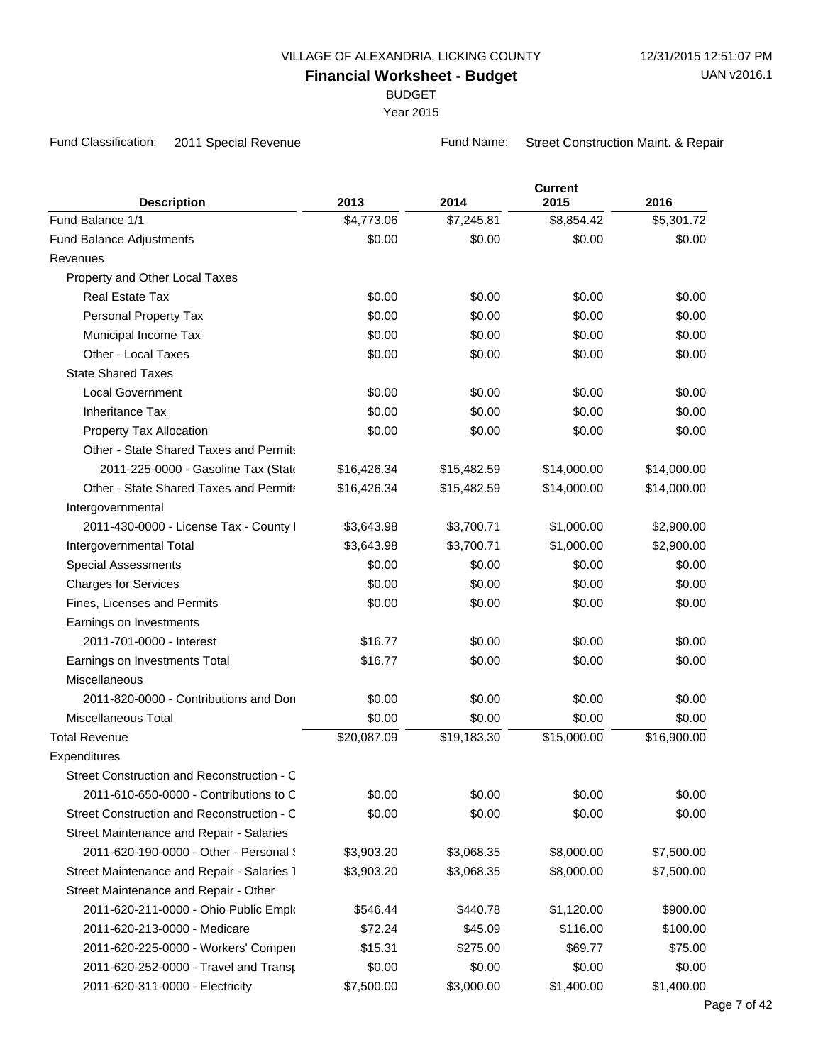BUDGET

Year 2015

Fund Classification: 2011 Special Revenue Fund Name: Street Construction Maint. & Repair

| <b>Description</b>                                                | 2013        | 2014        | <b>Current</b><br>2015 | 2016        |
|-------------------------------------------------------------------|-------------|-------------|------------------------|-------------|
| Fund Balance 1/1                                                  | \$4,773.06  | \$7,245.81  | \$8,854.42             | \$5,301.72  |
| Fund Balance Adjustments                                          | \$0.00      | \$0.00      | \$0.00                 | \$0.00      |
| Revenues                                                          |             |             |                        |             |
| Property and Other Local Taxes                                    |             |             |                        |             |
| <b>Real Estate Tax</b>                                            | \$0.00      | \$0.00      | \$0.00                 | \$0.00      |
| Personal Property Tax                                             | \$0.00      | \$0.00      | \$0.00                 | \$0.00      |
| Municipal Income Tax                                              | \$0.00      | \$0.00      | \$0.00                 | \$0.00      |
| Other - Local Taxes                                               | \$0.00      | \$0.00      | \$0.00                 | \$0.00      |
| <b>State Shared Taxes</b>                                         |             |             |                        |             |
| <b>Local Government</b>                                           | \$0.00      | \$0.00      | \$0.00                 | \$0.00      |
| <b>Inheritance Tax</b>                                            | \$0.00      | \$0.00      | \$0.00                 | \$0.00      |
|                                                                   | \$0.00      |             | \$0.00                 | \$0.00      |
| Property Tax Allocation<br>Other - State Shared Taxes and Permits |             | \$0.00      |                        |             |
|                                                                   |             |             |                        |             |
| 2011-225-0000 - Gasoline Tax (State                               | \$16,426.34 | \$15,482.59 | \$14,000.00            | \$14,000.00 |
| Other - State Shared Taxes and Permits                            | \$16,426.34 | \$15,482.59 | \$14,000.00            | \$14,000.00 |
| Intergovernmental                                                 |             |             |                        |             |
| 2011-430-0000 - License Tax - County I                            | \$3,643.98  | \$3,700.71  | \$1,000.00             | \$2,900.00  |
| Intergovernmental Total                                           | \$3,643.98  | \$3,700.71  | \$1,000.00             | \$2,900.00  |
| <b>Special Assessments</b>                                        | \$0.00      | \$0.00      | \$0.00                 | \$0.00      |
| <b>Charges for Services</b>                                       | \$0.00      | \$0.00      | \$0.00                 | \$0.00      |
| Fines, Licenses and Permits                                       | \$0.00      | \$0.00      | \$0.00                 | \$0.00      |
| Earnings on Investments                                           |             |             |                        |             |
| 2011-701-0000 - Interest                                          | \$16.77     | \$0.00      | \$0.00                 | \$0.00      |
| Earnings on Investments Total                                     | \$16.77     | \$0.00      | \$0.00                 | \$0.00      |
| Miscellaneous                                                     |             |             |                        |             |
| 2011-820-0000 - Contributions and Don                             | \$0.00      | \$0.00      | \$0.00                 | \$0.00      |
| Miscellaneous Total                                               | \$0.00      | \$0.00      | \$0.00                 | \$0.00      |
| <b>Total Revenue</b>                                              | \$20,087.09 | \$19,183.30 | \$15,000.00            | \$16,900.00 |
| Expenditures                                                      |             |             |                        |             |
| Street Construction and Reconstruction - C                        |             |             |                        |             |
| 2011-610-650-0000 - Contributions to C                            | \$0.00      | \$0.00      | \$0.00                 | \$0.00      |
| Street Construction and Reconstruction - C                        | \$0.00      | \$0.00      | \$0.00                 | \$0.00      |
| Street Maintenance and Repair - Salaries                          |             |             |                        |             |
| 2011-620-190-0000 - Other - Personal {                            | \$3,903.20  | \$3,068.35  | \$8,000.00             | \$7,500.00  |
| Street Maintenance and Repair - Salaries 7                        | \$3,903.20  | \$3,068.35  | \$8,000.00             | \$7,500.00  |
| Street Maintenance and Repair - Other                             |             |             |                        |             |
| 2011-620-211-0000 - Ohio Public Emplo                             | \$546.44    | \$440.78    | \$1,120.00             | \$900.00    |
| 2011-620-213-0000 - Medicare                                      | \$72.24     | \$45.09     | \$116.00               | \$100.00    |
| 2011-620-225-0000 - Workers' Compen                               | \$15.31     | \$275.00    | \$69.77                | \$75.00     |
| 2011-620-252-0000 - Travel and Transp                             | \$0.00      | \$0.00      | \$0.00                 | \$0.00      |
| 2011-620-311-0000 - Electricity                                   | \$7,500.00  | \$3,000.00  | \$1,400.00             | \$1,400.00  |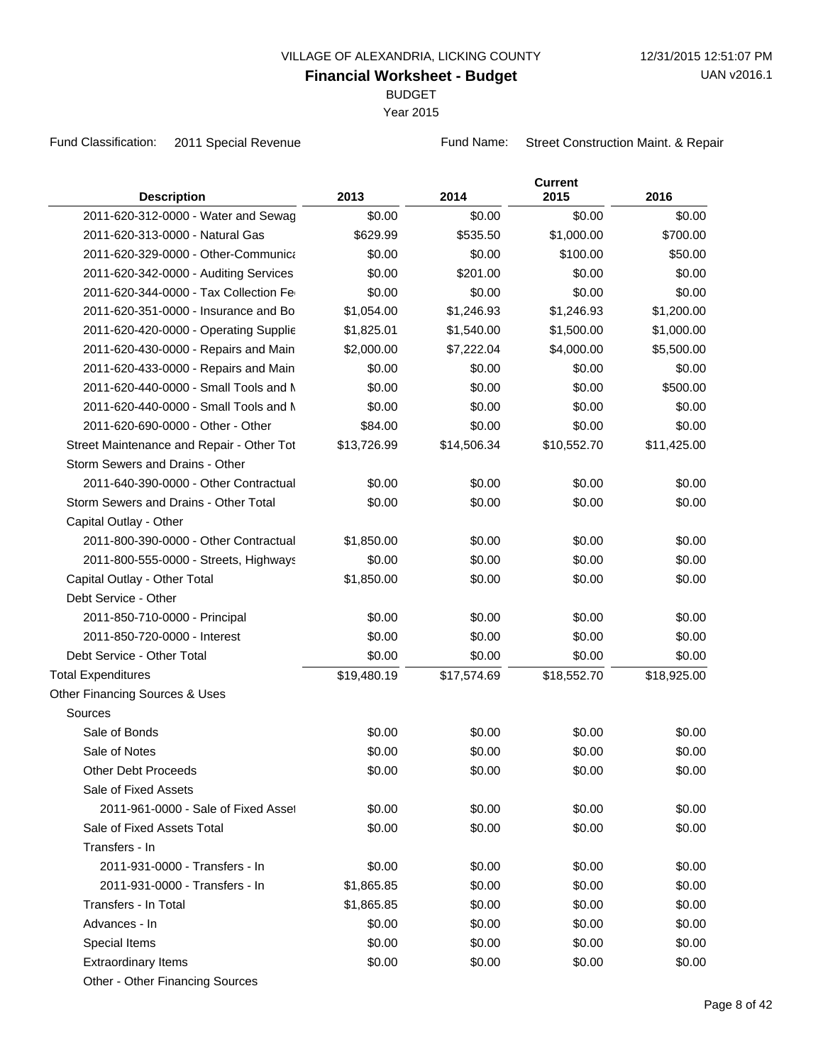BUDGET

Year 2015

Fund Classification: 2011 Special Revenue Fund Name: Street Construction Maint. & Repair

| <b>Description</b>                        | 2013        | 2014        | <b>Current</b><br>2015 | 2016        |
|-------------------------------------------|-------------|-------------|------------------------|-------------|
| 2011-620-312-0000 - Water and Sewag       | \$0.00      | \$0.00      | \$0.00                 | \$0.00      |
| 2011-620-313-0000 - Natural Gas           | \$629.99    | \$535.50    | \$1,000.00             | \$700.00    |
| 2011-620-329-0000 - Other-Communica       | \$0.00      | \$0.00      | \$100.00               | \$50.00     |
| 2011-620-342-0000 - Auditing Services     | \$0.00      | \$201.00    | \$0.00                 | \$0.00      |
| 2011-620-344-0000 - Tax Collection Fe     | \$0.00      | \$0.00      | \$0.00                 | \$0.00      |
| 2011-620-351-0000 - Insurance and Bo      | \$1,054.00  | \$1,246.93  | \$1,246.93             | \$1,200.00  |
| 2011-620-420-0000 - Operating Supplie     | \$1,825.01  | \$1,540.00  | \$1,500.00             | \$1,000.00  |
| 2011-620-430-0000 - Repairs and Main      | \$2,000.00  | \$7,222.04  | \$4,000.00             | \$5,500.00  |
| 2011-620-433-0000 - Repairs and Main      | \$0.00      | \$0.00      | \$0.00                 | \$0.00      |
| 2011-620-440-0000 - Small Tools and M     | \$0.00      | \$0.00      | \$0.00                 | \$500.00    |
| 2011-620-440-0000 - Small Tools and N     | \$0.00      | \$0.00      | \$0.00                 | \$0.00      |
| 2011-620-690-0000 - Other - Other         | \$84.00     | \$0.00      | \$0.00                 | \$0.00      |
| Street Maintenance and Repair - Other Tot | \$13,726.99 | \$14,506.34 | \$10,552.70            | \$11,425.00 |
| Storm Sewers and Drains - Other           |             |             |                        |             |
| 2011-640-390-0000 - Other Contractual     | \$0.00      | \$0.00      | \$0.00                 | \$0.00      |
| Storm Sewers and Drains - Other Total     | \$0.00      | \$0.00      | \$0.00                 | \$0.00      |
| Capital Outlay - Other                    |             |             |                        |             |
| 2011-800-390-0000 - Other Contractual     | \$1,850.00  | \$0.00      | \$0.00                 | \$0.00      |
| 2011-800-555-0000 - Streets, Highways     | \$0.00      | \$0.00      | \$0.00                 | \$0.00      |
| Capital Outlay - Other Total              | \$1,850.00  | \$0.00      | \$0.00                 | \$0.00      |
| Debt Service - Other                      |             |             |                        |             |
| 2011-850-710-0000 - Principal             | \$0.00      | \$0.00      | \$0.00                 | \$0.00      |
| 2011-850-720-0000 - Interest              | \$0.00      | \$0.00      | \$0.00                 | \$0.00      |
| Debt Service - Other Total                | \$0.00      | \$0.00      | \$0.00                 | \$0.00      |
| <b>Total Expenditures</b>                 | \$19,480.19 | \$17,574.69 | \$18,552.70            | \$18,925.00 |
| Other Financing Sources & Uses            |             |             |                        |             |
| Sources                                   |             |             |                        |             |
| Sale of Bonds                             | \$0.00      | \$0.00      | \$0.00                 | \$0.00      |
| Sale of Notes                             | \$0.00      | \$0.00      | \$0.00                 | \$0.00      |
| <b>Other Debt Proceeds</b>                | \$0.00      | \$0.00      | \$0.00                 | \$0.00      |
| Sale of Fixed Assets                      |             |             |                        |             |
| 2011-961-0000 - Sale of Fixed Asset       | \$0.00      | \$0.00      | \$0.00                 | \$0.00      |
| Sale of Fixed Assets Total                | \$0.00      | \$0.00      | \$0.00                 | \$0.00      |
| Transfers - In                            |             |             |                        |             |
| 2011-931-0000 - Transfers - In            | \$0.00      | \$0.00      | \$0.00                 | \$0.00      |
| 2011-931-0000 - Transfers - In            | \$1,865.85  | \$0.00      | \$0.00                 | \$0.00      |
| Transfers - In Total                      | \$1,865.85  | \$0.00      | \$0.00                 | \$0.00      |
| Advances - In                             | \$0.00      | \$0.00      | \$0.00                 | \$0.00      |
| Special Items                             | \$0.00      | \$0.00      | \$0.00                 | \$0.00      |
| <b>Extraordinary Items</b>                | \$0.00      | \$0.00      | \$0.00                 | \$0.00      |
| Other - Other Financing Sources           |             |             |                        |             |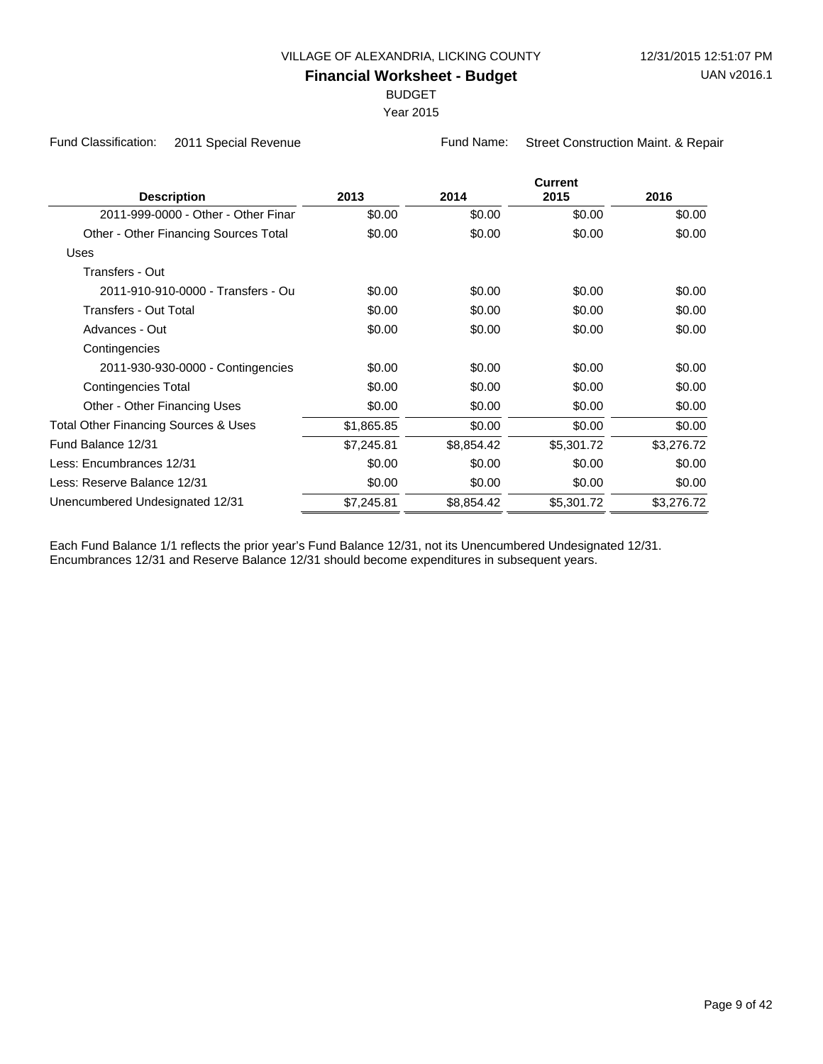BUDGET

Year 2015

Fund Classification: 2011 Special Revenue Fund Name: Street Construction Maint. & Repair

|                                       |            |            | <b>Current</b> |            |
|---------------------------------------|------------|------------|----------------|------------|
| <b>Description</b>                    | 2013       | 2014       | 2015           | 2016       |
| 2011-999-0000 - Other - Other Finar   | \$0.00     | \$0.00     | \$0.00         | \$0.00     |
| Other - Other Financing Sources Total | \$0.00     | \$0.00     | \$0.00         | \$0.00     |
| <b>Uses</b>                           |            |            |                |            |
| Transfers - Out                       |            |            |                |            |
| 2011-910-910-0000 - Transfers - Ou    | \$0.00     | \$0.00     | \$0.00         | \$0.00     |
| Transfers - Out Total                 | \$0.00     | \$0.00     | \$0.00         | \$0.00     |
| Advances - Out                        | \$0.00     | \$0.00     | \$0.00         | \$0.00     |
| Contingencies                         |            |            |                |            |
| 2011-930-930-0000 - Contingencies     | \$0.00     | \$0.00     | \$0.00         | \$0.00     |
| Contingencies Total                   | \$0.00     | \$0.00     | \$0.00         | \$0.00     |
| Other - Other Financing Uses          | \$0.00     | \$0.00     | \$0.00         | \$0.00     |
| Total Other Financing Sources & Uses  | \$1,865.85 | \$0.00     | \$0.00         | \$0.00     |
| Fund Balance 12/31                    | \$7,245.81 | \$8,854.42 | \$5,301.72     | \$3,276.72 |
| Less: Encumbrances 12/31              | \$0.00     | \$0.00     | \$0.00         | \$0.00     |
| Less: Reserve Balance 12/31           | \$0.00     | \$0.00     | \$0.00         | \$0.00     |
| Unencumbered Undesignated 12/31       | \$7,245.81 | \$8,854.42 | \$5,301.72     | \$3,276.72 |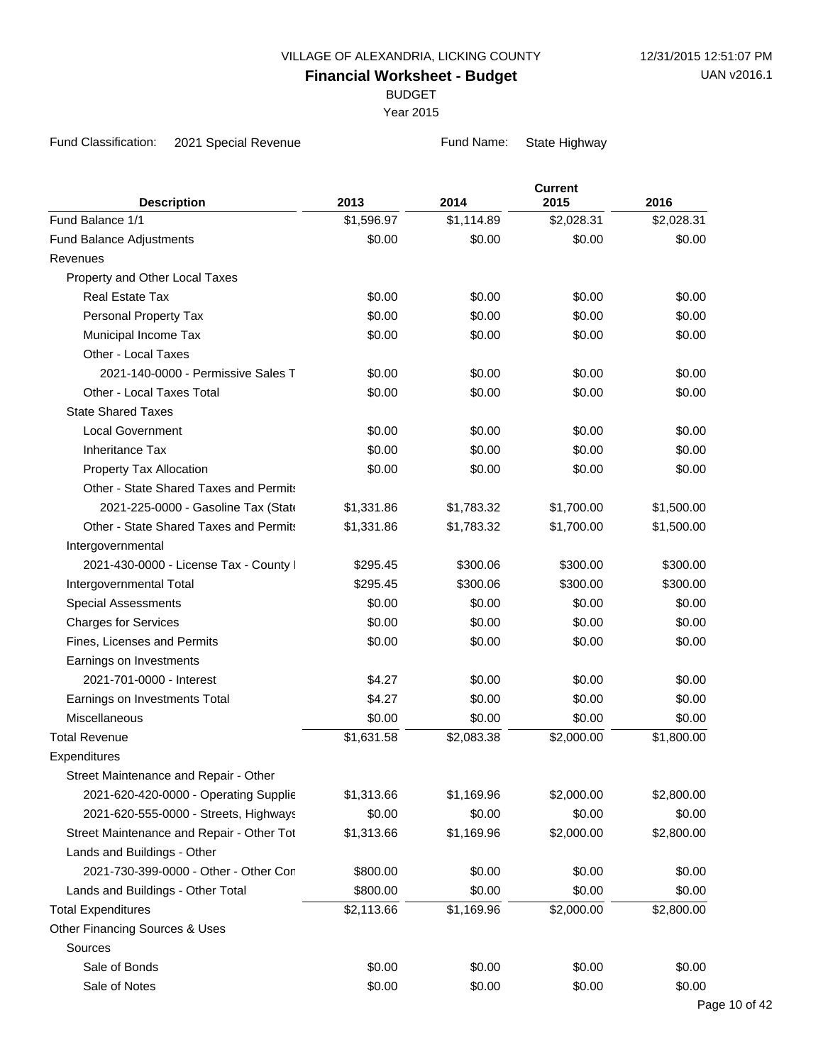BUDGET

Year 2015

Fund Classification: 2021 Special Revenue Fund Name: State Highway

| Fund Balance 1/1<br>\$1,596.97<br>\$1,114.89<br>\$2,028.31<br>\$2,028.31<br>\$0.00<br>\$0.00<br>\$0.00<br>\$0.00<br>Fund Balance Adjustments<br>Revenues<br>Property and Other Local Taxes<br><b>Real Estate Tax</b><br>\$0.00<br>\$0.00<br>\$0.00<br>\$0.00<br>\$0.00<br>Personal Property Tax<br>\$0.00<br>\$0.00<br>\$0.00<br>Municipal Income Tax<br>\$0.00<br>\$0.00<br>\$0.00<br>\$0.00<br>Other - Local Taxes<br>2021-140-0000 - Permissive Sales T<br>\$0.00<br>\$0.00<br>\$0.00<br>\$0.00<br>Other - Local Taxes Total<br>\$0.00<br>\$0.00<br>\$0.00<br>\$0.00<br><b>State Shared Taxes</b><br>\$0.00<br>\$0.00<br>\$0.00<br>\$0.00<br><b>Local Government</b><br>\$0.00<br><b>Inheritance Tax</b><br>\$0.00<br>\$0.00<br>\$0.00<br>Property Tax Allocation<br>\$0.00<br>\$0.00<br>\$0.00<br>\$0.00<br>Other - State Shared Taxes and Permits<br>\$1,500.00<br>2021-225-0000 - Gasoline Tax (State<br>\$1,331.86<br>\$1,783.32<br>\$1,700.00<br>Other - State Shared Taxes and Permits<br>\$1,331.86<br>\$1,783.32<br>\$1,700.00<br>\$1,500.00<br>Intergovernmental<br>2021-430-0000 - License Tax - County I<br>\$300.06<br>\$300.00<br>\$300.00<br>\$295.45<br>\$295.45<br>\$300.06<br>\$300.00<br>\$300.00<br>Intergovernmental Total<br><b>Special Assessments</b><br>\$0.00<br>\$0.00<br>\$0.00<br>\$0.00<br>\$0.00<br>\$0.00<br>\$0.00<br>\$0.00<br><b>Charges for Services</b><br>Fines, Licenses and Permits<br>\$0.00<br>\$0.00<br>\$0.00<br>\$0.00<br>Earnings on Investments<br>2021-701-0000 - Interest<br>\$4.27<br>\$0.00<br>\$0.00<br>\$0.00<br>\$4.27<br>\$0.00<br>\$0.00<br>\$0.00<br>Earnings on Investments Total<br>Miscellaneous<br>\$0.00<br>\$0.00<br>\$0.00<br>\$0.00<br><b>Total Revenue</b><br>\$1,631.58<br>\$2,083.38<br>\$2,000.00<br>\$1,800.00<br>Expenditures<br>Street Maintenance and Repair - Other<br>2021-620-420-0000 - Operating Supplie<br>\$1,313.66<br>\$1,169.96<br>\$2,000.00<br>\$2,800.00<br>2021-620-555-0000 - Streets, Highways<br>\$0.00<br>\$0.00<br>\$0.00<br>\$0.00<br>\$1,169.96<br>\$2,000.00<br>\$2,800.00<br>Street Maintenance and Repair - Other Tot<br>\$1,313.66<br>Lands and Buildings - Other<br>2021-730-399-0000 - Other - Other Con<br>\$0.00<br>\$800.00<br>\$0.00<br>\$0.00<br>\$0.00<br>\$0.00<br>Lands and Buildings - Other Total<br>\$800.00<br>\$0.00<br><b>Total Expenditures</b><br>\$1,169.96<br>\$2,113.66<br>\$2,000.00<br>\$2,800.00<br>Other Financing Sources & Uses<br>Sources<br>Sale of Bonds<br>\$0.00<br>\$0.00<br>\$0.00<br>\$0.00 |                    | 2013   | 2014   | <b>Current</b><br>2015 | 2016   |
|------------------------------------------------------------------------------------------------------------------------------------------------------------------------------------------------------------------------------------------------------------------------------------------------------------------------------------------------------------------------------------------------------------------------------------------------------------------------------------------------------------------------------------------------------------------------------------------------------------------------------------------------------------------------------------------------------------------------------------------------------------------------------------------------------------------------------------------------------------------------------------------------------------------------------------------------------------------------------------------------------------------------------------------------------------------------------------------------------------------------------------------------------------------------------------------------------------------------------------------------------------------------------------------------------------------------------------------------------------------------------------------------------------------------------------------------------------------------------------------------------------------------------------------------------------------------------------------------------------------------------------------------------------------------------------------------------------------------------------------------------------------------------------------------------------------------------------------------------------------------------------------------------------------------------------------------------------------------------------------------------------------------------------------------------------------------------------------------------------------------------------------------------------------------------------------------------------------------------------------------------------------------------------------------------------------------------------------------------------------------------------------------------------------------------------------------------------------------------------------------------------------------------------|--------------------|--------|--------|------------------------|--------|
|                                                                                                                                                                                                                                                                                                                                                                                                                                                                                                                                                                                                                                                                                                                                                                                                                                                                                                                                                                                                                                                                                                                                                                                                                                                                                                                                                                                                                                                                                                                                                                                                                                                                                                                                                                                                                                                                                                                                                                                                                                                                                                                                                                                                                                                                                                                                                                                                                                                                                                                                    | <b>Description</b> |        |        |                        |        |
|                                                                                                                                                                                                                                                                                                                                                                                                                                                                                                                                                                                                                                                                                                                                                                                                                                                                                                                                                                                                                                                                                                                                                                                                                                                                                                                                                                                                                                                                                                                                                                                                                                                                                                                                                                                                                                                                                                                                                                                                                                                                                                                                                                                                                                                                                                                                                                                                                                                                                                                                    |                    |        |        |                        |        |
|                                                                                                                                                                                                                                                                                                                                                                                                                                                                                                                                                                                                                                                                                                                                                                                                                                                                                                                                                                                                                                                                                                                                                                                                                                                                                                                                                                                                                                                                                                                                                                                                                                                                                                                                                                                                                                                                                                                                                                                                                                                                                                                                                                                                                                                                                                                                                                                                                                                                                                                                    |                    |        |        |                        |        |
|                                                                                                                                                                                                                                                                                                                                                                                                                                                                                                                                                                                                                                                                                                                                                                                                                                                                                                                                                                                                                                                                                                                                                                                                                                                                                                                                                                                                                                                                                                                                                                                                                                                                                                                                                                                                                                                                                                                                                                                                                                                                                                                                                                                                                                                                                                                                                                                                                                                                                                                                    |                    |        |        |                        |        |
|                                                                                                                                                                                                                                                                                                                                                                                                                                                                                                                                                                                                                                                                                                                                                                                                                                                                                                                                                                                                                                                                                                                                                                                                                                                                                                                                                                                                                                                                                                                                                                                                                                                                                                                                                                                                                                                                                                                                                                                                                                                                                                                                                                                                                                                                                                                                                                                                                                                                                                                                    |                    |        |        |                        |        |
|                                                                                                                                                                                                                                                                                                                                                                                                                                                                                                                                                                                                                                                                                                                                                                                                                                                                                                                                                                                                                                                                                                                                                                                                                                                                                                                                                                                                                                                                                                                                                                                                                                                                                                                                                                                                                                                                                                                                                                                                                                                                                                                                                                                                                                                                                                                                                                                                                                                                                                                                    |                    |        |        |                        |        |
|                                                                                                                                                                                                                                                                                                                                                                                                                                                                                                                                                                                                                                                                                                                                                                                                                                                                                                                                                                                                                                                                                                                                                                                                                                                                                                                                                                                                                                                                                                                                                                                                                                                                                                                                                                                                                                                                                                                                                                                                                                                                                                                                                                                                                                                                                                                                                                                                                                                                                                                                    |                    |        |        |                        |        |
|                                                                                                                                                                                                                                                                                                                                                                                                                                                                                                                                                                                                                                                                                                                                                                                                                                                                                                                                                                                                                                                                                                                                                                                                                                                                                                                                                                                                                                                                                                                                                                                                                                                                                                                                                                                                                                                                                                                                                                                                                                                                                                                                                                                                                                                                                                                                                                                                                                                                                                                                    |                    |        |        |                        |        |
|                                                                                                                                                                                                                                                                                                                                                                                                                                                                                                                                                                                                                                                                                                                                                                                                                                                                                                                                                                                                                                                                                                                                                                                                                                                                                                                                                                                                                                                                                                                                                                                                                                                                                                                                                                                                                                                                                                                                                                                                                                                                                                                                                                                                                                                                                                                                                                                                                                                                                                                                    |                    |        |        |                        |        |
|                                                                                                                                                                                                                                                                                                                                                                                                                                                                                                                                                                                                                                                                                                                                                                                                                                                                                                                                                                                                                                                                                                                                                                                                                                                                                                                                                                                                                                                                                                                                                                                                                                                                                                                                                                                                                                                                                                                                                                                                                                                                                                                                                                                                                                                                                                                                                                                                                                                                                                                                    |                    |        |        |                        |        |
|                                                                                                                                                                                                                                                                                                                                                                                                                                                                                                                                                                                                                                                                                                                                                                                                                                                                                                                                                                                                                                                                                                                                                                                                                                                                                                                                                                                                                                                                                                                                                                                                                                                                                                                                                                                                                                                                                                                                                                                                                                                                                                                                                                                                                                                                                                                                                                                                                                                                                                                                    |                    |        |        |                        |        |
|                                                                                                                                                                                                                                                                                                                                                                                                                                                                                                                                                                                                                                                                                                                                                                                                                                                                                                                                                                                                                                                                                                                                                                                                                                                                                                                                                                                                                                                                                                                                                                                                                                                                                                                                                                                                                                                                                                                                                                                                                                                                                                                                                                                                                                                                                                                                                                                                                                                                                                                                    |                    |        |        |                        |        |
|                                                                                                                                                                                                                                                                                                                                                                                                                                                                                                                                                                                                                                                                                                                                                                                                                                                                                                                                                                                                                                                                                                                                                                                                                                                                                                                                                                                                                                                                                                                                                                                                                                                                                                                                                                                                                                                                                                                                                                                                                                                                                                                                                                                                                                                                                                                                                                                                                                                                                                                                    |                    |        |        |                        |        |
|                                                                                                                                                                                                                                                                                                                                                                                                                                                                                                                                                                                                                                                                                                                                                                                                                                                                                                                                                                                                                                                                                                                                                                                                                                                                                                                                                                                                                                                                                                                                                                                                                                                                                                                                                                                                                                                                                                                                                                                                                                                                                                                                                                                                                                                                                                                                                                                                                                                                                                                                    |                    |        |        |                        |        |
|                                                                                                                                                                                                                                                                                                                                                                                                                                                                                                                                                                                                                                                                                                                                                                                                                                                                                                                                                                                                                                                                                                                                                                                                                                                                                                                                                                                                                                                                                                                                                                                                                                                                                                                                                                                                                                                                                                                                                                                                                                                                                                                                                                                                                                                                                                                                                                                                                                                                                                                                    |                    |        |        |                        |        |
|                                                                                                                                                                                                                                                                                                                                                                                                                                                                                                                                                                                                                                                                                                                                                                                                                                                                                                                                                                                                                                                                                                                                                                                                                                                                                                                                                                                                                                                                                                                                                                                                                                                                                                                                                                                                                                                                                                                                                                                                                                                                                                                                                                                                                                                                                                                                                                                                                                                                                                                                    |                    |        |        |                        |        |
|                                                                                                                                                                                                                                                                                                                                                                                                                                                                                                                                                                                                                                                                                                                                                                                                                                                                                                                                                                                                                                                                                                                                                                                                                                                                                                                                                                                                                                                                                                                                                                                                                                                                                                                                                                                                                                                                                                                                                                                                                                                                                                                                                                                                                                                                                                                                                                                                                                                                                                                                    |                    |        |        |                        |        |
|                                                                                                                                                                                                                                                                                                                                                                                                                                                                                                                                                                                                                                                                                                                                                                                                                                                                                                                                                                                                                                                                                                                                                                                                                                                                                                                                                                                                                                                                                                                                                                                                                                                                                                                                                                                                                                                                                                                                                                                                                                                                                                                                                                                                                                                                                                                                                                                                                                                                                                                                    |                    |        |        |                        |        |
|                                                                                                                                                                                                                                                                                                                                                                                                                                                                                                                                                                                                                                                                                                                                                                                                                                                                                                                                                                                                                                                                                                                                                                                                                                                                                                                                                                                                                                                                                                                                                                                                                                                                                                                                                                                                                                                                                                                                                                                                                                                                                                                                                                                                                                                                                                                                                                                                                                                                                                                                    |                    |        |        |                        |        |
|                                                                                                                                                                                                                                                                                                                                                                                                                                                                                                                                                                                                                                                                                                                                                                                                                                                                                                                                                                                                                                                                                                                                                                                                                                                                                                                                                                                                                                                                                                                                                                                                                                                                                                                                                                                                                                                                                                                                                                                                                                                                                                                                                                                                                                                                                                                                                                                                                                                                                                                                    |                    |        |        |                        |        |
|                                                                                                                                                                                                                                                                                                                                                                                                                                                                                                                                                                                                                                                                                                                                                                                                                                                                                                                                                                                                                                                                                                                                                                                                                                                                                                                                                                                                                                                                                                                                                                                                                                                                                                                                                                                                                                                                                                                                                                                                                                                                                                                                                                                                                                                                                                                                                                                                                                                                                                                                    |                    |        |        |                        |        |
|                                                                                                                                                                                                                                                                                                                                                                                                                                                                                                                                                                                                                                                                                                                                                                                                                                                                                                                                                                                                                                                                                                                                                                                                                                                                                                                                                                                                                                                                                                                                                                                                                                                                                                                                                                                                                                                                                                                                                                                                                                                                                                                                                                                                                                                                                                                                                                                                                                                                                                                                    |                    |        |        |                        |        |
|                                                                                                                                                                                                                                                                                                                                                                                                                                                                                                                                                                                                                                                                                                                                                                                                                                                                                                                                                                                                                                                                                                                                                                                                                                                                                                                                                                                                                                                                                                                                                                                                                                                                                                                                                                                                                                                                                                                                                                                                                                                                                                                                                                                                                                                                                                                                                                                                                                                                                                                                    |                    |        |        |                        |        |
|                                                                                                                                                                                                                                                                                                                                                                                                                                                                                                                                                                                                                                                                                                                                                                                                                                                                                                                                                                                                                                                                                                                                                                                                                                                                                                                                                                                                                                                                                                                                                                                                                                                                                                                                                                                                                                                                                                                                                                                                                                                                                                                                                                                                                                                                                                                                                                                                                                                                                                                                    |                    |        |        |                        |        |
|                                                                                                                                                                                                                                                                                                                                                                                                                                                                                                                                                                                                                                                                                                                                                                                                                                                                                                                                                                                                                                                                                                                                                                                                                                                                                                                                                                                                                                                                                                                                                                                                                                                                                                                                                                                                                                                                                                                                                                                                                                                                                                                                                                                                                                                                                                                                                                                                                                                                                                                                    |                    |        |        |                        |        |
|                                                                                                                                                                                                                                                                                                                                                                                                                                                                                                                                                                                                                                                                                                                                                                                                                                                                                                                                                                                                                                                                                                                                                                                                                                                                                                                                                                                                                                                                                                                                                                                                                                                                                                                                                                                                                                                                                                                                                                                                                                                                                                                                                                                                                                                                                                                                                                                                                                                                                                                                    |                    |        |        |                        |        |
|                                                                                                                                                                                                                                                                                                                                                                                                                                                                                                                                                                                                                                                                                                                                                                                                                                                                                                                                                                                                                                                                                                                                                                                                                                                                                                                                                                                                                                                                                                                                                                                                                                                                                                                                                                                                                                                                                                                                                                                                                                                                                                                                                                                                                                                                                                                                                                                                                                                                                                                                    |                    |        |        |                        |        |
|                                                                                                                                                                                                                                                                                                                                                                                                                                                                                                                                                                                                                                                                                                                                                                                                                                                                                                                                                                                                                                                                                                                                                                                                                                                                                                                                                                                                                                                                                                                                                                                                                                                                                                                                                                                                                                                                                                                                                                                                                                                                                                                                                                                                                                                                                                                                                                                                                                                                                                                                    |                    |        |        |                        |        |
|                                                                                                                                                                                                                                                                                                                                                                                                                                                                                                                                                                                                                                                                                                                                                                                                                                                                                                                                                                                                                                                                                                                                                                                                                                                                                                                                                                                                                                                                                                                                                                                                                                                                                                                                                                                                                                                                                                                                                                                                                                                                                                                                                                                                                                                                                                                                                                                                                                                                                                                                    |                    |        |        |                        |        |
|                                                                                                                                                                                                                                                                                                                                                                                                                                                                                                                                                                                                                                                                                                                                                                                                                                                                                                                                                                                                                                                                                                                                                                                                                                                                                                                                                                                                                                                                                                                                                                                                                                                                                                                                                                                                                                                                                                                                                                                                                                                                                                                                                                                                                                                                                                                                                                                                                                                                                                                                    |                    |        |        |                        |        |
|                                                                                                                                                                                                                                                                                                                                                                                                                                                                                                                                                                                                                                                                                                                                                                                                                                                                                                                                                                                                                                                                                                                                                                                                                                                                                                                                                                                                                                                                                                                                                                                                                                                                                                                                                                                                                                                                                                                                                                                                                                                                                                                                                                                                                                                                                                                                                                                                                                                                                                                                    |                    |        |        |                        |        |
|                                                                                                                                                                                                                                                                                                                                                                                                                                                                                                                                                                                                                                                                                                                                                                                                                                                                                                                                                                                                                                                                                                                                                                                                                                                                                                                                                                                                                                                                                                                                                                                                                                                                                                                                                                                                                                                                                                                                                                                                                                                                                                                                                                                                                                                                                                                                                                                                                                                                                                                                    |                    |        |        |                        |        |
|                                                                                                                                                                                                                                                                                                                                                                                                                                                                                                                                                                                                                                                                                                                                                                                                                                                                                                                                                                                                                                                                                                                                                                                                                                                                                                                                                                                                                                                                                                                                                                                                                                                                                                                                                                                                                                                                                                                                                                                                                                                                                                                                                                                                                                                                                                                                                                                                                                                                                                                                    |                    |        |        |                        |        |
|                                                                                                                                                                                                                                                                                                                                                                                                                                                                                                                                                                                                                                                                                                                                                                                                                                                                                                                                                                                                                                                                                                                                                                                                                                                                                                                                                                                                                                                                                                                                                                                                                                                                                                                                                                                                                                                                                                                                                                                                                                                                                                                                                                                                                                                                                                                                                                                                                                                                                                                                    |                    |        |        |                        |        |
|                                                                                                                                                                                                                                                                                                                                                                                                                                                                                                                                                                                                                                                                                                                                                                                                                                                                                                                                                                                                                                                                                                                                                                                                                                                                                                                                                                                                                                                                                                                                                                                                                                                                                                                                                                                                                                                                                                                                                                                                                                                                                                                                                                                                                                                                                                                                                                                                                                                                                                                                    |                    |        |        |                        |        |
|                                                                                                                                                                                                                                                                                                                                                                                                                                                                                                                                                                                                                                                                                                                                                                                                                                                                                                                                                                                                                                                                                                                                                                                                                                                                                                                                                                                                                                                                                                                                                                                                                                                                                                                                                                                                                                                                                                                                                                                                                                                                                                                                                                                                                                                                                                                                                                                                                                                                                                                                    |                    |        |        |                        |        |
|                                                                                                                                                                                                                                                                                                                                                                                                                                                                                                                                                                                                                                                                                                                                                                                                                                                                                                                                                                                                                                                                                                                                                                                                                                                                                                                                                                                                                                                                                                                                                                                                                                                                                                                                                                                                                                                                                                                                                                                                                                                                                                                                                                                                                                                                                                                                                                                                                                                                                                                                    |                    |        |        |                        |        |
|                                                                                                                                                                                                                                                                                                                                                                                                                                                                                                                                                                                                                                                                                                                                                                                                                                                                                                                                                                                                                                                                                                                                                                                                                                                                                                                                                                                                                                                                                                                                                                                                                                                                                                                                                                                                                                                                                                                                                                                                                                                                                                                                                                                                                                                                                                                                                                                                                                                                                                                                    |                    |        |        |                        |        |
|                                                                                                                                                                                                                                                                                                                                                                                                                                                                                                                                                                                                                                                                                                                                                                                                                                                                                                                                                                                                                                                                                                                                                                                                                                                                                                                                                                                                                                                                                                                                                                                                                                                                                                                                                                                                                                                                                                                                                                                                                                                                                                                                                                                                                                                                                                                                                                                                                                                                                                                                    |                    |        |        |                        |        |
|                                                                                                                                                                                                                                                                                                                                                                                                                                                                                                                                                                                                                                                                                                                                                                                                                                                                                                                                                                                                                                                                                                                                                                                                                                                                                                                                                                                                                                                                                                                                                                                                                                                                                                                                                                                                                                                                                                                                                                                                                                                                                                                                                                                                                                                                                                                                                                                                                                                                                                                                    |                    |        |        |                        |        |
|                                                                                                                                                                                                                                                                                                                                                                                                                                                                                                                                                                                                                                                                                                                                                                                                                                                                                                                                                                                                                                                                                                                                                                                                                                                                                                                                                                                                                                                                                                                                                                                                                                                                                                                                                                                                                                                                                                                                                                                                                                                                                                                                                                                                                                                                                                                                                                                                                                                                                                                                    |                    |        |        |                        |        |
|                                                                                                                                                                                                                                                                                                                                                                                                                                                                                                                                                                                                                                                                                                                                                                                                                                                                                                                                                                                                                                                                                                                                                                                                                                                                                                                                                                                                                                                                                                                                                                                                                                                                                                                                                                                                                                                                                                                                                                                                                                                                                                                                                                                                                                                                                                                                                                                                                                                                                                                                    | Sale of Notes      | \$0.00 | \$0.00 | \$0.00                 | \$0.00 |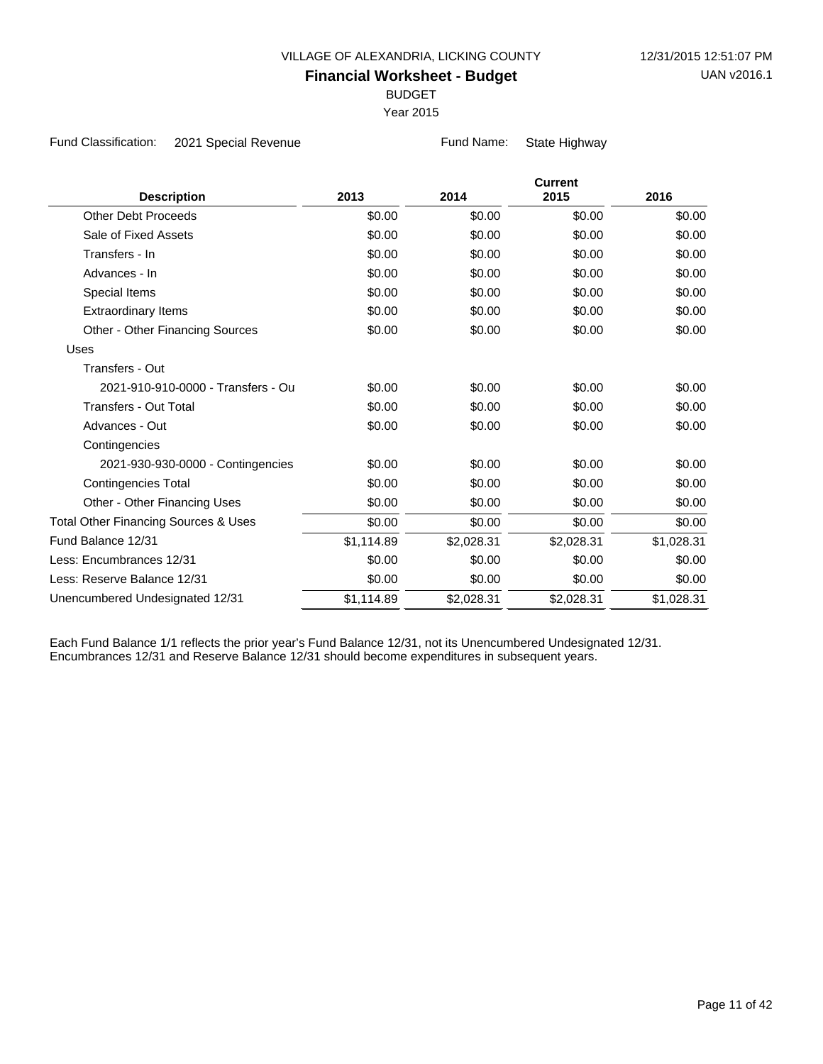BUDGET

Year 2015

Fund Classification: 2021 Special Revenue **Fund Name:** State Highway

| <b>Description</b>                              | 2013       | 2014       | <b>Current</b><br>2015 | 2016       |
|-------------------------------------------------|------------|------------|------------------------|------------|
| <b>Other Debt Proceeds</b>                      | \$0.00     | \$0.00     | \$0.00                 | \$0.00     |
| Sale of Fixed Assets                            | \$0.00     | \$0.00     | \$0.00                 | \$0.00     |
| Transfers - In                                  | \$0.00     | \$0.00     | \$0.00                 | \$0.00     |
| Advances - In                                   | \$0.00     | \$0.00     | \$0.00                 | \$0.00     |
| Special Items                                   | \$0.00     | \$0.00     | \$0.00                 | \$0.00     |
| <b>Extraordinary Items</b>                      | \$0.00     | \$0.00     | \$0.00                 | \$0.00     |
| Other - Other Financing Sources                 | \$0.00     | \$0.00     | \$0.00                 | \$0.00     |
| Uses                                            |            |            |                        |            |
| Transfers - Out                                 |            |            |                        |            |
| 2021-910-910-0000 - Transfers - Ou              | \$0.00     | \$0.00     | \$0.00                 | \$0.00     |
| <b>Transfers - Out Total</b>                    | \$0.00     | \$0.00     | \$0.00                 | \$0.00     |
| Advances - Out                                  | \$0.00     | \$0.00     | \$0.00                 | \$0.00     |
| Contingencies                                   |            |            |                        |            |
| 2021-930-930-0000 - Contingencies               | \$0.00     | \$0.00     | \$0.00                 | \$0.00     |
| <b>Contingencies Total</b>                      | \$0.00     | \$0.00     | \$0.00                 | \$0.00     |
| Other - Other Financing Uses                    | \$0.00     | \$0.00     | \$0.00                 | \$0.00     |
| <b>Total Other Financing Sources &amp; Uses</b> | \$0.00     | \$0.00     | \$0.00                 | \$0.00     |
| Fund Balance 12/31                              | \$1,114.89 | \$2,028.31 | \$2,028.31             | \$1,028.31 |
| Less: Encumbrances 12/31                        | \$0.00     | \$0.00     | \$0.00                 | \$0.00     |
| Less: Reserve Balance 12/31                     | \$0.00     | \$0.00     | \$0.00                 | \$0.00     |
| Unencumbered Undesignated 12/31                 | \$1,114.89 | \$2,028.31 | \$2,028.31             | \$1,028.31 |
|                                                 |            |            |                        |            |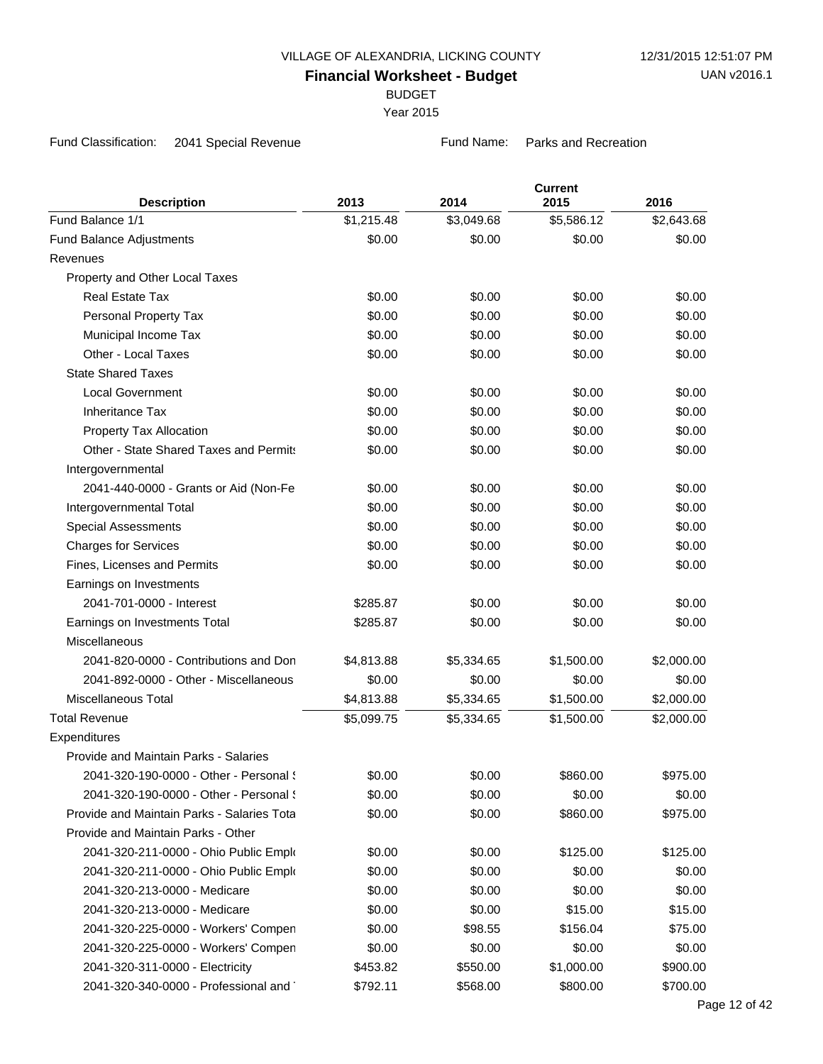BUDGET

Year 2015

Fund Classification: 2041 Special Revenue Fund Name: Parks and Recreation

| <b>Description</b>                         | 2013             | 2014       | <b>Current</b><br>2015 | 2016       |
|--------------------------------------------|------------------|------------|------------------------|------------|
| Fund Balance 1/1                           | \$1,215.48       | \$3,049.68 | \$5,586.12             | \$2,643.68 |
| Fund Balance Adjustments                   | \$0.00           | \$0.00     | \$0.00                 | \$0.00     |
| Revenues                                   |                  |            |                        |            |
| Property and Other Local Taxes             |                  |            |                        |            |
| <b>Real Estate Tax</b>                     | \$0.00           | \$0.00     | \$0.00                 | \$0.00     |
| Personal Property Tax                      | \$0.00           | \$0.00     | \$0.00                 | \$0.00     |
| Municipal Income Tax                       | \$0.00           | \$0.00     | \$0.00                 | \$0.00     |
| Other - Local Taxes                        | \$0.00           | \$0.00     | \$0.00                 | \$0.00     |
| <b>State Shared Taxes</b>                  |                  |            |                        |            |
| <b>Local Government</b>                    | \$0.00           | \$0.00     | \$0.00                 | \$0.00     |
| <b>Inheritance Tax</b>                     | \$0.00           | \$0.00     | \$0.00                 | \$0.00     |
| Property Tax Allocation                    | \$0.00           | \$0.00     | \$0.00                 | \$0.00     |
| Other - State Shared Taxes and Permits     | \$0.00           | \$0.00     | \$0.00                 | \$0.00     |
|                                            |                  |            |                        |            |
| Intergovernmental                          |                  | \$0.00     | \$0.00                 | \$0.00     |
| 2041-440-0000 - Grants or Aid (Non-Fe      | \$0.00<br>\$0.00 | \$0.00     | \$0.00                 | \$0.00     |
| Intergovernmental Total                    |                  |            | \$0.00                 |            |
| <b>Special Assessments</b>                 | \$0.00           | \$0.00     | \$0.00                 | \$0.00     |
| <b>Charges for Services</b>                | \$0.00           | \$0.00     |                        | \$0.00     |
| Fines, Licenses and Permits                | \$0.00           | \$0.00     | \$0.00                 | \$0.00     |
| Earnings on Investments                    |                  |            |                        |            |
| 2041-701-0000 - Interest                   | \$285.87         | \$0.00     | \$0.00                 | \$0.00     |
| Earnings on Investments Total              | \$285.87         | \$0.00     | \$0.00                 | \$0.00     |
| <b>Miscellaneous</b>                       |                  |            |                        |            |
| 2041-820-0000 - Contributions and Don      | \$4,813.88       | \$5,334.65 | \$1,500.00             | \$2,000.00 |
| 2041-892-0000 - Other - Miscellaneous      | \$0.00           | \$0.00     | \$0.00                 | \$0.00     |
| <b>Miscellaneous Total</b>                 | \$4,813.88       | \$5,334.65 | \$1,500.00             | \$2,000.00 |
| <b>Total Revenue</b>                       | \$5,099.75       | \$5,334.65 | \$1,500.00             | \$2,000.00 |
| Expenditures                               |                  |            |                        |            |
| Provide and Maintain Parks - Salaries      |                  |            |                        |            |
| 2041-320-190-0000 - Other - Personal {     | \$0.00           | \$0.00     | \$860.00               | \$975.00   |
| 2041-320-190-0000 - Other - Personal {     | \$0.00           | \$0.00     | \$0.00                 | \$0.00     |
| Provide and Maintain Parks - Salaries Tota | \$0.00           | \$0.00     | \$860.00               | \$975.00   |
| Provide and Maintain Parks - Other         |                  |            |                        |            |
| 2041-320-211-0000 - Ohio Public Emplo      | \$0.00           | \$0.00     | \$125.00               | \$125.00   |
| 2041-320-211-0000 - Ohio Public Emplo      | \$0.00           | \$0.00     | \$0.00                 | \$0.00     |
| 2041-320-213-0000 - Medicare               | \$0.00           | \$0.00     | \$0.00                 | \$0.00     |
| 2041-320-213-0000 - Medicare               | \$0.00           | \$0.00     | \$15.00                | \$15.00    |
| 2041-320-225-0000 - Workers' Compen        | \$0.00           | \$98.55    | \$156.04               | \$75.00    |
| 2041-320-225-0000 - Workers' Compen        | \$0.00           | \$0.00     | \$0.00                 | \$0.00     |
| 2041-320-311-0000 - Electricity            | \$453.82         | \$550.00   | \$1,000.00             | \$900.00   |
| 2041-320-340-0000 - Professional and       | \$792.11         | \$568.00   | \$800.00               | \$700.00   |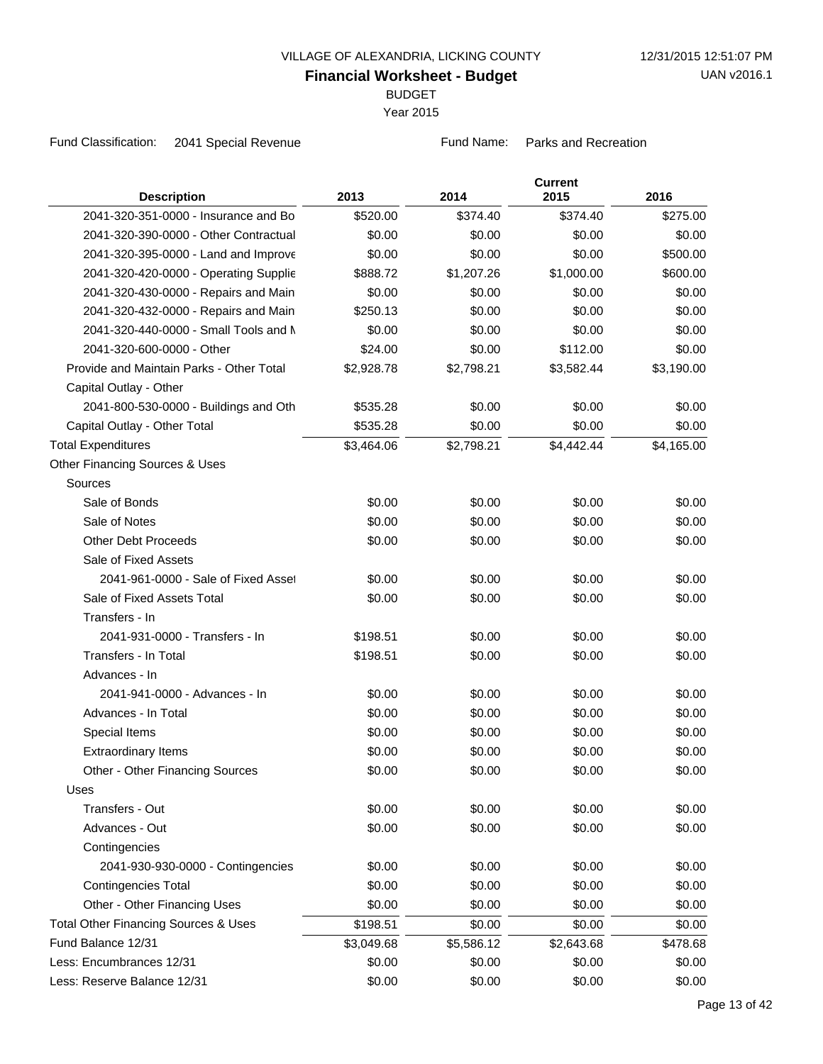BUDGET

Year 2015

Fund Classification: 2041 Special Revenue Fund Name: Parks and Recreation

| <b>Description</b>                              | 2013       | 2014       | <b>Current</b><br>2015 | 2016       |
|-------------------------------------------------|------------|------------|------------------------|------------|
| 2041-320-351-0000 - Insurance and Bo            | \$520.00   | \$374.40   | \$374.40               | \$275.00   |
| 2041-320-390-0000 - Other Contractual           | \$0.00     | \$0.00     | \$0.00                 | \$0.00     |
| 2041-320-395-0000 - Land and Improve            | \$0.00     | \$0.00     | \$0.00                 | \$500.00   |
| 2041-320-420-0000 - Operating Supplie           | \$888.72   | \$1,207.26 | \$1,000.00             | \$600.00   |
| 2041-320-430-0000 - Repairs and Main            | \$0.00     | \$0.00     | \$0.00                 | \$0.00     |
| 2041-320-432-0000 - Repairs and Main            | \$250.13   | \$0.00     | \$0.00                 | \$0.00     |
| 2041-320-440-0000 - Small Tools and N           | \$0.00     | \$0.00     | \$0.00                 | \$0.00     |
| 2041-320-600-0000 - Other                       | \$24.00    | \$0.00     | \$112.00               | \$0.00     |
| Provide and Maintain Parks - Other Total        | \$2,928.78 | \$2,798.21 | \$3,582.44             | \$3,190.00 |
| Capital Outlay - Other                          |            |            |                        |            |
| 2041-800-530-0000 - Buildings and Oth           | \$535.28   | \$0.00     | \$0.00                 | \$0.00     |
| Capital Outlay - Other Total                    | \$535.28   | \$0.00     | \$0.00                 | \$0.00     |
| <b>Total Expenditures</b>                       | \$3,464.06 | \$2,798.21 | \$4,442.44             | \$4,165.00 |
| Other Financing Sources & Uses                  |            |            |                        |            |
| Sources                                         |            |            |                        |            |
| Sale of Bonds                                   | \$0.00     | \$0.00     | \$0.00                 | \$0.00     |
| Sale of Notes                                   | \$0.00     | \$0.00     | \$0.00                 | \$0.00     |
| <b>Other Debt Proceeds</b>                      | \$0.00     | \$0.00     | \$0.00                 | \$0.00     |
| Sale of Fixed Assets                            |            |            |                        |            |
| 2041-961-0000 - Sale of Fixed Asset             | \$0.00     | \$0.00     | \$0.00                 | \$0.00     |
| Sale of Fixed Assets Total                      | \$0.00     | \$0.00     | \$0.00                 | \$0.00     |
| Transfers - In                                  |            |            |                        |            |
| 2041-931-0000 - Transfers - In                  | \$198.51   | \$0.00     | \$0.00                 | \$0.00     |
| Transfers - In Total                            | \$198.51   | \$0.00     | \$0.00                 | \$0.00     |
| Advances - In                                   |            |            |                        |            |
| 2041-941-0000 - Advances - In                   | \$0.00     | \$0.00     | \$0.00                 | \$0.00     |
| Advances - In Total                             | \$0.00     | \$0.00     | \$0.00                 | \$0.00     |
| Special Items                                   | \$0.00     | \$0.00     | \$0.00                 | \$0.00     |
| <b>Extraordinary Items</b>                      | \$0.00     | \$0.00     | \$0.00                 | \$0.00     |
| Other - Other Financing Sources                 | \$0.00     | \$0.00     | \$0.00                 | \$0.00     |
| Uses                                            |            |            |                        |            |
| Transfers - Out                                 | \$0.00     | \$0.00     | \$0.00                 | \$0.00     |
| Advances - Out                                  | \$0.00     | \$0.00     | \$0.00                 | \$0.00     |
| Contingencies                                   |            |            |                        |            |
| 2041-930-930-0000 - Contingencies               | \$0.00     | \$0.00     | \$0.00                 | \$0.00     |
| <b>Contingencies Total</b>                      | \$0.00     | \$0.00     | \$0.00                 | \$0.00     |
| Other - Other Financing Uses                    | \$0.00     | \$0.00     | \$0.00                 | \$0.00     |
| <b>Total Other Financing Sources &amp; Uses</b> | \$198.51   | \$0.00     | \$0.00                 | \$0.00     |
| Fund Balance 12/31                              | \$3,049.68 | \$5,586.12 | \$2,643.68             | \$478.68   |
| Less: Encumbrances 12/31                        | \$0.00     | \$0.00     | \$0.00                 | \$0.00     |
| Less: Reserve Balance 12/31                     | \$0.00     | \$0.00     | \$0.00                 | \$0.00     |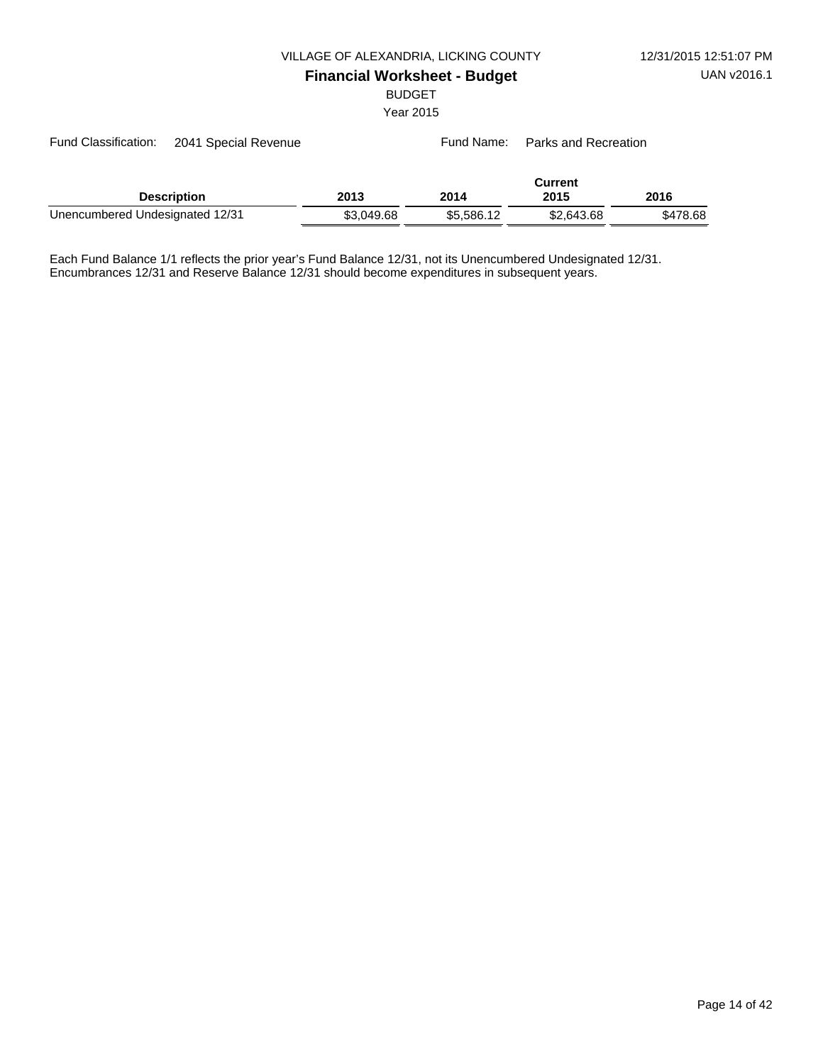BUDGET

Year 2015

| Fund Classification:<br>2041 Special Revenue |                    |            |            | Fund Name: Parks and Recreation |          |
|----------------------------------------------|--------------------|------------|------------|---------------------------------|----------|
|                                              | <b>Description</b> | 2013       | 2014       | <b>Current</b><br>2015          | 2016     |
| Unencumbered Undesignated 12/31              |                    | \$3,049.68 | \$5,586.12 | \$2,643.68                      | \$478.68 |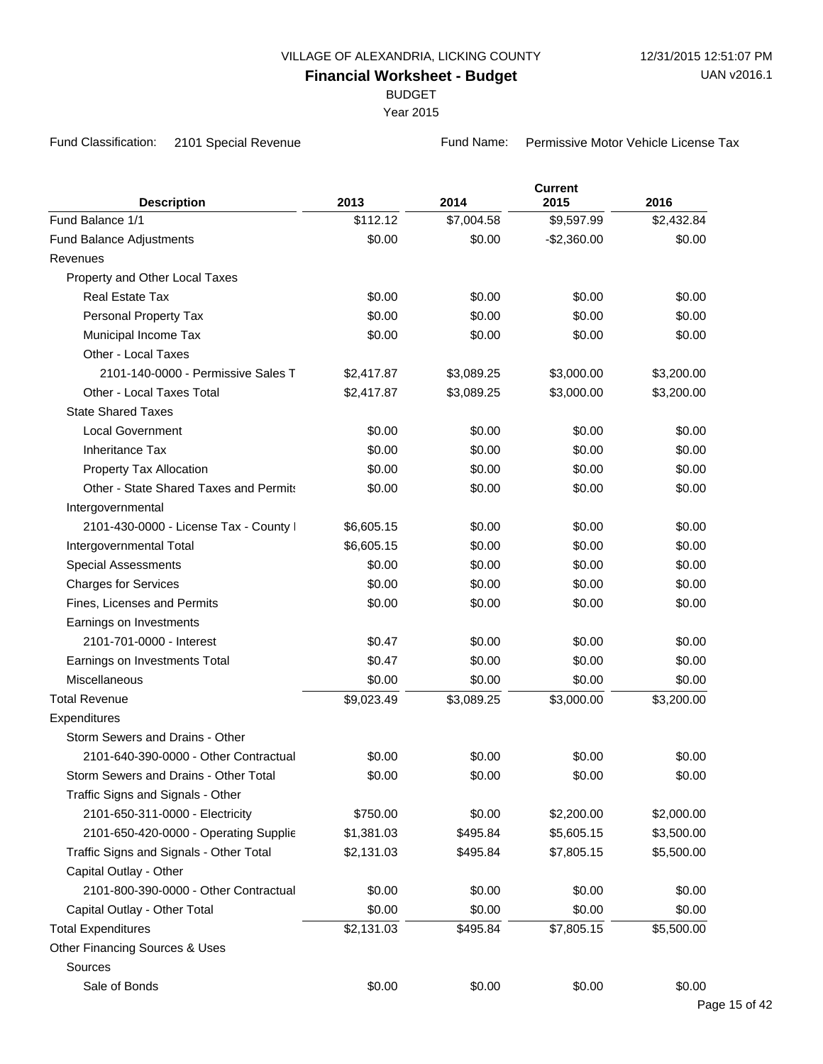BUDGET

Year 2015

Fund Classification: 2101 Special Revenue Fund Name: Permissive Motor Vehicle License Tax

| <b>Description</b>                      | 2013       | 2014       | <b>Current</b><br>2015 | 2016       |
|-----------------------------------------|------------|------------|------------------------|------------|
| Fund Balance 1/1                        | \$112.12   | \$7,004.58 | \$9,597.99             | \$2,432.84 |
| <b>Fund Balance Adjustments</b>         | \$0.00     | \$0.00     | $-$2,360.00$           | \$0.00     |
| Revenues                                |            |            |                        |            |
| Property and Other Local Taxes          |            |            |                        |            |
| <b>Real Estate Tax</b>                  | \$0.00     | \$0.00     | \$0.00                 | \$0.00     |
| Personal Property Tax                   | \$0.00     | \$0.00     | \$0.00                 | \$0.00     |
| Municipal Income Tax                    | \$0.00     | \$0.00     | \$0.00                 | \$0.00     |
| Other - Local Taxes                     |            |            |                        |            |
| 2101-140-0000 - Permissive Sales T      | \$2,417.87 | \$3,089.25 | \$3,000.00             | \$3,200.00 |
| Other - Local Taxes Total               | \$2,417.87 | \$3,089.25 | \$3,000.00             | \$3,200.00 |
| <b>State Shared Taxes</b>               |            |            |                        |            |
| <b>Local Government</b>                 | \$0.00     | \$0.00     | \$0.00                 | \$0.00     |
| <b>Inheritance Tax</b>                  | \$0.00     | \$0.00     | \$0.00                 | \$0.00     |
| Property Tax Allocation                 | \$0.00     | \$0.00     | \$0.00                 | \$0.00     |
| Other - State Shared Taxes and Permits  | \$0.00     | \$0.00     | \$0.00                 | \$0.00     |
| Intergovernmental                       |            |            |                        |            |
| 2101-430-0000 - License Tax - County I  | \$6,605.15 | \$0.00     | \$0.00                 | \$0.00     |
| Intergovernmental Total                 | \$6,605.15 | \$0.00     | \$0.00                 | \$0.00     |
| <b>Special Assessments</b>              | \$0.00     | \$0.00     | \$0.00                 | \$0.00     |
| <b>Charges for Services</b>             | \$0.00     | \$0.00     | \$0.00                 | \$0.00     |
| Fines, Licenses and Permits             | \$0.00     | \$0.00     | \$0.00                 | \$0.00     |
| Earnings on Investments                 |            |            |                        |            |
| 2101-701-0000 - Interest                | \$0.47     | \$0.00     | \$0.00                 | \$0.00     |
| Earnings on Investments Total           | \$0.47     | \$0.00     | \$0.00                 | \$0.00     |
| <b>Miscellaneous</b>                    | \$0.00     | \$0.00     | \$0.00                 | \$0.00     |
| <b>Total Revenue</b>                    | \$9,023.49 | \$3,089.25 | \$3,000.00             | \$3,200.00 |
| Expenditures                            |            |            |                        |            |
| Storm Sewers and Drains - Other         |            |            |                        |            |
| 2101-640-390-0000 - Other Contractual   | \$0.00     | \$0.00     | \$0.00                 | \$0.00     |
| Storm Sewers and Drains - Other Total   | \$0.00     | \$0.00     | \$0.00                 | \$0.00     |
| Traffic Signs and Signals - Other       |            |            |                        |            |
| 2101-650-311-0000 - Electricity         | \$750.00   | \$0.00     | \$2,200.00             | \$2,000.00 |
| 2101-650-420-0000 - Operating Supplie   | \$1,381.03 | \$495.84   | \$5,605.15             | \$3,500.00 |
| Traffic Signs and Signals - Other Total | \$2,131.03 | \$495.84   | \$7,805.15             | \$5,500.00 |
| Capital Outlay - Other                  |            |            |                        |            |
| 2101-800-390-0000 - Other Contractual   | \$0.00     | \$0.00     | \$0.00                 | \$0.00     |
| Capital Outlay - Other Total            | \$0.00     | \$0.00     | \$0.00                 | \$0.00     |
| <b>Total Expenditures</b>               | \$2,131.03 | \$495.84   | \$7,805.15             | \$5,500.00 |
| Other Financing Sources & Uses          |            |            |                        |            |
| Sources                                 |            |            |                        |            |
| Sale of Bonds                           | \$0.00     | \$0.00     | \$0.00                 | \$0.00     |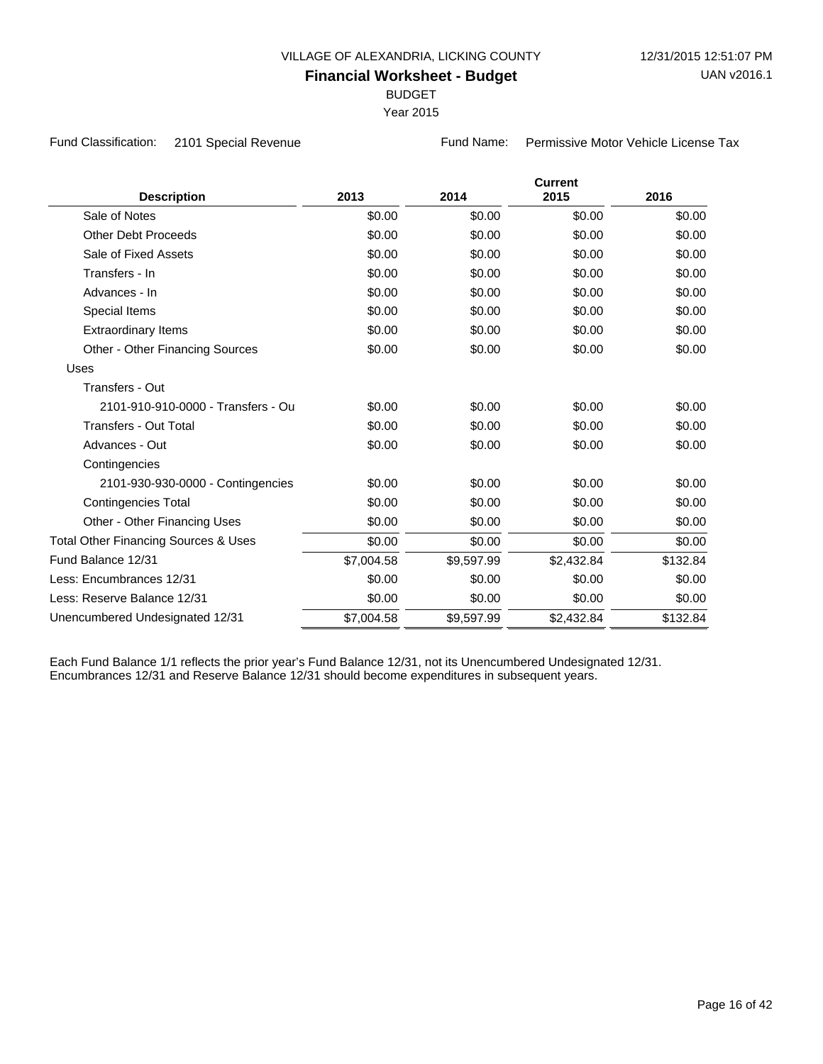BUDGET

Year 2015

Fund Classification: 2101 Special Revenue Fund Name: Permissive Motor Vehicle License Tax

| <b>Description</b>                              | 2013       | 2014       | <b>Current</b><br>2015 | 2016     |
|-------------------------------------------------|------------|------------|------------------------|----------|
| Sale of Notes                                   |            |            |                        |          |
|                                                 | \$0.00     | \$0.00     | \$0.00                 | \$0.00   |
| <b>Other Debt Proceeds</b>                      | \$0.00     | \$0.00     | \$0.00                 | \$0.00   |
| Sale of Fixed Assets                            | \$0.00     | \$0.00     | \$0.00                 | \$0.00   |
| Transfers - In                                  | \$0.00     | \$0.00     | \$0.00                 | \$0.00   |
| Advances - In                                   | \$0.00     | \$0.00     | \$0.00                 | \$0.00   |
| Special Items                                   | \$0.00     | \$0.00     | \$0.00                 | \$0.00   |
| <b>Extraordinary Items</b>                      | \$0.00     | \$0.00     | \$0.00                 | \$0.00   |
| Other - Other Financing Sources                 | \$0.00     | \$0.00     | \$0.00                 | \$0.00   |
| Uses                                            |            |            |                        |          |
| Transfers - Out                                 |            |            |                        |          |
| 2101-910-910-0000 - Transfers - Ou              | \$0.00     | \$0.00     | \$0.00                 | \$0.00   |
| Transfers - Out Total                           | \$0.00     | \$0.00     | \$0.00                 | \$0.00   |
| Advances - Out                                  | \$0.00     | \$0.00     | \$0.00                 | \$0.00   |
| Contingencies                                   |            |            |                        |          |
| 2101-930-930-0000 - Contingencies               | \$0.00     | \$0.00     | \$0.00                 | \$0.00   |
| <b>Contingencies Total</b>                      | \$0.00     | \$0.00     | \$0.00                 | \$0.00   |
| Other - Other Financing Uses                    | \$0.00     | \$0.00     | \$0.00                 | \$0.00   |
| <b>Total Other Financing Sources &amp; Uses</b> | \$0.00     | \$0.00     | \$0.00                 | \$0.00   |
| Fund Balance 12/31                              | \$7,004.58 | \$9,597.99 | \$2,432.84             | \$132.84 |
| Less: Encumbrances 12/31                        | \$0.00     | \$0.00     | \$0.00                 | \$0.00   |
| Less: Reserve Balance 12/31                     | \$0.00     | \$0.00     | \$0.00                 | \$0.00   |
| Unencumbered Undesignated 12/31                 | \$7,004.58 | \$9,597.99 | \$2,432.84             | \$132.84 |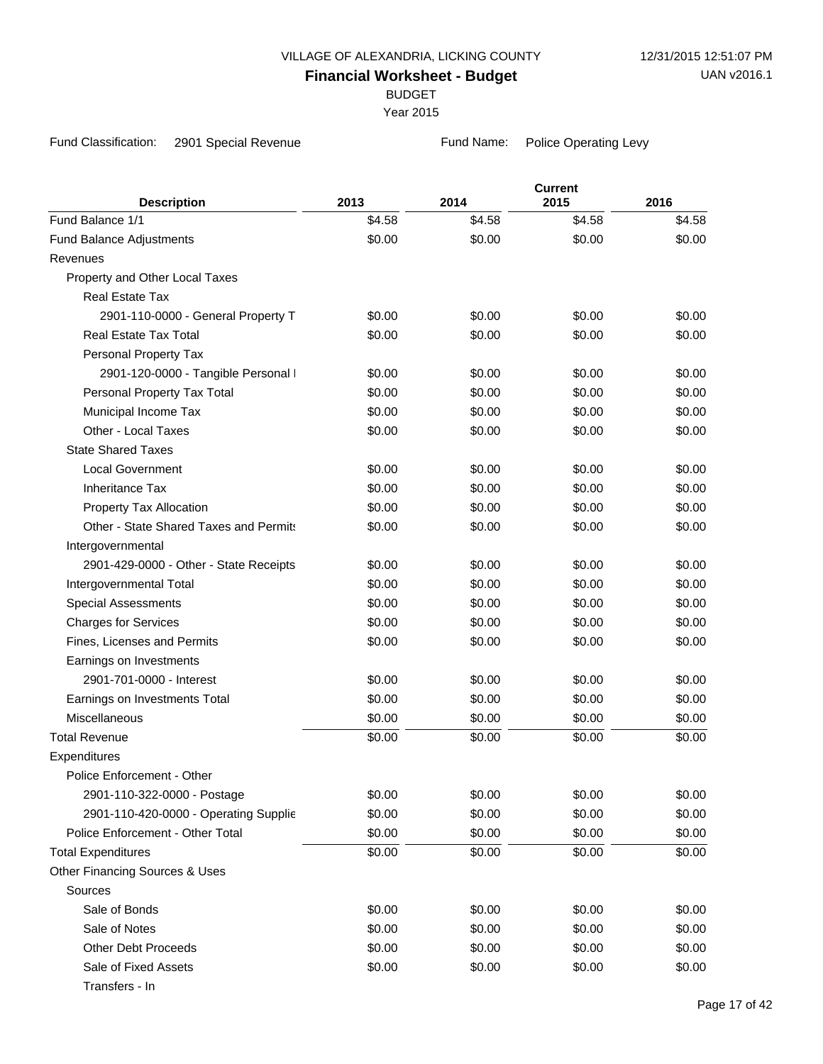BUDGET

Year 2015

Fund Classification: 2901 Special Revenue Fund Name: Police Operating Levy

| <b>Description</b>                     | 2013   | 2014   | <b>Current</b><br>2015 | 2016   |
|----------------------------------------|--------|--------|------------------------|--------|
| Fund Balance 1/1                       | \$4.58 | \$4.58 | \$4.58                 | \$4.58 |
| Fund Balance Adjustments               | \$0.00 | \$0.00 | \$0.00                 | \$0.00 |
| Revenues                               |        |        |                        |        |
| Property and Other Local Taxes         |        |        |                        |        |
| Real Estate Tax                        |        |        |                        |        |
| 2901-110-0000 - General Property T     | \$0.00 | \$0.00 | \$0.00                 | \$0.00 |
| <b>Real Estate Tax Total</b>           | \$0.00 | \$0.00 | \$0.00                 | \$0.00 |
| Personal Property Tax                  |        |        |                        |        |
| 2901-120-0000 - Tangible Personal I    | \$0.00 | \$0.00 | \$0.00                 | \$0.00 |
| Personal Property Tax Total            | \$0.00 | \$0.00 | \$0.00                 | \$0.00 |
| Municipal Income Tax                   | \$0.00 | \$0.00 | \$0.00                 | \$0.00 |
| Other - Local Taxes                    | \$0.00 | \$0.00 | \$0.00                 | \$0.00 |
| <b>State Shared Taxes</b>              |        |        |                        |        |
| <b>Local Government</b>                | \$0.00 | \$0.00 | \$0.00                 | \$0.00 |
| <b>Inheritance Tax</b>                 | \$0.00 | \$0.00 | \$0.00                 | \$0.00 |
| Property Tax Allocation                | \$0.00 | \$0.00 | \$0.00                 | \$0.00 |
| Other - State Shared Taxes and Permits | \$0.00 | \$0.00 | \$0.00                 | \$0.00 |
| Intergovernmental                      |        |        |                        |        |
| 2901-429-0000 - Other - State Receipts | \$0.00 | \$0.00 | \$0.00                 | \$0.00 |
| Intergovernmental Total                | \$0.00 | \$0.00 | \$0.00                 | \$0.00 |
| <b>Special Assessments</b>             | \$0.00 | \$0.00 | \$0.00                 | \$0.00 |
| <b>Charges for Services</b>            | \$0.00 | \$0.00 | \$0.00                 | \$0.00 |
| Fines, Licenses and Permits            | \$0.00 | \$0.00 | \$0.00                 | \$0.00 |
| Earnings on Investments                |        |        |                        |        |
| 2901-701-0000 - Interest               | \$0.00 | \$0.00 | \$0.00                 | \$0.00 |
| Earnings on Investments Total          | \$0.00 | \$0.00 | \$0.00                 | \$0.00 |
| Miscellaneous                          | \$0.00 | \$0.00 | \$0.00                 | \$0.00 |
| <b>Total Revenue</b>                   | \$0.00 | \$0.00 | \$0.00                 | \$0.00 |
| Expenditures                           |        |        |                        |        |
| Police Enforcement - Other             |        |        |                        |        |
| 2901-110-322-0000 - Postage            | \$0.00 | \$0.00 | \$0.00                 | \$0.00 |
| 2901-110-420-0000 - Operating Supplie  | \$0.00 | \$0.00 | \$0.00                 | \$0.00 |
| Police Enforcement - Other Total       | \$0.00 | \$0.00 | \$0.00                 | \$0.00 |
| <b>Total Expenditures</b>              | \$0.00 | \$0.00 | \$0.00                 | \$0.00 |
| Other Financing Sources & Uses         |        |        |                        |        |
| Sources                                |        |        |                        |        |
| Sale of Bonds                          | \$0.00 | \$0.00 | \$0.00                 | \$0.00 |
| Sale of Notes                          | \$0.00 | \$0.00 | \$0.00                 | \$0.00 |
| <b>Other Debt Proceeds</b>             | \$0.00 | \$0.00 | \$0.00                 | \$0.00 |
| Sale of Fixed Assets                   | \$0.00 | \$0.00 | \$0.00                 | \$0.00 |
| Transfers - In                         |        |        |                        |        |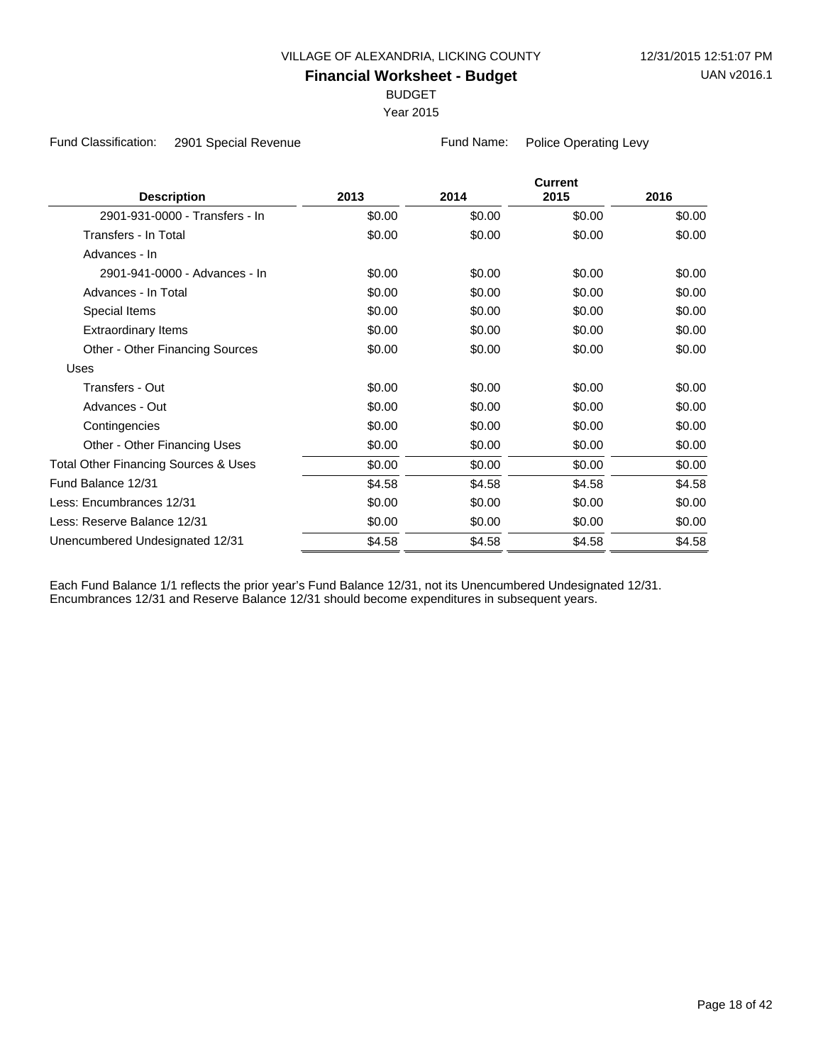BUDGET

Year 2015

Fund Classification: 2901 Special Revenue Fund Name: Police Operating Levy

|                                      |        |        | <b>Current</b> |        |
|--------------------------------------|--------|--------|----------------|--------|
| <b>Description</b>                   | 2013   | 2014   | 2015           | 2016   |
| 2901-931-0000 - Transfers - In       | \$0.00 | \$0.00 | \$0.00         | \$0.00 |
| Transfers - In Total                 | \$0.00 | \$0.00 | \$0.00         | \$0.00 |
| Advances - In                        |        |        |                |        |
| 2901-941-0000 - Advances - In        | \$0.00 | \$0.00 | \$0.00         | \$0.00 |
| Advances - In Total                  | \$0.00 | \$0.00 | \$0.00         | \$0.00 |
| Special Items                        | \$0.00 | \$0.00 | \$0.00         | \$0.00 |
| <b>Extraordinary Items</b>           | \$0.00 | \$0.00 | \$0.00         | \$0.00 |
| Other - Other Financing Sources      | \$0.00 | \$0.00 | \$0.00         | \$0.00 |
| Uses                                 |        |        |                |        |
| Transfers - Out                      | \$0.00 | \$0.00 | \$0.00         | \$0.00 |
| Advances - Out                       | \$0.00 | \$0.00 | \$0.00         | \$0.00 |
| Contingencies                        | \$0.00 | \$0.00 | \$0.00         | \$0.00 |
| Other - Other Financing Uses         | \$0.00 | \$0.00 | \$0.00         | \$0.00 |
| Total Other Financing Sources & Uses | \$0.00 | \$0.00 | \$0.00         | \$0.00 |
| Fund Balance 12/31                   | \$4.58 | \$4.58 | \$4.58         | \$4.58 |
| Less: Encumbrances 12/31             | \$0.00 | \$0.00 | \$0.00         | \$0.00 |
| Less: Reserve Balance 12/31          | \$0.00 | \$0.00 | \$0.00         | \$0.00 |
| Unencumbered Undesignated 12/31      | \$4.58 | \$4.58 | \$4.58         | \$4.58 |
|                                      |        |        |                |        |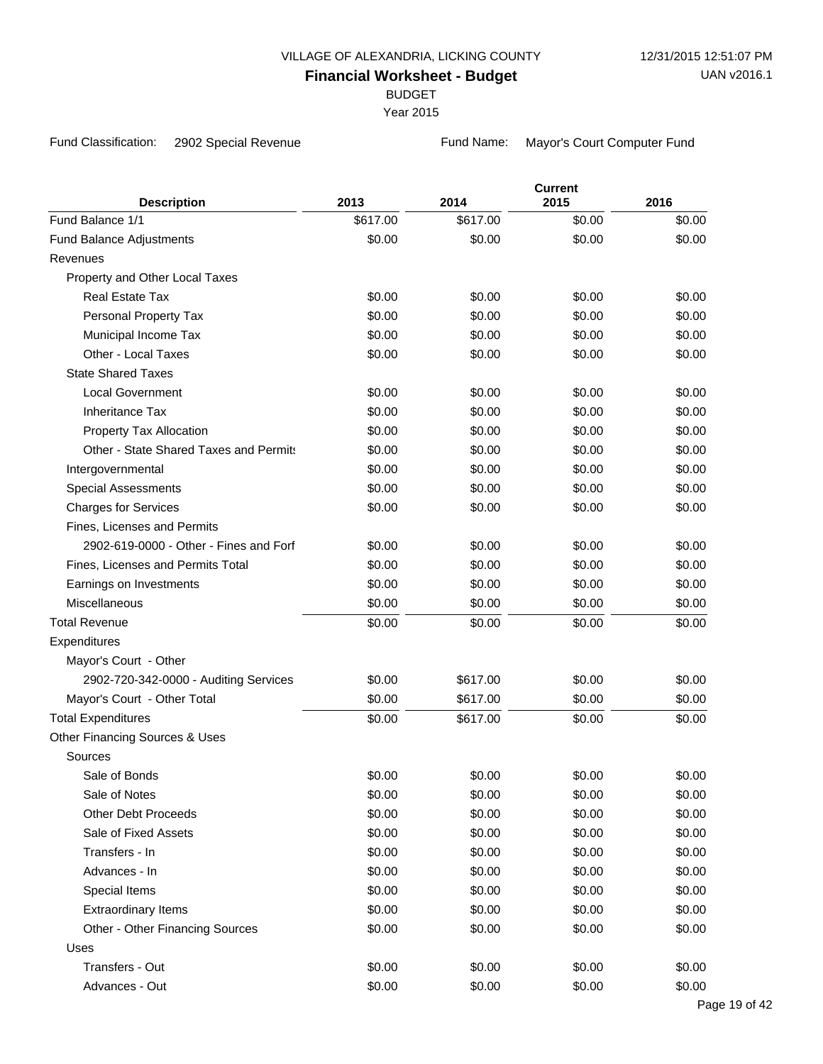BUDGET

Year 2015

Fund Classification: 2902 Special Revenue Fund Name: Mayor's Court Computer Fund

| <b>Description</b>                     | 2013     | 2014     | <b>Current</b><br>2015 | 2016   |
|----------------------------------------|----------|----------|------------------------|--------|
| Fund Balance 1/1                       | \$617.00 | \$617.00 | \$0.00                 | \$0.00 |
| <b>Fund Balance Adjustments</b>        | \$0.00   | \$0.00   | \$0.00                 | \$0.00 |
| Revenues                               |          |          |                        |        |
| Property and Other Local Taxes         |          |          |                        |        |
| <b>Real Estate Tax</b>                 | \$0.00   | \$0.00   | \$0.00                 | \$0.00 |
| Personal Property Tax                  | \$0.00   | \$0.00   | \$0.00                 | \$0.00 |
| Municipal Income Tax                   | \$0.00   | \$0.00   | \$0.00                 | \$0.00 |
| Other - Local Taxes                    | \$0.00   | \$0.00   | \$0.00                 | \$0.00 |
| <b>State Shared Taxes</b>              |          |          |                        |        |
| <b>Local Government</b>                | \$0.00   | \$0.00   | \$0.00                 | \$0.00 |
| <b>Inheritance Tax</b>                 | \$0.00   | \$0.00   | \$0.00                 | \$0.00 |
| Property Tax Allocation                | \$0.00   | \$0.00   | \$0.00                 | \$0.00 |
| Other - State Shared Taxes and Permits | \$0.00   | \$0.00   | \$0.00                 | \$0.00 |
| Intergovernmental                      | \$0.00   | \$0.00   | \$0.00                 | \$0.00 |
| <b>Special Assessments</b>             | \$0.00   | \$0.00   | \$0.00                 | \$0.00 |
| <b>Charges for Services</b>            | \$0.00   | \$0.00   | \$0.00                 | \$0.00 |
| Fines, Licenses and Permits            |          |          |                        |        |
| 2902-619-0000 - Other - Fines and Forf | \$0.00   | \$0.00   | \$0.00                 | \$0.00 |
| Fines, Licenses and Permits Total      | \$0.00   | \$0.00   | \$0.00                 | \$0.00 |
| Earnings on Investments                | \$0.00   | \$0.00   | \$0.00                 | \$0.00 |
| Miscellaneous                          | \$0.00   | \$0.00   | \$0.00                 | \$0.00 |
| <b>Total Revenue</b>                   | \$0.00   | \$0.00   | \$0.00                 | \$0.00 |
| Expenditures                           |          |          |                        |        |
| Mayor's Court - Other                  |          |          |                        |        |
| 2902-720-342-0000 - Auditing Services  | \$0.00   | \$617.00 | \$0.00                 | \$0.00 |
| Mayor's Court - Other Total            | \$0.00   | \$617.00 | \$0.00                 | \$0.00 |
| <b>Total Expenditures</b>              | \$0.00   | \$617.00 | \$0.00                 | \$0.00 |
| Other Financing Sources & Uses         |          |          |                        |        |
| Sources                                |          |          |                        |        |
| Sale of Bonds                          | \$0.00   | \$0.00   | \$0.00                 | \$0.00 |
| Sale of Notes                          | \$0.00   | \$0.00   | \$0.00                 | \$0.00 |
| <b>Other Debt Proceeds</b>             | \$0.00   | \$0.00   | \$0.00                 | \$0.00 |
| Sale of Fixed Assets                   | \$0.00   | \$0.00   | \$0.00                 | \$0.00 |
| Transfers - In                         | \$0.00   | \$0.00   | \$0.00                 | \$0.00 |
| Advances - In                          | \$0.00   | \$0.00   | \$0.00                 | \$0.00 |
| Special Items                          | \$0.00   | \$0.00   | \$0.00                 | \$0.00 |
| <b>Extraordinary Items</b>             | \$0.00   | \$0.00   | \$0.00                 | \$0.00 |
| Other - Other Financing Sources        | \$0.00   | \$0.00   | \$0.00                 | \$0.00 |
| Uses                                   |          |          |                        |        |
| Transfers - Out                        | \$0.00   | \$0.00   | \$0.00                 | \$0.00 |
| Advances - Out                         | \$0.00   | \$0.00   | \$0.00                 | \$0.00 |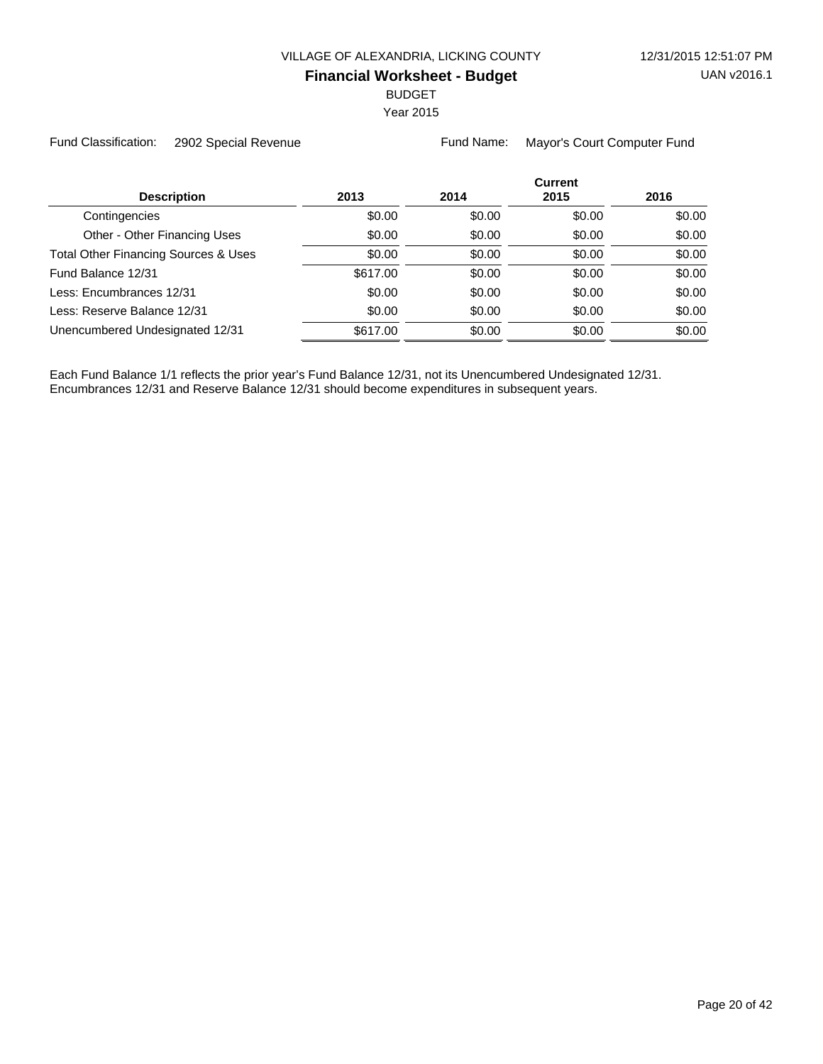BUDGET

Year 2015

Fund Classification: 2902 Special Revenue Fund Name: Mayor's Court Computer Fund

|                                                 |          |        | <b>Current</b> |        |
|-------------------------------------------------|----------|--------|----------------|--------|
| <b>Description</b>                              | 2013     | 2014   | 2015           | 2016   |
| Contingencies                                   | \$0.00   | \$0.00 | \$0.00         | \$0.00 |
| Other - Other Financing Uses                    | \$0.00   | \$0.00 | \$0.00         | \$0.00 |
| <b>Total Other Financing Sources &amp; Uses</b> | \$0.00   | \$0.00 | \$0.00         | \$0.00 |
| Fund Balance 12/31                              | \$617.00 | \$0.00 | \$0.00         | \$0.00 |
| Less: Encumbrances 12/31                        | \$0.00   | \$0.00 | \$0.00         | \$0.00 |
| Less: Reserve Balance 12/31                     | \$0.00   | \$0.00 | \$0.00         | \$0.00 |
| Unencumbered Undesignated 12/31                 | \$617.00 | \$0.00 | \$0.00         | \$0.00 |
|                                                 |          |        |                |        |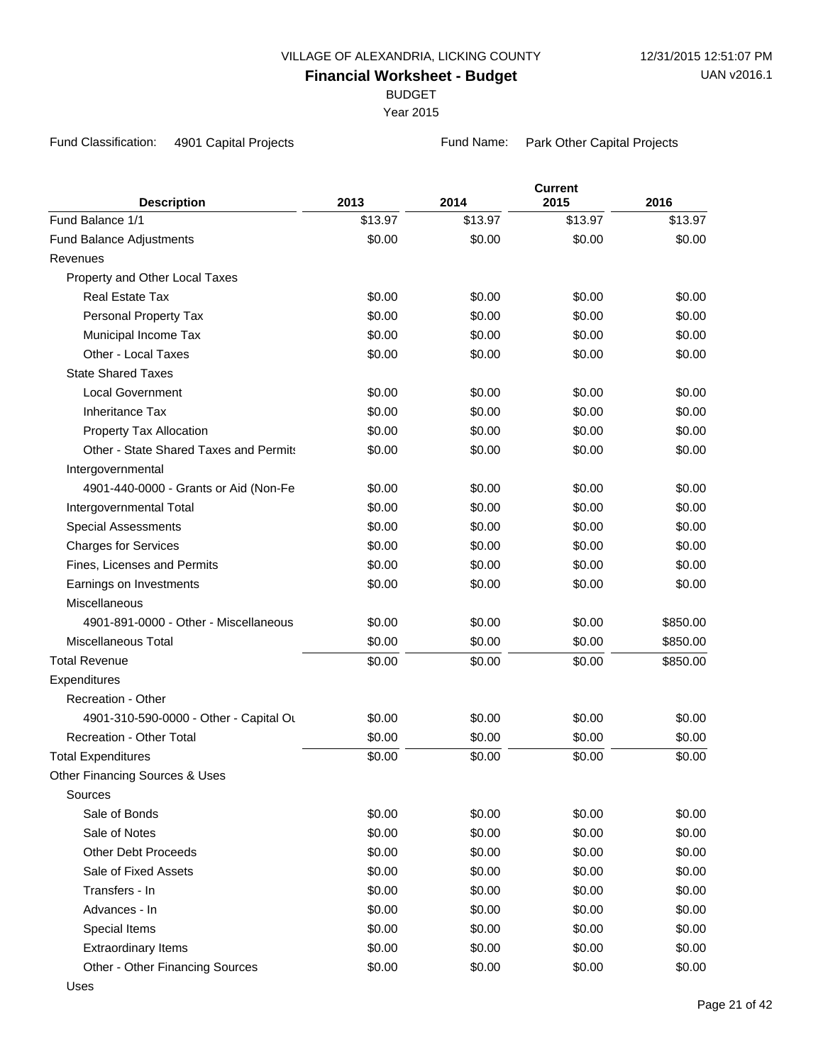BUDGET

Year 2015

Fund Classification: 4901 Capital Projects Fund Name: Park Other Capital Projects

| <b>Description</b>                                                | 2013    | 2014    | <b>Current</b><br>2015 | 2016     |
|-------------------------------------------------------------------|---------|---------|------------------------|----------|
| Fund Balance 1/1                                                  | \$13.97 | \$13.97 | \$13.97                | \$13.97  |
| <b>Fund Balance Adjustments</b>                                   | \$0.00  | \$0.00  | \$0.00                 | \$0.00   |
| Revenues                                                          |         |         |                        |          |
| Property and Other Local Taxes                                    |         |         |                        |          |
| <b>Real Estate Tax</b>                                            | \$0.00  | \$0.00  | \$0.00                 | \$0.00   |
| Personal Property Tax                                             | \$0.00  | \$0.00  | \$0.00                 | \$0.00   |
| Municipal Income Tax                                              | \$0.00  | \$0.00  | \$0.00                 | \$0.00   |
| Other - Local Taxes                                               | \$0.00  | \$0.00  | \$0.00                 | \$0.00   |
| <b>State Shared Taxes</b>                                         |         |         |                        |          |
| <b>Local Government</b>                                           | \$0.00  | \$0.00  |                        | \$0.00   |
| <b>Inheritance Tax</b>                                            |         |         | \$0.00                 |          |
|                                                                   | \$0.00  | \$0.00  | \$0.00                 | \$0.00   |
| Property Tax Allocation<br>Other - State Shared Taxes and Permits | \$0.00  | \$0.00  | \$0.00                 | \$0.00   |
|                                                                   | \$0.00  | \$0.00  | \$0.00                 | \$0.00   |
| Intergovernmental                                                 |         |         |                        |          |
| 4901-440-0000 - Grants or Aid (Non-Fe                             | \$0.00  | \$0.00  | \$0.00                 | \$0.00   |
| Intergovernmental Total                                           | \$0.00  | \$0.00  | \$0.00                 | \$0.00   |
| <b>Special Assessments</b>                                        | \$0.00  | \$0.00  | \$0.00                 | \$0.00   |
| <b>Charges for Services</b>                                       | \$0.00  | \$0.00  | \$0.00                 | \$0.00   |
| Fines, Licenses and Permits                                       | \$0.00  | \$0.00  | \$0.00                 | \$0.00   |
| Earnings on Investments                                           | \$0.00  | \$0.00  | \$0.00                 | \$0.00   |
| Miscellaneous                                                     |         |         |                        |          |
| 4901-891-0000 - Other - Miscellaneous                             | \$0.00  | \$0.00  | \$0.00                 | \$850.00 |
| <b>Miscellaneous Total</b>                                        | \$0.00  | \$0.00  | \$0.00                 | \$850.00 |
| <b>Total Revenue</b>                                              | \$0.00  | \$0.00  | \$0.00                 | \$850.00 |
| Expenditures                                                      |         |         |                        |          |
| Recreation - Other                                                |         |         |                        |          |
| 4901-310-590-0000 - Other - Capital Ou                            | \$0.00  | \$0.00  | \$0.00                 | \$0.00   |
| <b>Recreation - Other Total</b>                                   | \$0.00  | \$0.00  | \$0.00                 | \$0.00   |
| <b>Total Expenditures</b>                                         | \$0.00  | \$0.00  | \$0.00                 | \$0.00   |
| Other Financing Sources & Uses                                    |         |         |                        |          |
| Sources                                                           |         |         |                        |          |
| Sale of Bonds                                                     | \$0.00  | \$0.00  | \$0.00                 | \$0.00   |
| Sale of Notes                                                     | \$0.00  | \$0.00  | \$0.00                 | \$0.00   |
| <b>Other Debt Proceeds</b>                                        | \$0.00  | \$0.00  | \$0.00                 | \$0.00   |
| Sale of Fixed Assets                                              | \$0.00  | \$0.00  | \$0.00                 | \$0.00   |
| Transfers - In                                                    | \$0.00  | \$0.00  | \$0.00                 | \$0.00   |
| Advances - In                                                     | \$0.00  | \$0.00  | \$0.00                 | \$0.00   |
| Special Items                                                     | \$0.00  | \$0.00  | \$0.00                 | \$0.00   |
| <b>Extraordinary Items</b>                                        | \$0.00  | \$0.00  | \$0.00                 | \$0.00   |
| Other - Other Financing Sources                                   | \$0.00  | \$0.00  | \$0.00                 | \$0.00   |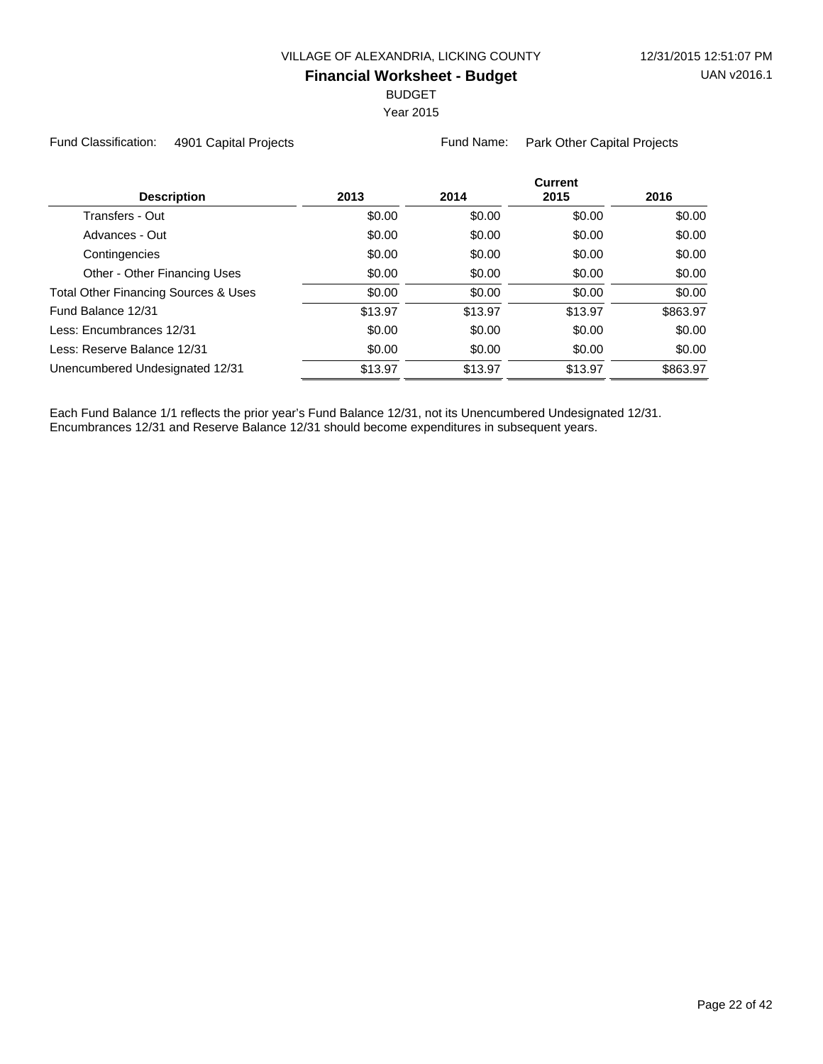BUDGET

Year 2015

Fund Classification: 4901 Capital Projects Fund Name: Park Other Capital Projects

| <b>Description</b>                   | 2013    | 2014    | <b>Current</b><br>2015 | 2016     |
|--------------------------------------|---------|---------|------------------------|----------|
| Transfers - Out                      | \$0.00  | \$0.00  | \$0.00                 | \$0.00   |
| Advances - Out                       | \$0.00  | \$0.00  | \$0.00                 | \$0.00   |
| Contingencies                        | \$0.00  | \$0.00  | \$0.00                 | \$0.00   |
| Other - Other Financing Uses         | \$0.00  | \$0.00  | \$0.00                 | \$0.00   |
| Total Other Financing Sources & Uses | \$0.00  | \$0.00  | \$0.00                 | \$0.00   |
| Fund Balance 12/31                   | \$13.97 | \$13.97 | \$13.97                | \$863.97 |
| Less: Encumbrances 12/31             | \$0.00  | \$0.00  | \$0.00                 | \$0.00   |
| Less: Reserve Balance 12/31          | \$0.00  | \$0.00  | \$0.00                 | \$0.00   |
| Unencumbered Undesignated 12/31      | \$13.97 | \$13.97 | \$13.97                | \$863.97 |
|                                      |         |         |                        |          |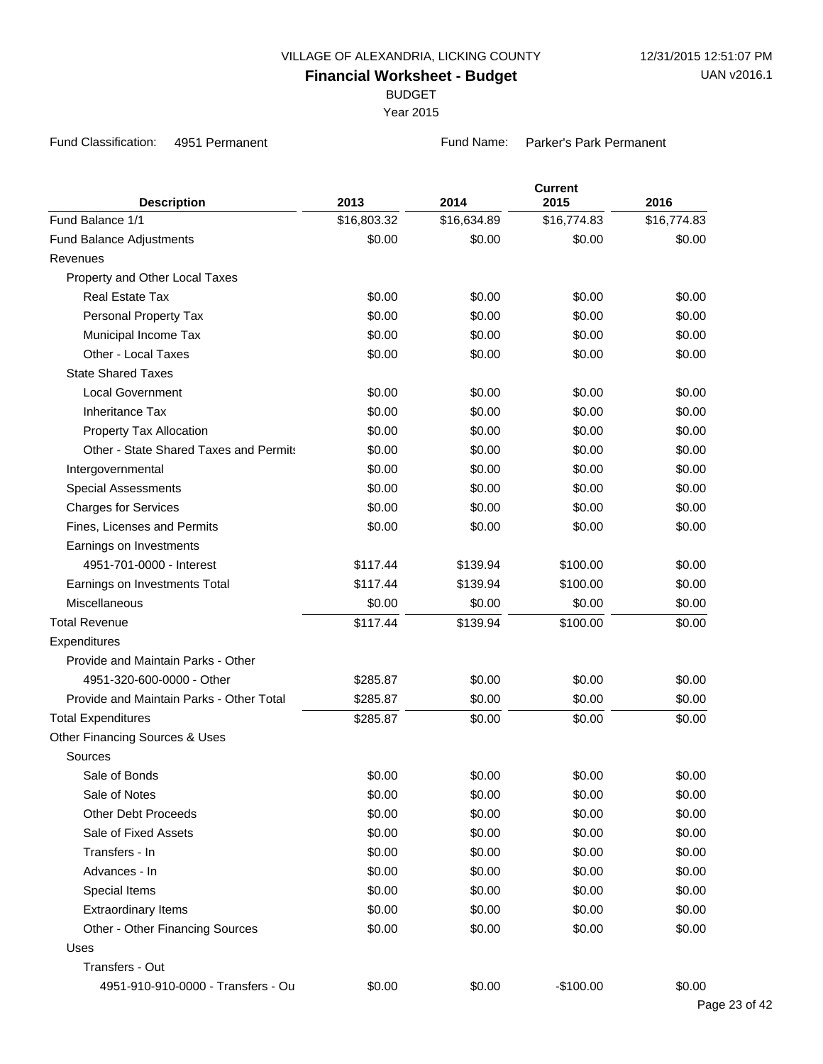BUDGET

Year 2015

Fund Classification: 4951 Permanent Fund Name: Parker's Park Permanent

| <b>Description</b>                       | 2013        | 2014        | <b>Current</b><br>2015 | 2016        |
|------------------------------------------|-------------|-------------|------------------------|-------------|
| Fund Balance 1/1                         | \$16,803.32 | \$16,634.89 | \$16,774.83            | \$16,774.83 |
| Fund Balance Adjustments                 | \$0.00      | \$0.00      | \$0.00                 | \$0.00      |
| Revenues                                 |             |             |                        |             |
| Property and Other Local Taxes           |             |             |                        |             |
| <b>Real Estate Tax</b>                   | \$0.00      | \$0.00      | \$0.00                 | \$0.00      |
| Personal Property Tax                    | \$0.00      | \$0.00      | \$0.00                 | \$0.00      |
| Municipal Income Tax                     | \$0.00      | \$0.00      | \$0.00                 | \$0.00      |
| Other - Local Taxes                      | \$0.00      | \$0.00      | \$0.00                 | \$0.00      |
| <b>State Shared Taxes</b>                |             |             |                        |             |
| Local Government                         | \$0.00      | \$0.00      | \$0.00                 | \$0.00      |
| <b>Inheritance Tax</b>                   | \$0.00      | \$0.00      | \$0.00                 | \$0.00      |
| Property Tax Allocation                  | \$0.00      | \$0.00      | \$0.00                 | \$0.00      |
| Other - State Shared Taxes and Permits   | \$0.00      | \$0.00      | \$0.00                 | \$0.00      |
| Intergovernmental                        | \$0.00      | \$0.00      | \$0.00                 | \$0.00      |
| <b>Special Assessments</b>               | \$0.00      | \$0.00      | \$0.00                 | \$0.00      |
| <b>Charges for Services</b>              | \$0.00      | \$0.00      | \$0.00                 | \$0.00      |
| Fines, Licenses and Permits              | \$0.00      | \$0.00      | \$0.00                 | \$0.00      |
| Earnings on Investments                  |             |             |                        |             |
| 4951-701-0000 - Interest                 | \$117.44    | \$139.94    | \$100.00               | \$0.00      |
| Earnings on Investments Total            | \$117.44    | \$139.94    | \$100.00               | \$0.00      |
| Miscellaneous                            | \$0.00      | \$0.00      | \$0.00                 | \$0.00      |
| <b>Total Revenue</b>                     | \$117.44    | \$139.94    | \$100.00               | \$0.00      |
| Expenditures                             |             |             |                        |             |
| Provide and Maintain Parks - Other       |             |             |                        |             |
| 4951-320-600-0000 - Other                | \$285.87    | \$0.00      | \$0.00                 | \$0.00      |
| Provide and Maintain Parks - Other Total | \$285.87    | \$0.00      | \$0.00                 | \$0.00      |
| <b>Total Expenditures</b>                | \$285.87    | \$0.00      | \$0.00                 | \$0.00      |
| Other Financing Sources & Uses           |             |             |                        |             |
| Sources                                  |             |             |                        |             |
| Sale of Bonds                            | \$0.00      | \$0.00      | \$0.00                 | \$0.00      |
| Sale of Notes                            | \$0.00      | \$0.00      | \$0.00                 | \$0.00      |
| <b>Other Debt Proceeds</b>               | \$0.00      | \$0.00      | \$0.00                 | \$0.00      |
| Sale of Fixed Assets                     | \$0.00      | \$0.00      | \$0.00                 | \$0.00      |
| Transfers - In                           | \$0.00      | \$0.00      | \$0.00                 | \$0.00      |
| Advances - In                            | \$0.00      | \$0.00      | \$0.00                 | \$0.00      |
| Special Items                            | \$0.00      | \$0.00      | \$0.00                 | \$0.00      |
| <b>Extraordinary Items</b>               | \$0.00      | \$0.00      | \$0.00                 | \$0.00      |
| Other - Other Financing Sources          | \$0.00      | \$0.00      | \$0.00                 | \$0.00      |
| Uses                                     |             |             |                        |             |
| Transfers - Out                          |             |             |                        |             |
| 4951-910-910-0000 - Transfers - Ou       | \$0.00      | \$0.00      | $-$100.00$             | \$0.00      |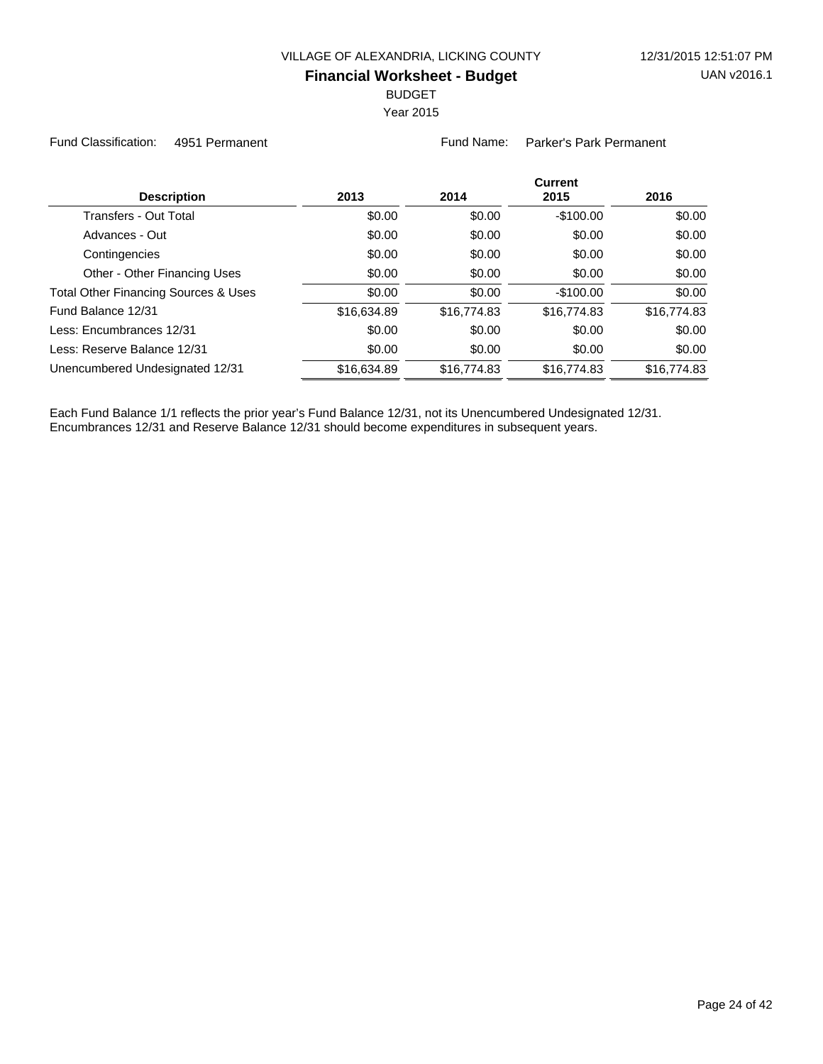BUDGET

Year 2015

Fund Classification: 4951 Permanent Fund Name: Parker's Park Permanent

| <b>Description</b>                   | 2013        | 2014        | <b>Current</b><br>2015 | 2016        |
|--------------------------------------|-------------|-------------|------------------------|-------------|
| <b>Transfers - Out Total</b>         | \$0.00      | \$0.00      | $-$100.00$             | \$0.00      |
| Advances - Out                       | \$0.00      | \$0.00      | \$0.00                 | \$0.00      |
| Contingencies                        | \$0.00      | \$0.00      | \$0.00                 | \$0.00      |
| Other - Other Financing Uses         | \$0.00      | \$0.00      | \$0.00                 | \$0.00      |
| Total Other Financing Sources & Uses | \$0.00      | \$0.00      | $-$100.00$             | \$0.00      |
| Fund Balance 12/31                   | \$16,634.89 | \$16,774.83 | \$16,774.83            | \$16,774.83 |
| Less: Encumbrances 12/31             | \$0.00      | \$0.00      | \$0.00                 | \$0.00      |
| Less: Reserve Balance 12/31          | \$0.00      | \$0.00      | \$0.00                 | \$0.00      |
| Unencumbered Undesignated 12/31      | \$16,634.89 | \$16,774.83 | \$16,774.83            | \$16,774.83 |
|                                      |             |             |                        |             |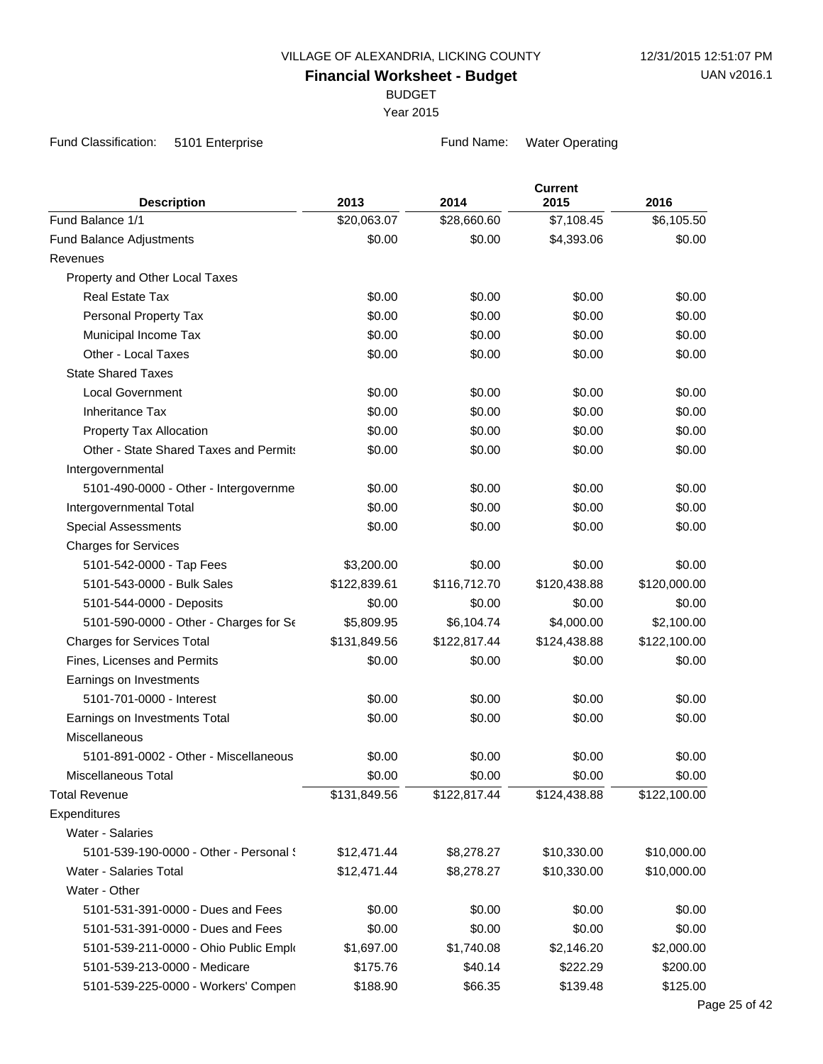BUDGET

Year 2015

Fund Classification: 5101 Enterprise Fund Name: Water Operating

| <b>Description</b>                     | 2013         | 2014         | <b>Current</b><br>2015 | 2016         |
|----------------------------------------|--------------|--------------|------------------------|--------------|
| Fund Balance 1/1                       | \$20,063.07  | \$28,660.60  | \$7,108.45             | \$6,105.50   |
| Fund Balance Adjustments               | \$0.00       | \$0.00       | \$4,393.06             | \$0.00       |
| Revenues                               |              |              |                        |              |
| Property and Other Local Taxes         |              |              |                        |              |
| <b>Real Estate Tax</b>                 | \$0.00       | \$0.00       | \$0.00                 | \$0.00       |
| Personal Property Tax                  | \$0.00       | \$0.00       | \$0.00                 | \$0.00       |
| Municipal Income Tax                   | \$0.00       | \$0.00       | \$0.00                 | \$0.00       |
| Other - Local Taxes                    | \$0.00       | \$0.00       | \$0.00                 | \$0.00       |
| <b>State Shared Taxes</b>              |              |              |                        |              |
| <b>Local Government</b>                | \$0.00       | \$0.00       | \$0.00                 | \$0.00       |
| <b>Inheritance Tax</b>                 | \$0.00       | \$0.00       | \$0.00                 | \$0.00       |
| Property Tax Allocation                | \$0.00       | \$0.00       | \$0.00                 | \$0.00       |
| Other - State Shared Taxes and Permits | \$0.00       | \$0.00       | \$0.00                 | \$0.00       |
| Intergovernmental                      |              |              |                        |              |
| 5101-490-0000 - Other - Intergovernme  | \$0.00       | \$0.00       | \$0.00                 | \$0.00       |
| Intergovernmental Total                | \$0.00       | \$0.00       | \$0.00                 | \$0.00       |
| <b>Special Assessments</b>             | \$0.00       | \$0.00       | \$0.00                 | \$0.00       |
| <b>Charges for Services</b>            |              |              |                        |              |
| 5101-542-0000 - Tap Fees               | \$3,200.00   | \$0.00       | \$0.00                 | \$0.00       |
| 5101-543-0000 - Bulk Sales             | \$122,839.61 | \$116,712.70 | \$120,438.88           | \$120,000.00 |
| 5101-544-0000 - Deposits               | \$0.00       | \$0.00       | \$0.00                 | \$0.00       |
| 5101-590-0000 - Other - Charges for Se | \$5,809.95   | \$6,104.74   | \$4,000.00             | \$2,100.00   |
| <b>Charges for Services Total</b>      | \$131,849.56 | \$122,817.44 | \$124,438.88           | \$122,100.00 |
| Fines, Licenses and Permits            | \$0.00       | \$0.00       | \$0.00                 | \$0.00       |
| Earnings on Investments                |              |              |                        |              |
| 5101-701-0000 - Interest               | \$0.00       | \$0.00       | \$0.00                 | \$0.00       |
| Earnings on Investments Total          | \$0.00       | \$0.00       | \$0.00                 | \$0.00       |
| Miscellaneous                          |              |              |                        |              |
| 5101-891-0002 - Other - Miscellaneous  | \$0.00       | \$0.00       | \$0.00                 | \$0.00       |
| <b>Miscellaneous Total</b>             | \$0.00       | \$0.00       | \$0.00                 | \$0.00       |
| <b>Total Revenue</b>                   | \$131,849.56 | \$122,817.44 | \$124,438.88           | \$122,100.00 |
| Expenditures                           |              |              |                        |              |
| Water - Salaries                       |              |              |                        |              |
| 5101-539-190-0000 - Other - Personal { | \$12,471.44  | \$8,278.27   | \$10,330.00            | \$10,000.00  |
| Water - Salaries Total                 | \$12,471.44  | \$8,278.27   | \$10,330.00            | \$10,000.00  |
| Water - Other                          |              |              |                        |              |
| 5101-531-391-0000 - Dues and Fees      | \$0.00       | \$0.00       | \$0.00                 | \$0.00       |
| 5101-531-391-0000 - Dues and Fees      | \$0.00       | \$0.00       | \$0.00                 | \$0.00       |
| 5101-539-211-0000 - Ohio Public Emplo  | \$1,697.00   | \$1,740.08   | \$2,146.20             | \$2,000.00   |
| 5101-539-213-0000 - Medicare           | \$175.76     | \$40.14      | \$222.29               | \$200.00     |
| 5101-539-225-0000 - Workers' Compen    | \$188.90     | \$66.35      | \$139.48               | \$125.00     |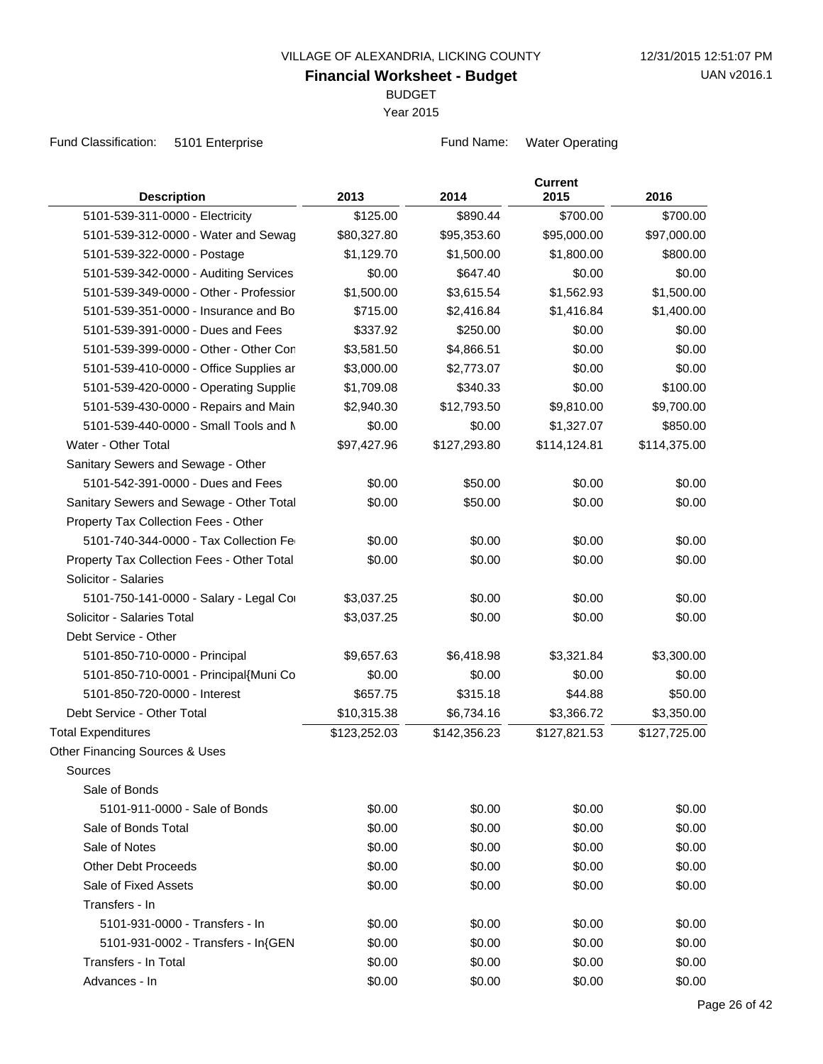BUDGET

Year 2015

Fund Classification: 5101 Enterprise Fund Name: Water Operating

| <b>Description</b>                         | 2013         | 2014         | <b>Current</b><br>2015 | 2016         |
|--------------------------------------------|--------------|--------------|------------------------|--------------|
| 5101-539-311-0000 - Electricity            | \$125.00     | \$890.44     | \$700.00               | \$700.00     |
| 5101-539-312-0000 - Water and Sewag        | \$80,327.80  | \$95,353.60  | \$95,000.00            | \$97,000.00  |
| 5101-539-322-0000 - Postage                | \$1,129.70   | \$1,500.00   | \$1,800.00             | \$800.00     |
| 5101-539-342-0000 - Auditing Services      | \$0.00       | \$647.40     | \$0.00                 | \$0.00       |
| 5101-539-349-0000 - Other - Professior     | \$1,500.00   | \$3,615.54   | \$1,562.93             | \$1,500.00   |
| 5101-539-351-0000 - Insurance and Bo       | \$715.00     | \$2,416.84   | \$1,416.84             | \$1,400.00   |
| 5101-539-391-0000 - Dues and Fees          | \$337.92     | \$250.00     | \$0.00                 | \$0.00       |
| 5101-539-399-0000 - Other - Other Con      | \$3,581.50   | \$4,866.51   | \$0.00                 | \$0.00       |
| 5101-539-410-0000 - Office Supplies ar     | \$3,000.00   | \$2,773.07   | \$0.00                 | \$0.00       |
| 5101-539-420-0000 - Operating Supplie      | \$1,709.08   | \$340.33     | \$0.00                 | \$100.00     |
| 5101-539-430-0000 - Repairs and Main       | \$2,940.30   | \$12,793.50  | \$9,810.00             | \$9,700.00   |
| 5101-539-440-0000 - Small Tools and N      | \$0.00       | \$0.00       | \$1,327.07             | \$850.00     |
| Water - Other Total                        | \$97,427.96  | \$127,293.80 | \$114,124.81           | \$114,375.00 |
| Sanitary Sewers and Sewage - Other         |              |              |                        |              |
| 5101-542-391-0000 - Dues and Fees          | \$0.00       | \$50.00      | \$0.00                 | \$0.00       |
| Sanitary Sewers and Sewage - Other Total   | \$0.00       | \$50.00      | \$0.00                 | \$0.00       |
| Property Tax Collection Fees - Other       |              |              |                        |              |
| 5101-740-344-0000 - Tax Collection Fe      | \$0.00       | \$0.00       | \$0.00                 | \$0.00       |
| Property Tax Collection Fees - Other Total | \$0.00       | \$0.00       | \$0.00                 | \$0.00       |
| Solicitor - Salaries                       |              |              |                        |              |
| 5101-750-141-0000 - Salary - Legal Cor     | \$3,037.25   | \$0.00       | \$0.00                 | \$0.00       |
| Solicitor - Salaries Total                 | \$3,037.25   | \$0.00       | \$0.00                 | \$0.00       |
| Debt Service - Other                       |              |              |                        |              |
| 5101-850-710-0000 - Principal              | \$9,657.63   | \$6,418.98   | \$3,321.84             | \$3,300.00   |
| 5101-850-710-0001 - Principal{Muni Co      | \$0.00       | \$0.00       | \$0.00                 | \$0.00       |
| 5101-850-720-0000 - Interest               | \$657.75     | \$315.18     | \$44.88                | \$50.00      |
| Debt Service - Other Total                 | \$10,315.38  | \$6,734.16   | \$3,366.72             | \$3,350.00   |
| <b>Total Expenditures</b>                  | \$123,252.03 | \$142,356.23 | \$127,821.53           | \$127,725.00 |
| Other Financing Sources & Uses             |              |              |                        |              |
| Sources                                    |              |              |                        |              |
| Sale of Bonds                              |              |              |                        |              |
| 5101-911-0000 - Sale of Bonds              | \$0.00       | \$0.00       | \$0.00                 | \$0.00       |
| Sale of Bonds Total                        | \$0.00       | \$0.00       | \$0.00                 | \$0.00       |
| Sale of Notes                              | \$0.00       | \$0.00       | \$0.00                 | \$0.00       |
| <b>Other Debt Proceeds</b>                 | \$0.00       | \$0.00       | \$0.00                 | \$0.00       |
| Sale of Fixed Assets                       | \$0.00       | \$0.00       | \$0.00                 | \$0.00       |
| Transfers - In                             |              |              |                        |              |
| 5101-931-0000 - Transfers - In             | \$0.00       | \$0.00       | \$0.00                 | \$0.00       |
| 5101-931-0002 - Transfers - In{GEN         | \$0.00       | \$0.00       | \$0.00                 | \$0.00       |
| Transfers - In Total                       | \$0.00       | \$0.00       | \$0.00                 | \$0.00       |
| Advances - In                              | \$0.00       | \$0.00       | \$0.00                 | \$0.00       |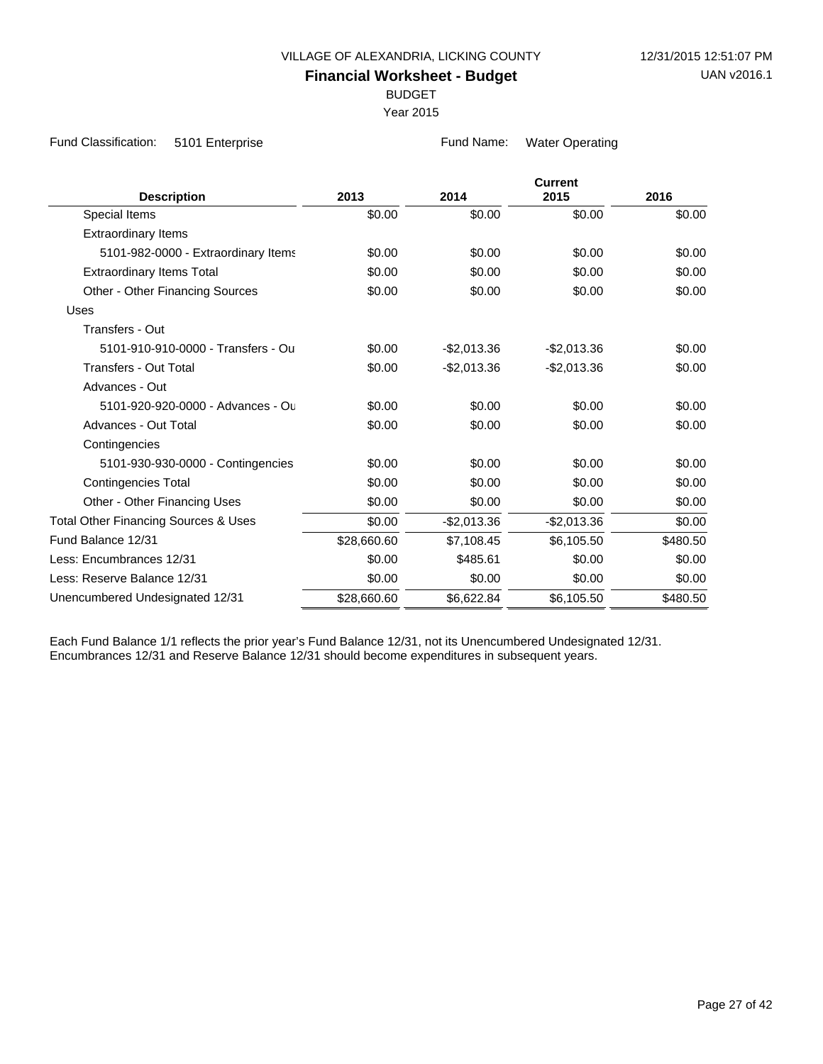BUDGET

Year 2015

Fund Classification: 5101 Enterprise Fund Name: Water Operating

|                                                 |             |              | <b>Current</b> |          |  |
|-------------------------------------------------|-------------|--------------|----------------|----------|--|
| <b>Description</b>                              | 2013        | 2014         | 2015           | 2016     |  |
| Special Items                                   | \$0.00      | \$0.00       | \$0.00         | \$0.00   |  |
| <b>Extraordinary Items</b>                      |             |              |                |          |  |
| 5101-982-0000 - Extraordinary Items             | \$0.00      | \$0.00       | \$0.00         | \$0.00   |  |
| <b>Extraordinary Items Total</b>                | \$0.00      | \$0.00       | \$0.00         | \$0.00   |  |
| <b>Other - Other Financing Sources</b>          | \$0.00      | \$0.00       | \$0.00         | \$0.00   |  |
| Uses                                            |             |              |                |          |  |
| Transfers - Out                                 |             |              |                |          |  |
| 5101-910-910-0000 - Transfers - Ou              | \$0.00      | $-$2,013.36$ | $-$2,013.36$   | \$0.00   |  |
| Transfers - Out Total                           | \$0.00      | $-$2,013.36$ | $-$2,013.36$   | \$0.00   |  |
| Advances - Out                                  |             |              |                |          |  |
| 5101-920-920-0000 - Advances - Ou               | \$0.00      | \$0.00       | \$0.00         | \$0.00   |  |
| Advances - Out Total                            | \$0.00      | \$0.00       | \$0.00         | \$0.00   |  |
| Contingencies                                   |             |              |                |          |  |
| 5101-930-930-0000 - Contingencies               | \$0.00      | \$0.00       | \$0.00         | \$0.00   |  |
| <b>Contingencies Total</b>                      | \$0.00      | \$0.00       | \$0.00         | \$0.00   |  |
| Other - Other Financing Uses                    | \$0.00      | \$0.00       | \$0.00         | \$0.00   |  |
| <b>Total Other Financing Sources &amp; Uses</b> | \$0.00      | $-$2,013.36$ | $-$2,013.36$   | \$0.00   |  |
| Fund Balance 12/31                              | \$28,660.60 | \$7,108.45   | \$6,105.50     | \$480.50 |  |
| Less: Encumbrances 12/31                        | \$0.00      | \$485.61     | \$0.00         | \$0.00   |  |
| Less: Reserve Balance 12/31                     | \$0.00      | \$0.00       | \$0.00         | \$0.00   |  |
| Unencumbered Undesignated 12/31                 | \$28,660.60 | \$6,622.84   | \$6,105.50     | \$480.50 |  |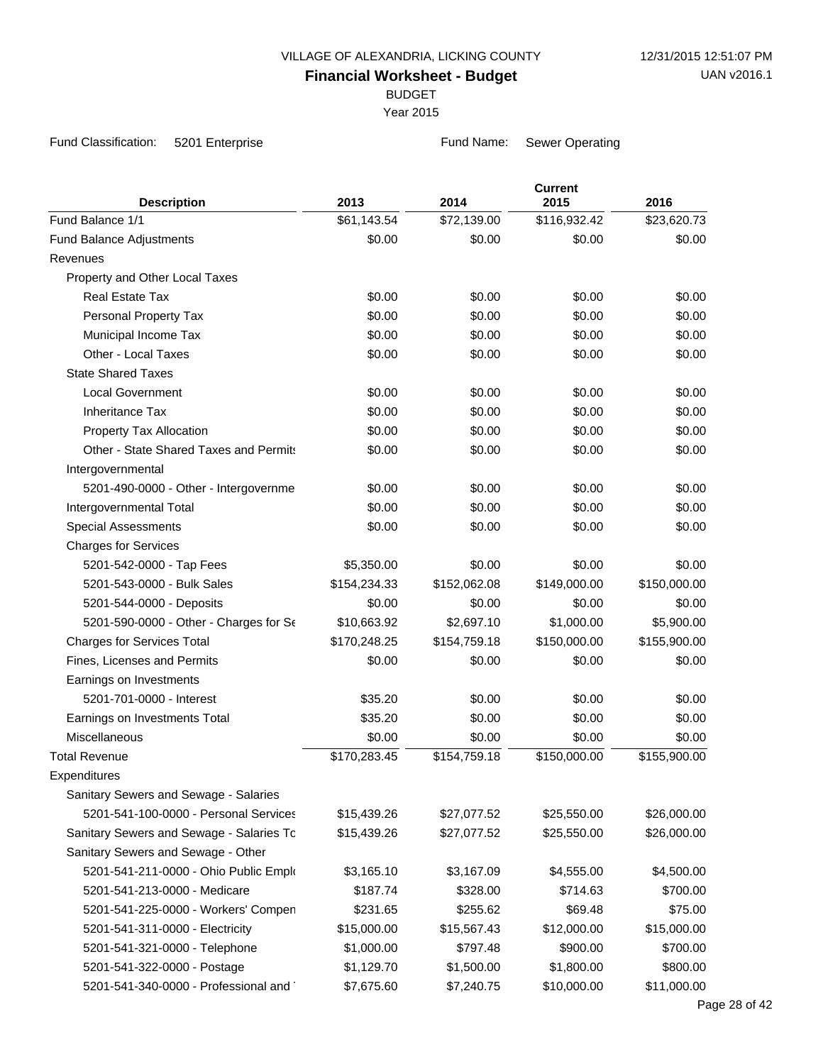BUDGET

Year 2015

Fund Classification: 5201 Enterprise Fund Name: Sewer Operating

| <b>Description</b>                       | 2013         | 2014         | <b>Current</b><br>2015 | 2016         |
|------------------------------------------|--------------|--------------|------------------------|--------------|
| Fund Balance 1/1                         | \$61,143.54  | \$72,139.00  | \$116,932.42           | \$23,620.73  |
| Fund Balance Adjustments                 | \$0.00       | \$0.00       | \$0.00                 | \$0.00       |
| Revenues                                 |              |              |                        |              |
| Property and Other Local Taxes           |              |              |                        |              |
| <b>Real Estate Tax</b>                   | \$0.00       | \$0.00       | \$0.00                 | \$0.00       |
| Personal Property Tax                    | \$0.00       | \$0.00       | \$0.00                 | \$0.00       |
| Municipal Income Tax                     | \$0.00       | \$0.00       | \$0.00                 | \$0.00       |
| Other - Local Taxes                      | \$0.00       | \$0.00       | \$0.00                 | \$0.00       |
| <b>State Shared Taxes</b>                |              |              |                        |              |
| <b>Local Government</b>                  | \$0.00       | \$0.00       | \$0.00                 | \$0.00       |
| <b>Inheritance Tax</b>                   | \$0.00       | \$0.00       | \$0.00                 | \$0.00       |
| Property Tax Allocation                  | \$0.00       | \$0.00       | \$0.00                 | \$0.00       |
| Other - State Shared Taxes and Permits   | \$0.00       | \$0.00       | \$0.00                 | \$0.00       |
| Intergovernmental                        |              |              |                        |              |
| 5201-490-0000 - Other - Intergovernme    | \$0.00       | \$0.00       | \$0.00                 | \$0.00       |
| Intergovernmental Total                  | \$0.00       | \$0.00       | \$0.00                 | \$0.00       |
| <b>Special Assessments</b>               | \$0.00       | \$0.00       | \$0.00                 | \$0.00       |
| <b>Charges for Services</b>              |              |              |                        |              |
| 5201-542-0000 - Tap Fees                 | \$5,350.00   | \$0.00       | \$0.00                 | \$0.00       |
| 5201-543-0000 - Bulk Sales               | \$154,234.33 | \$152,062.08 | \$149,000.00           | \$150,000.00 |
| 5201-544-0000 - Deposits                 | \$0.00       | \$0.00       | \$0.00                 | \$0.00       |
| 5201-590-0000 - Other - Charges for Se   | \$10,663.92  | \$2,697.10   | \$1,000.00             | \$5,900.00   |
| <b>Charges for Services Total</b>        | \$170,248.25 | \$154,759.18 | \$150,000.00           | \$155,900.00 |
| Fines, Licenses and Permits              | \$0.00       | \$0.00       | \$0.00                 | \$0.00       |
| Earnings on Investments                  |              |              |                        |              |
| 5201-701-0000 - Interest                 | \$35.20      | \$0.00       | \$0.00                 | \$0.00       |
| Earnings on Investments Total            | \$35.20      | \$0.00       | \$0.00                 | \$0.00       |
| Miscellaneous                            | \$0.00       | \$0.00       | \$0.00                 | \$0.00       |
| <b>Total Revenue</b>                     | \$170,283.45 | \$154,759.18 | \$150,000.00           | \$155,900.00 |
| Expenditures                             |              |              |                        |              |
| Sanitary Sewers and Sewage - Salaries    |              |              |                        |              |
| 5201-541-100-0000 - Personal Services    | \$15,439.26  | \$27,077.52  | \$25,550.00            | \$26,000.00  |
| Sanitary Sewers and Sewage - Salaries To | \$15,439.26  | \$27,077.52  | \$25,550.00            | \$26,000.00  |
| Sanitary Sewers and Sewage - Other       |              |              |                        |              |
| 5201-541-211-0000 - Ohio Public Emplo    | \$3,165.10   | \$3,167.09   | \$4,555.00             | \$4,500.00   |
| 5201-541-213-0000 - Medicare             | \$187.74     | \$328.00     | \$714.63               | \$700.00     |
| 5201-541-225-0000 - Workers' Compen      | \$231.65     | \$255.62     | \$69.48                | \$75.00      |
| 5201-541-311-0000 - Electricity          | \$15,000.00  | \$15,567.43  | \$12,000.00            | \$15,000.00  |
| 5201-541-321-0000 - Telephone            | \$1,000.00   | \$797.48     | \$900.00               | \$700.00     |
| 5201-541-322-0000 - Postage              | \$1,129.70   | \$1,500.00   | \$1,800.00             | \$800.00     |
| 5201-541-340-0000 - Professional and     | \$7,675.60   | \$7,240.75   | \$10,000.00            | \$11,000.00  |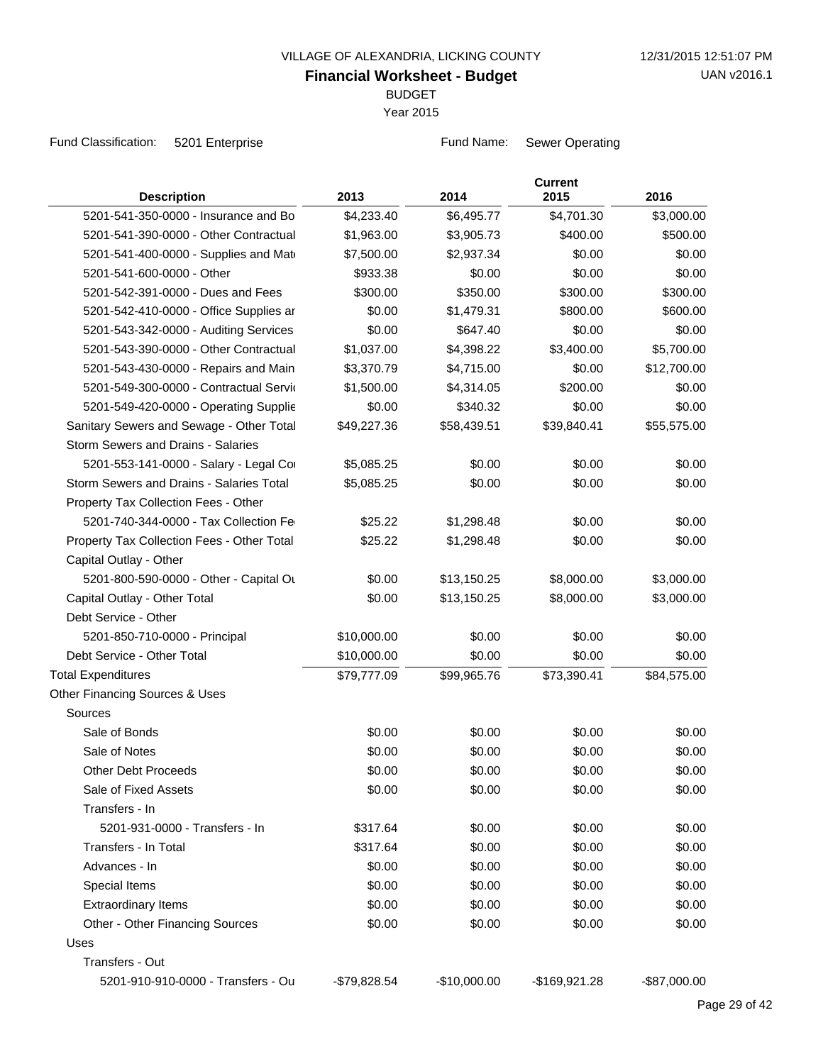BUDGET

Year 2015

Fund Classification: 5201 Enterprise Fund Name: Sewer Operating

| <b>Description</b>                         | 2013          | 2014          | <b>Current</b><br>2015 | 2016         |
|--------------------------------------------|---------------|---------------|------------------------|--------------|
| 5201-541-350-0000 - Insurance and Bo       | \$4,233.40    | \$6,495.77    | \$4,701.30             | \$3,000.00   |
| 5201-541-390-0000 - Other Contractual      | \$1,963.00    | \$3,905.73    | \$400.00               | \$500.00     |
| 5201-541-400-0000 - Supplies and Mate      | \$7,500.00    | \$2,937.34    | \$0.00                 | \$0.00       |
| 5201-541-600-0000 - Other                  | \$933.38      | \$0.00        | \$0.00                 | \$0.00       |
| 5201-542-391-0000 - Dues and Fees          | \$300.00      | \$350.00      | \$300.00               | \$300.00     |
| 5201-542-410-0000 - Office Supplies ar     | \$0.00        | \$1,479.31    | \$800.00               | \$600.00     |
| 5201-543-342-0000 - Auditing Services      | \$0.00        | \$647.40      | \$0.00                 | \$0.00       |
| 5201-543-390-0000 - Other Contractual      | \$1,037.00    | \$4,398.22    | \$3,400.00             | \$5,700.00   |
| 5201-543-430-0000 - Repairs and Main       | \$3,370.79    | \$4,715.00    | \$0.00                 | \$12,700.00  |
| 5201-549-300-0000 - Contractual Servic     | \$1,500.00    | \$4,314.05    | \$200.00               | \$0.00       |
| 5201-549-420-0000 - Operating Supplie      | \$0.00        | \$340.32      | \$0.00                 | \$0.00       |
| Sanitary Sewers and Sewage - Other Total   | \$49,227.36   | \$58,439.51   | \$39,840.41            | \$55,575.00  |
| Storm Sewers and Drains - Salaries         |               |               |                        |              |
| 5201-553-141-0000 - Salary - Legal Cor     | \$5,085.25    | \$0.00        | \$0.00                 | \$0.00       |
| Storm Sewers and Drains - Salaries Total   | \$5,085.25    | \$0.00        | \$0.00                 | \$0.00       |
| Property Tax Collection Fees - Other       |               |               |                        |              |
| 5201-740-344-0000 - Tax Collection Fe      | \$25.22       | \$1,298.48    | \$0.00                 | \$0.00       |
| Property Tax Collection Fees - Other Total | \$25.22       | \$1,298.48    | \$0.00                 | \$0.00       |
| Capital Outlay - Other                     |               |               |                        |              |
| 5201-800-590-0000 - Other - Capital Ou     | \$0.00        | \$13,150.25   | \$8,000.00             | \$3,000.00   |
| Capital Outlay - Other Total               | \$0.00        | \$13,150.25   | \$8,000.00             | \$3,000.00   |
| Debt Service - Other                       |               |               |                        |              |
| 5201-850-710-0000 - Principal              | \$10,000.00   | \$0.00        | \$0.00                 | \$0.00       |
| Debt Service - Other Total                 | \$10,000.00   | \$0.00        | \$0.00                 | \$0.00       |
| <b>Total Expenditures</b>                  | \$79,777.09   | \$99,965.76   | \$73,390.41            | \$84,575.00  |
| Other Financing Sources & Uses             |               |               |                        |              |
| Sources                                    |               |               |                        |              |
| Sale of Bonds                              | \$0.00        | \$0.00        | \$0.00                 | \$0.00       |
| Sale of Notes                              | \$0.00        | \$0.00        | \$0.00                 | \$0.00       |
| <b>Other Debt Proceeds</b>                 | \$0.00        | \$0.00        | \$0.00                 | \$0.00       |
| Sale of Fixed Assets                       | \$0.00        | \$0.00        | \$0.00                 | \$0.00       |
| Transfers - In                             |               |               |                        |              |
| 5201-931-0000 - Transfers - In             | \$317.64      | \$0.00        | \$0.00                 | \$0.00       |
| Transfers - In Total                       | \$317.64      | \$0.00        | \$0.00                 | \$0.00       |
| Advances - In                              | \$0.00        | \$0.00        | \$0.00                 | \$0.00       |
| Special Items                              | \$0.00        | \$0.00        | \$0.00                 | \$0.00       |
| <b>Extraordinary Items</b>                 | \$0.00        | \$0.00        | \$0.00                 | \$0.00       |
| Other - Other Financing Sources            | \$0.00        | \$0.00        | \$0.00                 | \$0.00       |
| Uses                                       |               |               |                        |              |
| Transfers - Out                            |               |               |                        |              |
| 5201-910-910-0000 - Transfers - Ou         | $-$79,828.54$ | $-$10,000.00$ | -\$169,921.28          | -\$87,000.00 |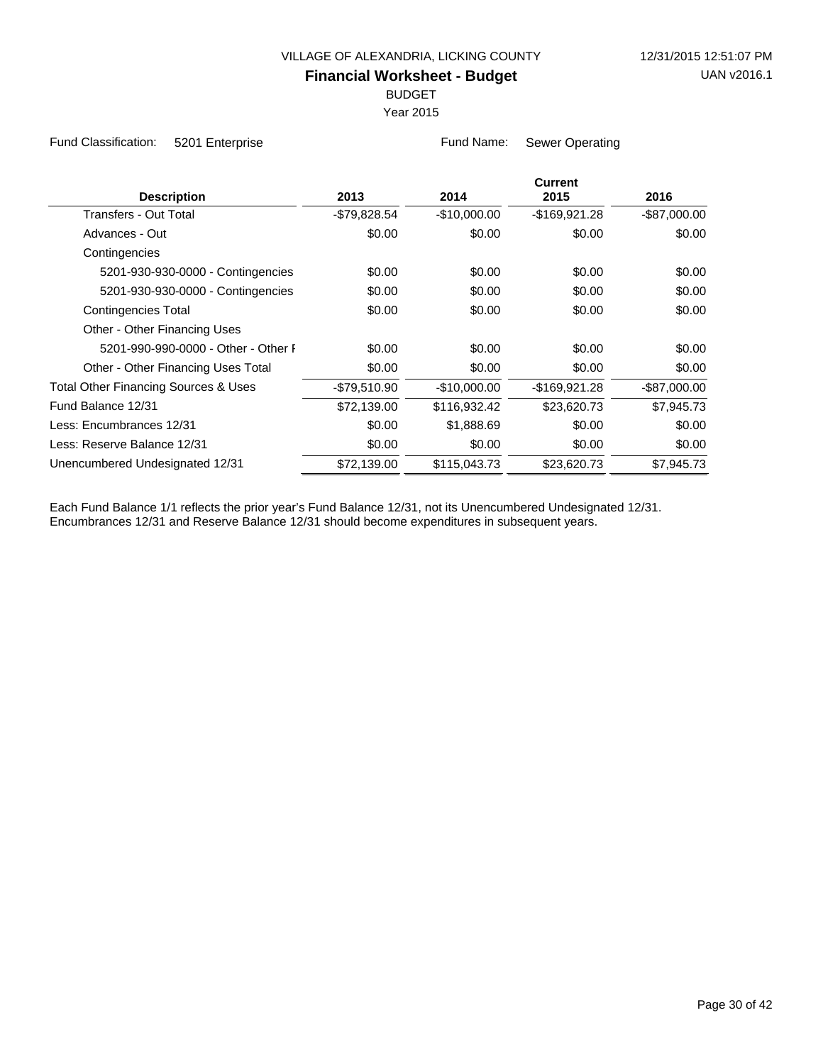BUDGET

Year 2015

Fund Classification: 5201 Enterprise Fund Name: Sewer Operating

| <b>Description</b>                   | 2013          | 2014          | <b>Current</b><br>2015 | 2016            |
|--------------------------------------|---------------|---------------|------------------------|-----------------|
| Transfers - Out Total                | -\$79,828.54  | $-$10,000.00$ | -\$169,921.28          | $-$ \$87,000.00 |
| Advances - Out                       | \$0.00        | \$0.00        | \$0.00                 | \$0.00          |
| Contingencies                        |               |               |                        |                 |
| 5201-930-930-0000 - Contingencies    | \$0.00        | \$0.00        | \$0.00                 | \$0.00          |
| 5201-930-930-0000 - Contingencies    | \$0.00        | \$0.00        | \$0.00                 | \$0.00          |
| <b>Contingencies Total</b>           | \$0.00        | \$0.00        | \$0.00                 | \$0.00          |
| Other - Other Financing Uses         |               |               |                        |                 |
| 5201-990-990-0000 - Other - Other F  | \$0.00        | \$0.00        | \$0.00                 | \$0.00          |
| Other - Other Financing Uses Total   | \$0.00        | \$0.00        | \$0.00                 | \$0.00          |
| Total Other Financing Sources & Uses | $-$79,510.90$ | $-$10,000.00$ | -\$169,921.28          | $-$ \$87,000.00 |
| Fund Balance 12/31                   | \$72,139.00   | \$116,932.42  | \$23,620.73            | \$7,945.73      |
| Less: Encumbrances 12/31             | \$0.00        | \$1,888.69    | \$0.00                 | \$0.00          |
| Less: Reserve Balance 12/31          | \$0.00        | \$0.00        | \$0.00                 | \$0.00          |
| Unencumbered Undesignated 12/31      | \$72,139.00   | \$115,043.73  | \$23,620.73            | \$7,945.73      |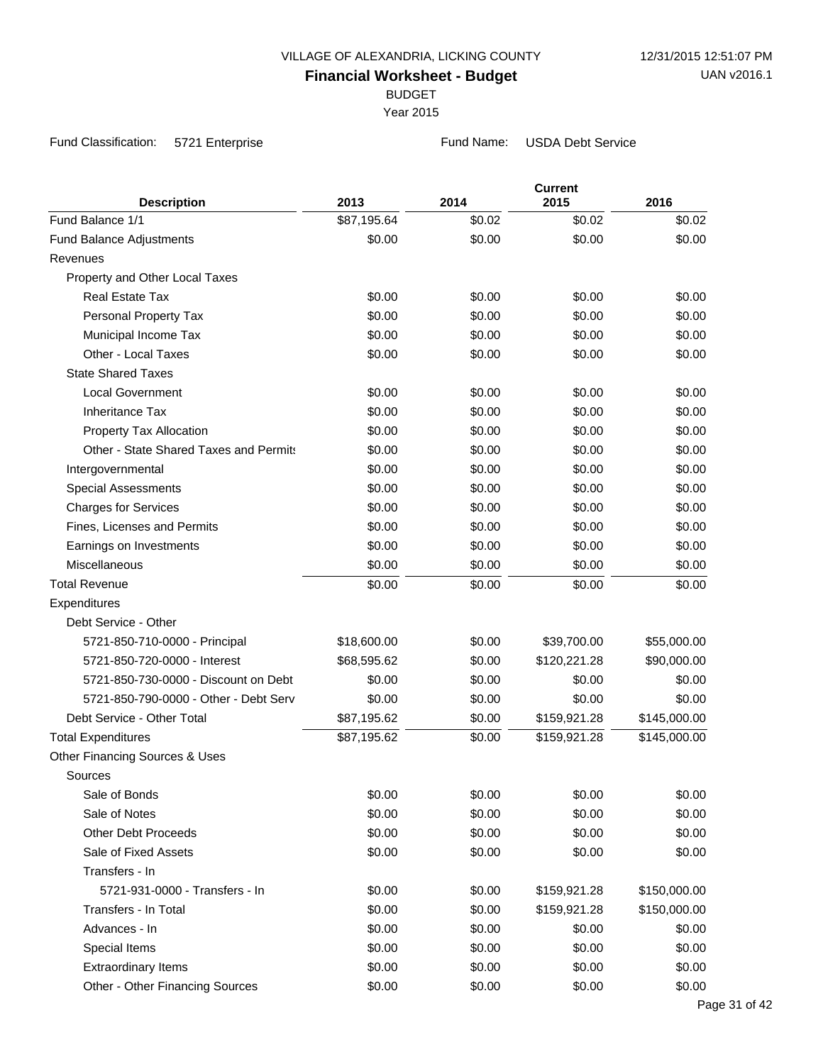BUDGET

Year 2015

Fund Classification: 5721 Enterprise **Fund Name:** USDA Debt Service

| <b>Description</b>                     | 2013        | 2014   | <b>Current</b><br>2015 | 2016         |
|----------------------------------------|-------------|--------|------------------------|--------------|
| Fund Balance 1/1                       | \$87,195.64 | \$0.02 | \$0.02                 | \$0.02       |
| Fund Balance Adjustments               | \$0.00      | \$0.00 | \$0.00                 | \$0.00       |
| Revenues                               |             |        |                        |              |
| Property and Other Local Taxes         |             |        |                        |              |
| <b>Real Estate Tax</b>                 | \$0.00      | \$0.00 | \$0.00                 | \$0.00       |
| Personal Property Tax                  | \$0.00      | \$0.00 | \$0.00                 | \$0.00       |
| Municipal Income Tax                   | \$0.00      | \$0.00 | \$0.00                 | \$0.00       |
| Other - Local Taxes                    | \$0.00      | \$0.00 | \$0.00                 | \$0.00       |
| <b>State Shared Taxes</b>              |             |        |                        |              |
| <b>Local Government</b>                | \$0.00      | \$0.00 | \$0.00                 | \$0.00       |
| <b>Inheritance Tax</b>                 | \$0.00      | \$0.00 | \$0.00                 | \$0.00       |
| Property Tax Allocation                | \$0.00      | \$0.00 | \$0.00                 | \$0.00       |
| Other - State Shared Taxes and Permits | \$0.00      | \$0.00 | \$0.00                 | \$0.00       |
| Intergovernmental                      | \$0.00      | \$0.00 | \$0.00                 | \$0.00       |
| <b>Special Assessments</b>             | \$0.00      | \$0.00 | \$0.00                 | \$0.00       |
| <b>Charges for Services</b>            | \$0.00      | \$0.00 | \$0.00                 | \$0.00       |
| Fines, Licenses and Permits            | \$0.00      | \$0.00 | \$0.00                 | \$0.00       |
| Earnings on Investments                | \$0.00      | \$0.00 | \$0.00                 | \$0.00       |
| Miscellaneous                          | \$0.00      | \$0.00 | \$0.00                 | \$0.00       |
| <b>Total Revenue</b>                   | \$0.00      | \$0.00 | \$0.00                 | \$0.00       |
| Expenditures                           |             |        |                        |              |
| Debt Service - Other                   |             |        |                        |              |
| 5721-850-710-0000 - Principal          | \$18,600.00 | \$0.00 | \$39,700.00            | \$55,000.00  |
| 5721-850-720-0000 - Interest           | \$68,595.62 | \$0.00 | \$120,221.28           | \$90,000.00  |
| 5721-850-730-0000 - Discount on Debt   | \$0.00      | \$0.00 | \$0.00                 | \$0.00       |
| 5721-850-790-0000 - Other - Debt Serv  | \$0.00      | \$0.00 | \$0.00                 | \$0.00       |
| Debt Service - Other Total             | \$87,195.62 | \$0.00 | \$159,921.28           | \$145,000.00 |
| <b>Total Expenditures</b>              | \$87,195.62 | \$0.00 | \$159,921.28           | \$145,000.00 |
| Other Financing Sources & Uses         |             |        |                        |              |
| Sources                                |             |        |                        |              |
| Sale of Bonds                          | \$0.00      | \$0.00 | \$0.00                 | \$0.00       |
| Sale of Notes                          | \$0.00      | \$0.00 | \$0.00                 | \$0.00       |
| <b>Other Debt Proceeds</b>             | \$0.00      | \$0.00 | \$0.00                 | \$0.00       |
| Sale of Fixed Assets                   | \$0.00      | \$0.00 | \$0.00                 | \$0.00       |
| Transfers - In                         |             |        |                        |              |
| 5721-931-0000 - Transfers - In         | \$0.00      | \$0.00 | \$159,921.28           | \$150,000.00 |
| Transfers - In Total                   | \$0.00      | \$0.00 | \$159,921.28           | \$150,000.00 |
| Advances - In                          | \$0.00      | \$0.00 | \$0.00                 | \$0.00       |
| Special Items                          | \$0.00      | \$0.00 | \$0.00                 | \$0.00       |
| <b>Extraordinary Items</b>             | \$0.00      | \$0.00 | \$0.00                 | \$0.00       |
| Other - Other Financing Sources        | \$0.00      | \$0.00 | \$0.00                 | \$0.00       |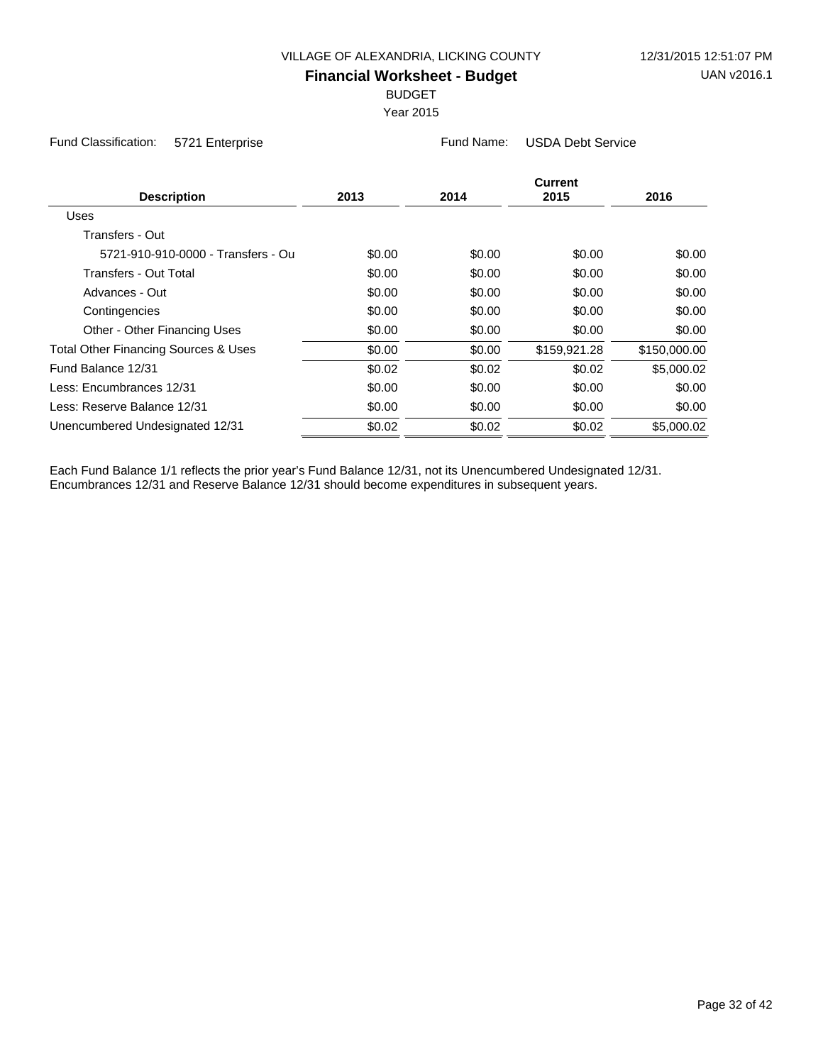BUDGET

Year 2015

Fund Classification: 5721 Enterprise Fund Name: USDA Debt Service

| <b>Description</b>                   | 2013   | 2014   | <b>Current</b><br>2015 | 2016         |
|--------------------------------------|--------|--------|------------------------|--------------|
| Uses                                 |        |        |                        |              |
| Transfers - Out                      |        |        |                        |              |
| 5721-910-910-0000 - Transfers - Ou   | \$0.00 | \$0.00 | \$0.00                 | \$0.00       |
| Transfers - Out Total                | \$0.00 | \$0.00 | \$0.00                 | \$0.00       |
| Advances - Out                       | \$0.00 | \$0.00 | \$0.00                 | \$0.00       |
| Contingencies                        | \$0.00 | \$0.00 | \$0.00                 | \$0.00       |
| Other - Other Financing Uses         | \$0.00 | \$0.00 | \$0.00                 | \$0.00       |
| Total Other Financing Sources & Uses | \$0.00 | \$0.00 | \$159,921.28           | \$150,000.00 |
| Fund Balance 12/31                   | \$0.02 | \$0.02 | \$0.02                 | \$5,000.02   |
| Less: Encumbrances 12/31             | \$0.00 | \$0.00 | \$0.00                 | \$0.00       |
| Less: Reserve Balance 12/31          | \$0.00 | \$0.00 | \$0.00                 | \$0.00       |
| Unencumbered Undesignated 12/31      | \$0.02 | \$0.02 | \$0.02                 | \$5,000.02   |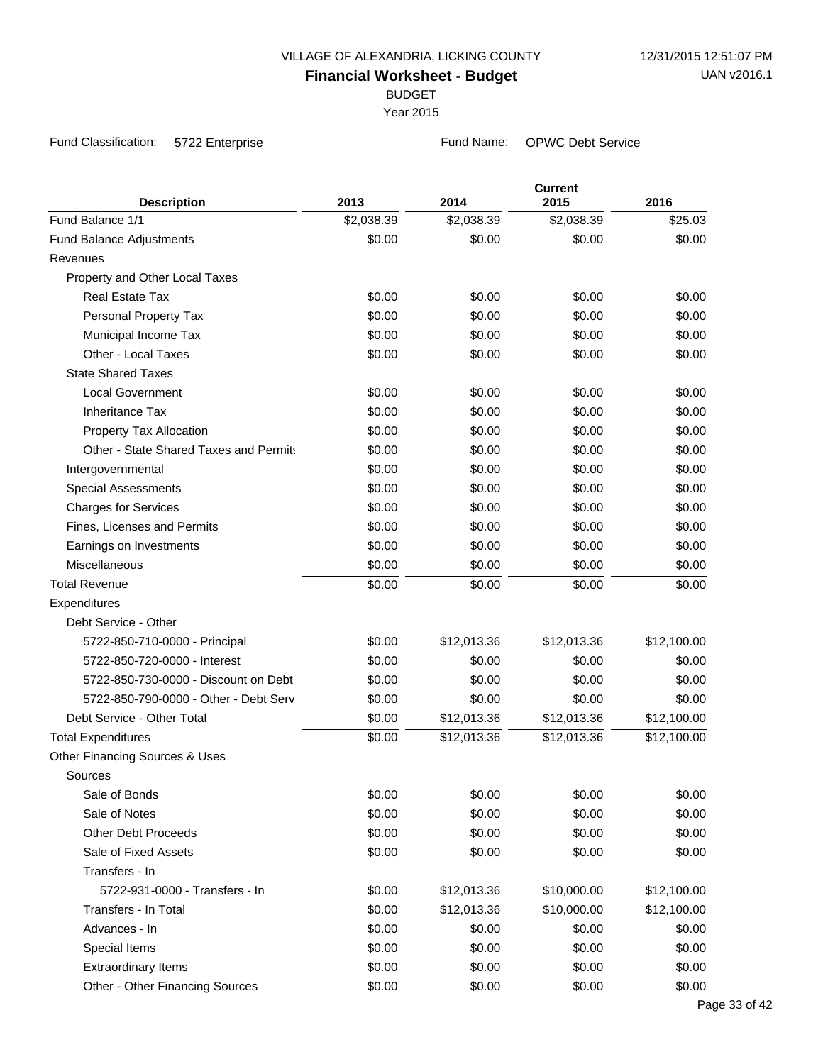BUDGET

Year 2015

Fund Classification: 5722 Enterprise **Fund Name:** OPWC Debt Service

| <b>Description</b>                     | 2013       | 2014        | <b>Current</b><br>2015 | 2016        |
|----------------------------------------|------------|-------------|------------------------|-------------|
| Fund Balance 1/1                       | \$2,038.39 | \$2,038.39  | \$2,038.39             | \$25.03     |
| Fund Balance Adjustments               | \$0.00     | \$0.00      | \$0.00                 | \$0.00      |
| Revenues                               |            |             |                        |             |
| Property and Other Local Taxes         |            |             |                        |             |
| <b>Real Estate Tax</b>                 | \$0.00     | \$0.00      | \$0.00                 | \$0.00      |
| Personal Property Tax                  | \$0.00     | \$0.00      | \$0.00                 | \$0.00      |
| Municipal Income Tax                   | \$0.00     | \$0.00      | \$0.00                 | \$0.00      |
| Other - Local Taxes                    | \$0.00     | \$0.00      | \$0.00                 | \$0.00      |
| <b>State Shared Taxes</b>              |            |             |                        |             |
| <b>Local Government</b>                | \$0.00     | \$0.00      | \$0.00                 | \$0.00      |
| Inheritance Tax                        | \$0.00     | \$0.00      | \$0.00                 | \$0.00      |
| Property Tax Allocation                | \$0.00     | \$0.00      | \$0.00                 | \$0.00      |
| Other - State Shared Taxes and Permits | \$0.00     | \$0.00      | \$0.00                 | \$0.00      |
| Intergovernmental                      | \$0.00     | \$0.00      | \$0.00                 | \$0.00      |
| <b>Special Assessments</b>             | \$0.00     | \$0.00      | \$0.00                 | \$0.00      |
| <b>Charges for Services</b>            | \$0.00     | \$0.00      | \$0.00                 | \$0.00      |
| Fines, Licenses and Permits            | \$0.00     | \$0.00      | \$0.00                 | \$0.00      |
| Earnings on Investments                | \$0.00     | \$0.00      | \$0.00                 | \$0.00      |
| Miscellaneous                          | \$0.00     | \$0.00      | \$0.00                 | \$0.00      |
| <b>Total Revenue</b>                   | \$0.00     | \$0.00      | \$0.00                 | \$0.00      |
| Expenditures                           |            |             |                        |             |
| Debt Service - Other                   |            |             |                        |             |
| 5722-850-710-0000 - Principal          | \$0.00     | \$12,013.36 | \$12,013.36            | \$12,100.00 |
| 5722-850-720-0000 - Interest           | \$0.00     | \$0.00      | \$0.00                 | \$0.00      |
| 5722-850-730-0000 - Discount on Debt   | \$0.00     | \$0.00      | \$0.00                 | \$0.00      |
| 5722-850-790-0000 - Other - Debt Serv  | \$0.00     | \$0.00      | \$0.00                 | \$0.00      |
| Debt Service - Other Total             | \$0.00     | \$12,013.36 | \$12,013.36            | \$12,100.00 |
| <b>Total Expenditures</b>              | \$0.00     | \$12,013.36 | \$12,013.36            | \$12,100.00 |
| Other Financing Sources & Uses         |            |             |                        |             |
| Sources                                |            |             |                        |             |
| Sale of Bonds                          | \$0.00     | \$0.00      | \$0.00                 | \$0.00      |
| Sale of Notes                          | \$0.00     | \$0.00      | \$0.00                 | \$0.00      |
| <b>Other Debt Proceeds</b>             | \$0.00     | \$0.00      | \$0.00                 | \$0.00      |
| Sale of Fixed Assets                   | \$0.00     | \$0.00      | \$0.00                 | \$0.00      |
| Transfers - In                         |            |             |                        |             |
| 5722-931-0000 - Transfers - In         | \$0.00     | \$12,013.36 | \$10,000.00            | \$12,100.00 |
| Transfers - In Total                   | \$0.00     | \$12,013.36 | \$10,000.00            | \$12,100.00 |
| Advances - In                          | \$0.00     | \$0.00      | \$0.00                 | \$0.00      |
| Special Items                          | \$0.00     | \$0.00      | \$0.00                 | \$0.00      |
| <b>Extraordinary Items</b>             | \$0.00     | \$0.00      | \$0.00                 | \$0.00      |
| Other - Other Financing Sources        | \$0.00     | \$0.00      | \$0.00                 | \$0.00      |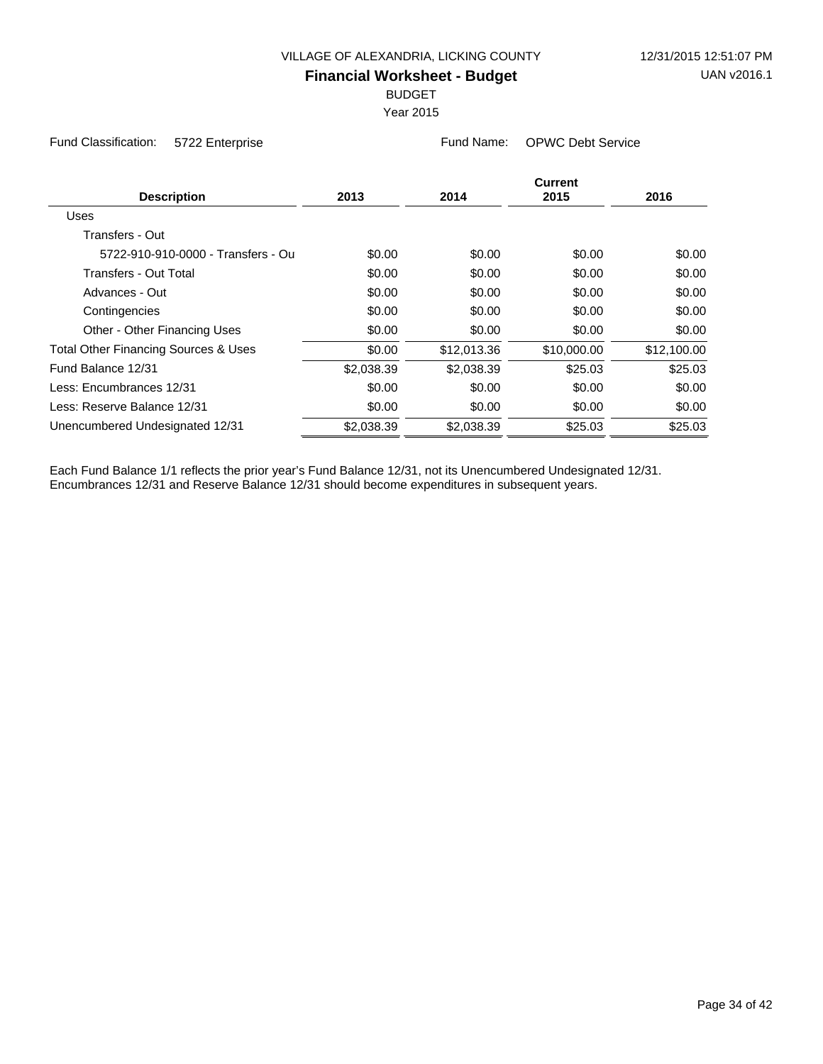BUDGET

Year 2015

Fund Classification: 5722 Enterprise Fund Name: OPWC Debt Service

| <b>Description</b>                              | 2013       | 2014        | Current<br>2015 | 2016        |
|-------------------------------------------------|------------|-------------|-----------------|-------------|
| Uses                                            |            |             |                 |             |
| Transfers - Out                                 |            |             |                 |             |
| 5722-910-910-0000 - Transfers - Ou              | \$0.00     | \$0.00      | \$0.00          | \$0.00      |
| Transfers - Out Total                           | \$0.00     | \$0.00      | \$0.00          | \$0.00      |
| Advances - Out                                  | \$0.00     | \$0.00      | \$0.00          | \$0.00      |
| Contingencies                                   | \$0.00     | \$0.00      | \$0.00          | \$0.00      |
| Other - Other Financing Uses                    | \$0.00     | \$0.00      | \$0.00          | \$0.00      |
| <b>Total Other Financing Sources &amp; Uses</b> | \$0.00     | \$12,013.36 | \$10,000.00     | \$12,100.00 |
| Fund Balance 12/31                              | \$2,038.39 | \$2,038.39  | \$25.03         | \$25.03     |
| Less: Encumbrances 12/31                        | \$0.00     | \$0.00      | \$0.00          | \$0.00      |
| Less: Reserve Balance 12/31                     | \$0.00     | \$0.00      | \$0.00          | \$0.00      |
| Unencumbered Undesignated 12/31                 | \$2,038.39 | \$2,038.39  | \$25.03         | \$25.03     |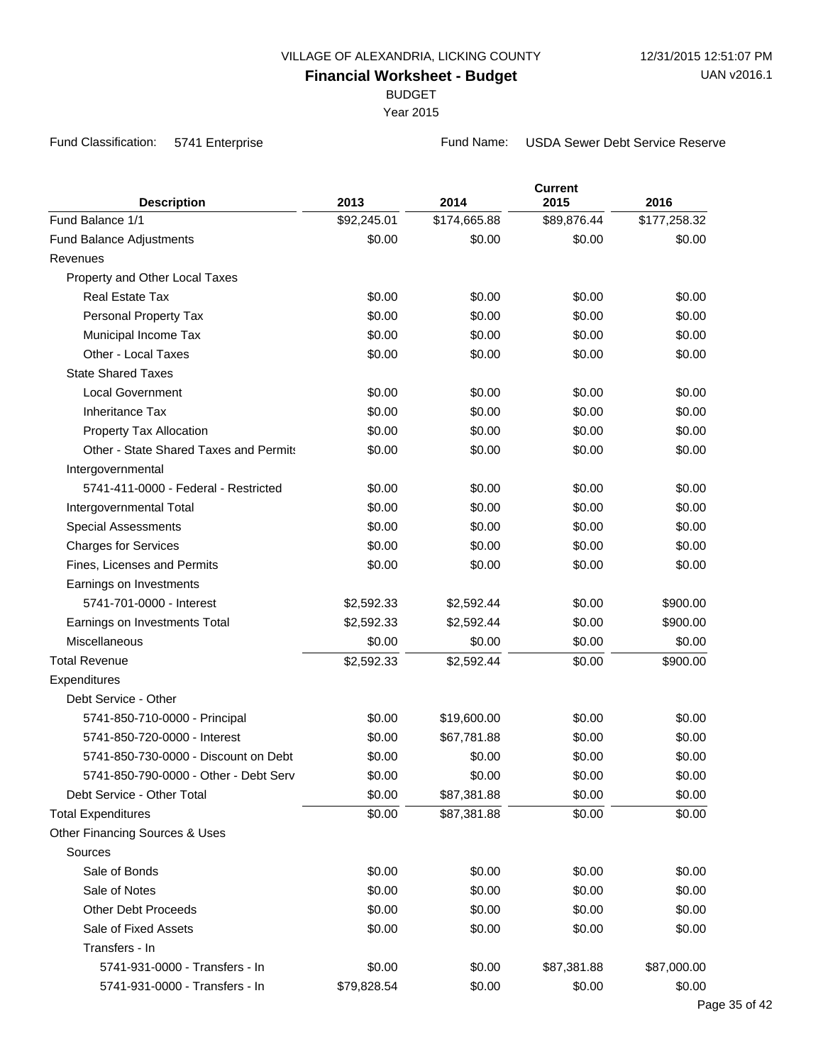BUDGET

Year 2015

Fund Classification: 5741 Enterprise **Fund Name:** USDA Sewer Debt Service Reserve

| <b>Description</b>                     | 2013        | 2014         | <b>Current</b><br>2015 | 2016         |
|----------------------------------------|-------------|--------------|------------------------|--------------|
| Fund Balance 1/1                       | \$92,245.01 | \$174,665.88 | \$89,876.44            | \$177,258.32 |
| <b>Fund Balance Adjustments</b>        | \$0.00      | \$0.00       | \$0.00                 | \$0.00       |
| Revenues                               |             |              |                        |              |
| Property and Other Local Taxes         |             |              |                        |              |
| <b>Real Estate Tax</b>                 | \$0.00      | \$0.00       | \$0.00                 | \$0.00       |
| Personal Property Tax                  | \$0.00      | \$0.00       | \$0.00                 | \$0.00       |
| Municipal Income Tax                   | \$0.00      | \$0.00       | \$0.00                 | \$0.00       |
| Other - Local Taxes                    | \$0.00      | \$0.00       | \$0.00                 | \$0.00       |
| <b>State Shared Taxes</b>              |             |              |                        |              |
| <b>Local Government</b>                | \$0.00      | \$0.00       | \$0.00                 | \$0.00       |
| <b>Inheritance Tax</b>                 | \$0.00      | \$0.00       | \$0.00                 | \$0.00       |
| Property Tax Allocation                | \$0.00      | \$0.00       | \$0.00                 | \$0.00       |
| Other - State Shared Taxes and Permits | \$0.00      | \$0.00       | \$0.00                 | \$0.00       |
| Intergovernmental                      |             |              |                        |              |
| 5741-411-0000 - Federal - Restricted   | \$0.00      | \$0.00       | \$0.00                 | \$0.00       |
| Intergovernmental Total                | \$0.00      | \$0.00       | \$0.00                 | \$0.00       |
| <b>Special Assessments</b>             | \$0.00      | \$0.00       | \$0.00                 | \$0.00       |
| <b>Charges for Services</b>            | \$0.00      | \$0.00       | \$0.00                 | \$0.00       |
| Fines, Licenses and Permits            | \$0.00      | \$0.00       | \$0.00                 | \$0.00       |
| Earnings on Investments                |             |              |                        |              |
| 5741-701-0000 - Interest               | \$2,592.33  | \$2,592.44   | \$0.00                 | \$900.00     |
| Earnings on Investments Total          | \$2,592.33  | \$2,592.44   | \$0.00                 | \$900.00     |
| Miscellaneous                          | \$0.00      | \$0.00       | \$0.00                 | \$0.00       |
| <b>Total Revenue</b>                   | \$2,592.33  | \$2,592.44   | \$0.00                 | \$900.00     |
| Expenditures                           |             |              |                        |              |
| Debt Service - Other                   |             |              |                        |              |
| 5741-850-710-0000 - Principal          | \$0.00      | \$19,600.00  | \$0.00                 | \$0.00       |
| 5741-850-720-0000 - Interest           | \$0.00      | \$67,781.88  | \$0.00                 | \$0.00       |
| 5741-850-730-0000 - Discount on Debt   | \$0.00      | \$0.00       | \$0.00                 | \$0.00       |
| 5741-850-790-0000 - Other - Debt Serv  | \$0.00      | \$0.00       | \$0.00                 | \$0.00       |
| Debt Service - Other Total             | \$0.00      | \$87,381.88  | \$0.00                 | \$0.00       |
| <b>Total Expenditures</b>              | \$0.00      | \$87,381.88  | \$0.00                 | \$0.00       |
| Other Financing Sources & Uses         |             |              |                        |              |
| Sources                                |             |              |                        |              |
| Sale of Bonds                          | \$0.00      | \$0.00       | \$0.00                 | \$0.00       |
| Sale of Notes                          | \$0.00      | \$0.00       | \$0.00                 | \$0.00       |
| <b>Other Debt Proceeds</b>             | \$0.00      | \$0.00       | \$0.00                 | \$0.00       |
| Sale of Fixed Assets                   | \$0.00      | \$0.00       | \$0.00                 | \$0.00       |
| Transfers - In                         |             |              |                        |              |
| 5741-931-0000 - Transfers - In         | \$0.00      | \$0.00       | \$87,381.88            | \$87,000.00  |
| 5741-931-0000 - Transfers - In         | \$79,828.54 | \$0.00       | \$0.00                 | \$0.00       |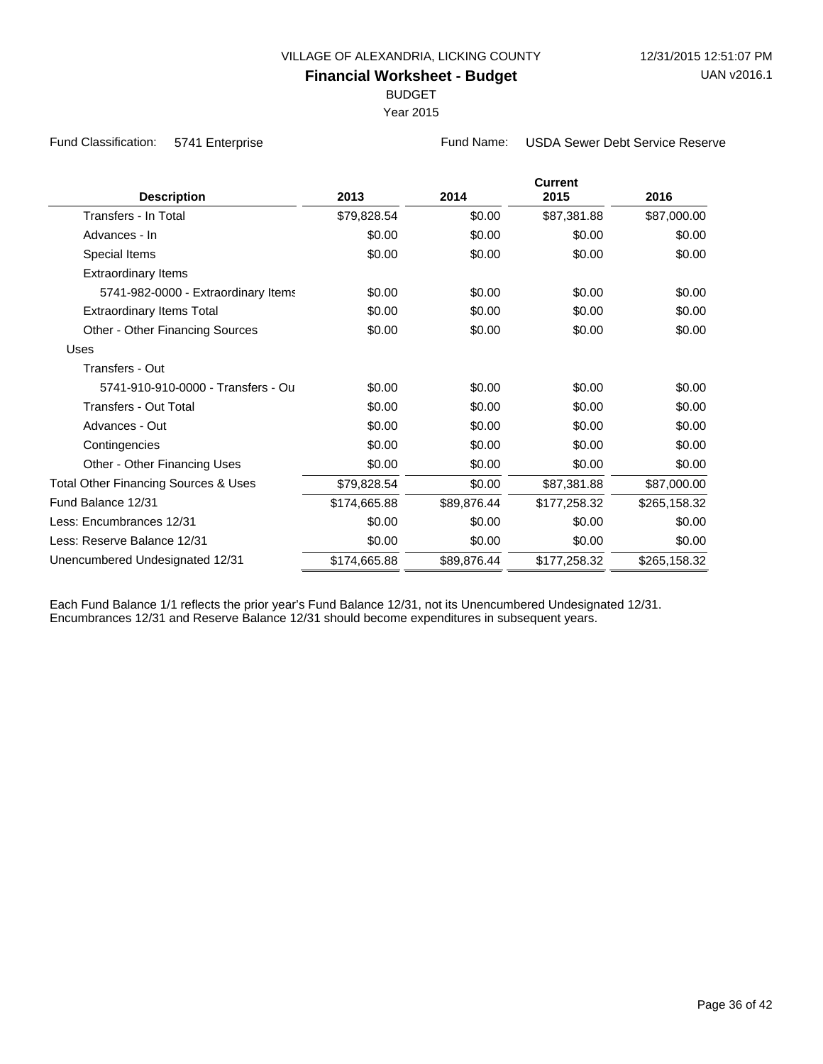BUDGET

Year 2015

Fund Classification: 5741 Enterprise **Fund Name:** USDA Sewer Debt Service Reserve

|              |                     | <b>Current</b> | 2016                |
|--------------|---------------------|----------------|---------------------|
|              | \$0.00              |                | \$87,000.00         |
| \$0.00       | \$0.00              | \$0.00         | \$0.00              |
| \$0.00       | \$0.00              | \$0.00         | \$0.00              |
|              |                     |                |                     |
| \$0.00       | \$0.00              | \$0.00         | \$0.00              |
| \$0.00       | \$0.00              | \$0.00         | \$0.00              |
| \$0.00       | \$0.00              | \$0.00         | \$0.00              |
|              |                     |                |                     |
|              |                     |                |                     |
| \$0.00       | \$0.00              | \$0.00         | \$0.00              |
| \$0.00       | \$0.00              | \$0.00         | \$0.00              |
| \$0.00       | \$0.00              | \$0.00         | \$0.00              |
| \$0.00       | \$0.00              | \$0.00         | \$0.00              |
| \$0.00       | \$0.00              | \$0.00         | \$0.00              |
| \$79,828.54  | \$0.00              | \$87,381.88    | \$87,000.00         |
| \$174,665.88 | \$89,876.44         | \$177,258.32   | \$265,158.32        |
| \$0.00       | \$0.00              | \$0.00         | \$0.00              |
| \$0.00       | \$0.00              | \$0.00         | \$0.00              |
| \$174,665.88 | \$89,876.44         | \$177,258.32   | \$265,158.32        |
|              | 2013<br>\$79,828.54 | 2014           | 2015<br>\$87,381.88 |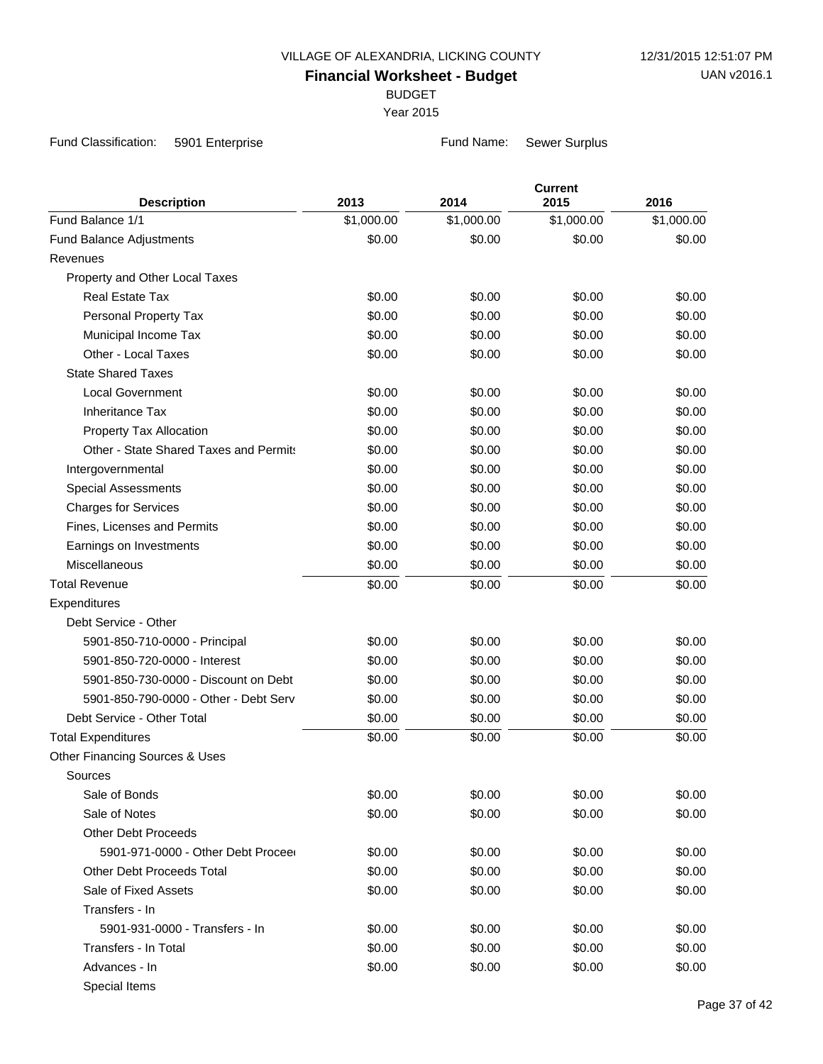BUDGET

Year 2015

Fund Classification: 5901 Enterprise Fund Name: Sewer Surplus

| <b>Description</b>                     | 2013       | 2014       | <b>Current</b><br>2015 | 2016       |
|----------------------------------------|------------|------------|------------------------|------------|
| Fund Balance 1/1                       | \$1,000.00 | \$1,000.00 | \$1,000.00             | \$1,000.00 |
| Fund Balance Adjustments               | \$0.00     | \$0.00     | \$0.00                 | \$0.00     |
| Revenues                               |            |            |                        |            |
| Property and Other Local Taxes         |            |            |                        |            |
| <b>Real Estate Tax</b>                 | \$0.00     | \$0.00     | \$0.00                 | \$0.00     |
| Personal Property Tax                  | \$0.00     | \$0.00     | \$0.00                 | \$0.00     |
| Municipal Income Tax                   | \$0.00     | \$0.00     | \$0.00                 | \$0.00     |
| Other - Local Taxes                    | \$0.00     | \$0.00     | \$0.00                 | \$0.00     |
| <b>State Shared Taxes</b>              |            |            |                        |            |
| <b>Local Government</b>                | \$0.00     | \$0.00     | \$0.00                 | \$0.00     |
| <b>Inheritance Tax</b>                 | \$0.00     | \$0.00     | \$0.00                 | \$0.00     |
| Property Tax Allocation                | \$0.00     | \$0.00     | \$0.00                 | \$0.00     |
| Other - State Shared Taxes and Permits | \$0.00     | \$0.00     | \$0.00                 | \$0.00     |
| Intergovernmental                      | \$0.00     | \$0.00     | \$0.00                 | \$0.00     |
| <b>Special Assessments</b>             | \$0.00     | \$0.00     | \$0.00                 | \$0.00     |
| <b>Charges for Services</b>            | \$0.00     | \$0.00     | \$0.00                 | \$0.00     |
| Fines, Licenses and Permits            | \$0.00     | \$0.00     | \$0.00                 | \$0.00     |
| Earnings on Investments                | \$0.00     | \$0.00     | \$0.00                 | \$0.00     |
| Miscellaneous                          | \$0.00     | \$0.00     | \$0.00                 | \$0.00     |
| <b>Total Revenue</b>                   | \$0.00     | \$0.00     | \$0.00                 | \$0.00     |
| Expenditures                           |            |            |                        |            |
| Debt Service - Other                   |            |            |                        |            |
| 5901-850-710-0000 - Principal          | \$0.00     | \$0.00     | \$0.00                 | \$0.00     |
| 5901-850-720-0000 - Interest           | \$0.00     | \$0.00     | \$0.00                 | \$0.00     |
| 5901-850-730-0000 - Discount on Debt   | \$0.00     | \$0.00     | \$0.00                 | \$0.00     |
| 5901-850-790-0000 - Other - Debt Serv  | \$0.00     | \$0.00     | \$0.00                 | \$0.00     |
| Debt Service - Other Total             | \$0.00     | \$0.00     | \$0.00                 | \$0.00     |
| <b>Total Expenditures</b>              | \$0.00     | \$0.00     | \$0.00                 | \$0.00     |
| Other Financing Sources & Uses         |            |            |                        |            |
| Sources                                |            |            |                        |            |
| Sale of Bonds                          | \$0.00     | \$0.00     | \$0.00                 | \$0.00     |
| Sale of Notes                          | \$0.00     | \$0.00     | \$0.00                 | \$0.00     |
| <b>Other Debt Proceeds</b>             |            |            |                        |            |
| 5901-971-0000 - Other Debt Procee      | \$0.00     | \$0.00     | \$0.00                 | \$0.00     |
| <b>Other Debt Proceeds Total</b>       | \$0.00     | \$0.00     | \$0.00                 | \$0.00     |
| Sale of Fixed Assets                   | \$0.00     | \$0.00     | \$0.00                 | \$0.00     |
| Transfers - In                         |            |            |                        |            |
| 5901-931-0000 - Transfers - In         | \$0.00     | \$0.00     | \$0.00                 | \$0.00     |
| Transfers - In Total                   | \$0.00     | \$0.00     | \$0.00                 | \$0.00     |
| Advances - In                          | \$0.00     | \$0.00     | \$0.00                 | \$0.00     |
| Special Items                          |            |            |                        |            |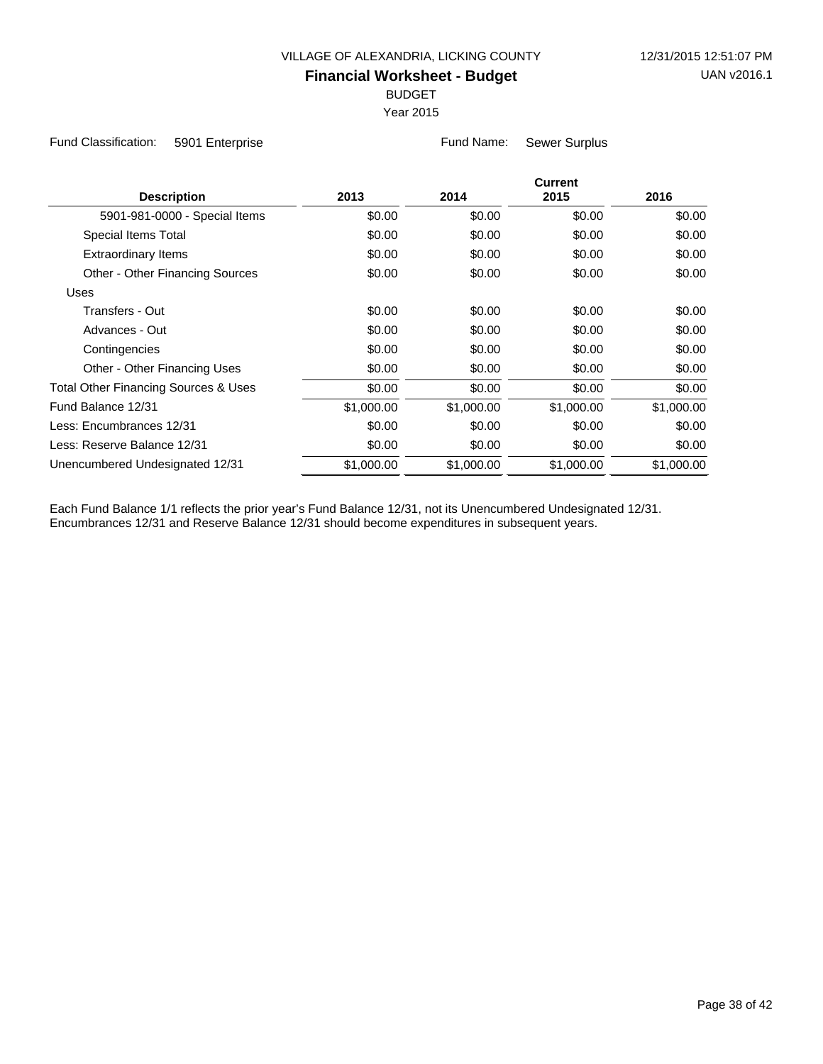BUDGET

Year 2015

Fund Classification: 5901 Enterprise Fund Name: Sewer Surplus

| <b>Description</b>                              | 2013       | 2014       | <b>Current</b><br>2015 | 2016       |
|-------------------------------------------------|------------|------------|------------------------|------------|
| 5901-981-0000 - Special Items                   | \$0.00     | \$0.00     | \$0.00                 | \$0.00     |
| Special Items Total                             | \$0.00     | \$0.00     | \$0.00                 | \$0.00     |
| <b>Extraordinary Items</b>                      | \$0.00     | \$0.00     | \$0.00                 | \$0.00     |
| Other - Other Financing Sources                 | \$0.00     | \$0.00     | \$0.00                 | \$0.00     |
| Uses                                            |            |            |                        |            |
| Transfers - Out                                 | \$0.00     | \$0.00     | \$0.00                 | \$0.00     |
| Advances - Out                                  | \$0.00     | \$0.00     | \$0.00                 | \$0.00     |
| Contingencies                                   | \$0.00     | \$0.00     | \$0.00                 | \$0.00     |
| Other - Other Financing Uses                    | \$0.00     | \$0.00     | \$0.00                 | \$0.00     |
| <b>Total Other Financing Sources &amp; Uses</b> | \$0.00     | \$0.00     | \$0.00                 | \$0.00     |
| Fund Balance 12/31                              | \$1,000.00 | \$1,000.00 | \$1,000.00             | \$1,000.00 |
| Less: Encumbrances 12/31                        | \$0.00     | \$0.00     | \$0.00                 | \$0.00     |
| Less: Reserve Balance 12/31                     | \$0.00     | \$0.00     | \$0.00                 | \$0.00     |
| Unencumbered Undesignated 12/31                 | \$1,000.00 | \$1,000.00 | \$1,000.00             | \$1,000.00 |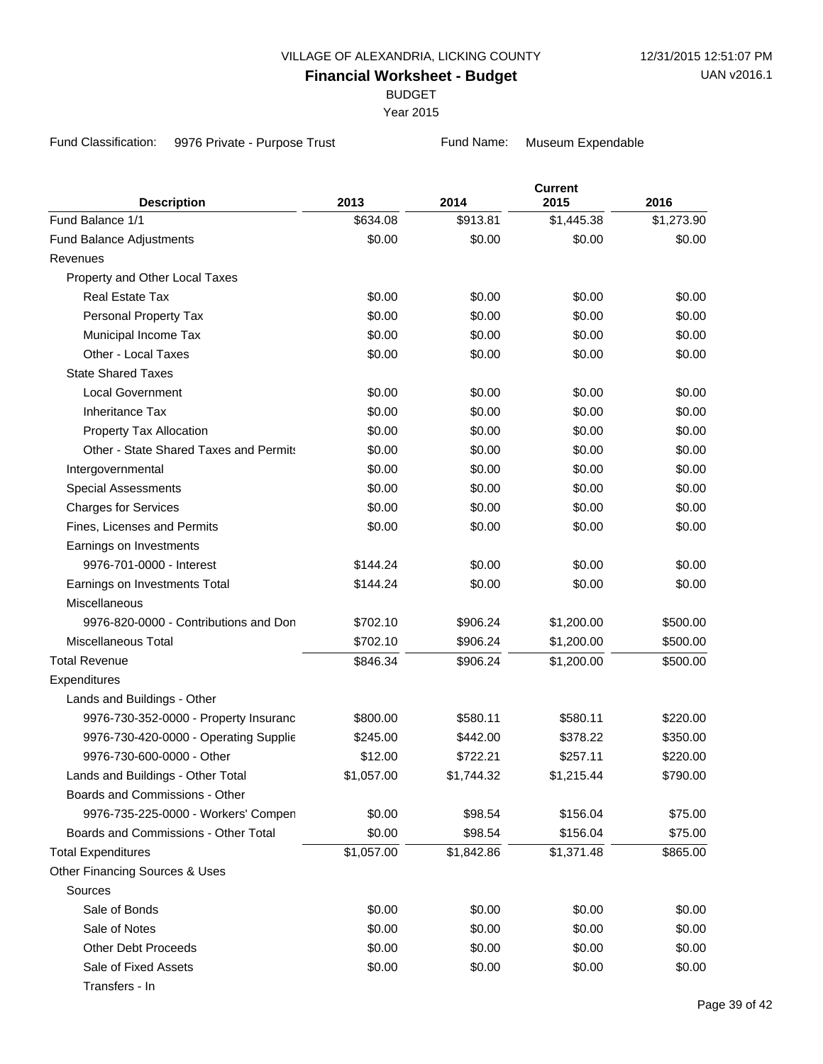BUDGET

Year 2015

Fund Classification: 9976 Private - Purpose Trust Fund Name: Museum Expendable

| <b>Description</b>                     | 2013       | 2014       | <b>Current</b><br>2015 | 2016       |
|----------------------------------------|------------|------------|------------------------|------------|
| Fund Balance 1/1                       | \$634.08   | \$913.81   | \$1,445.38             | \$1,273.90 |
| <b>Fund Balance Adjustments</b>        | \$0.00     | \$0.00     | \$0.00                 | \$0.00     |
| Revenues                               |            |            |                        |            |
| Property and Other Local Taxes         |            |            |                        |            |
| <b>Real Estate Tax</b>                 | \$0.00     | \$0.00     | \$0.00                 | \$0.00     |
| Personal Property Tax                  | \$0.00     | \$0.00     | \$0.00                 | \$0.00     |
| Municipal Income Tax                   | \$0.00     | \$0.00     | \$0.00                 | \$0.00     |
| Other - Local Taxes                    | \$0.00     | \$0.00     | \$0.00                 | \$0.00     |
| <b>State Shared Taxes</b>              |            |            |                        |            |
| <b>Local Government</b>                | \$0.00     | \$0.00     | \$0.00                 | \$0.00     |
| <b>Inheritance Tax</b>                 | \$0.00     | \$0.00     | \$0.00                 | \$0.00     |
| Property Tax Allocation                | \$0.00     | \$0.00     | \$0.00                 | \$0.00     |
| Other - State Shared Taxes and Permits | \$0.00     | \$0.00     | \$0.00                 | \$0.00     |
| Intergovernmental                      | \$0.00     | \$0.00     | \$0.00                 | \$0.00     |
| <b>Special Assessments</b>             | \$0.00     | \$0.00     | \$0.00                 | \$0.00     |
| <b>Charges for Services</b>            | \$0.00     | \$0.00     | \$0.00                 | \$0.00     |
| Fines, Licenses and Permits            | \$0.00     | \$0.00     | \$0.00                 | \$0.00     |
| Earnings on Investments                |            |            |                        |            |
| 9976-701-0000 - Interest               | \$144.24   | \$0.00     | \$0.00                 | \$0.00     |
| Earnings on Investments Total          | \$144.24   | \$0.00     | \$0.00                 | \$0.00     |
| <b>Miscellaneous</b>                   |            |            |                        |            |
| 9976-820-0000 - Contributions and Don  | \$702.10   | \$906.24   | \$1,200.00             | \$500.00   |
| <b>Miscellaneous Total</b>             | \$702.10   | \$906.24   | \$1,200.00             | \$500.00   |
| <b>Total Revenue</b>                   | \$846.34   | \$906.24   | \$1,200.00             | \$500.00   |
| Expenditures                           |            |            |                        |            |
| Lands and Buildings - Other            |            |            |                        |            |
| 9976-730-352-0000 - Property Insuranc  | \$800.00   | \$580.11   | \$580.11               | \$220.00   |
| 9976-730-420-0000 - Operating Supplie  | \$245.00   | \$442.00   | \$378.22               | \$350.00   |
| 9976-730-600-0000 - Other              | \$12.00    | \$722.21   | \$257.11               | \$220.00   |
| Lands and Buildings - Other Total      | \$1,057.00 | \$1,744.32 | \$1,215.44             | \$790.00   |
| Boards and Commissions - Other         |            |            |                        |            |
| 9976-735-225-0000 - Workers' Compen    | \$0.00     | \$98.54    | \$156.04               | \$75.00    |
| Boards and Commissions - Other Total   | \$0.00     | \$98.54    | \$156.04               | \$75.00    |
| <b>Total Expenditures</b>              | \$1,057.00 | \$1,842.86 | \$1,371.48             | \$865.00   |
| Other Financing Sources & Uses         |            |            |                        |            |
| Sources                                |            |            |                        |            |
| Sale of Bonds                          | \$0.00     | \$0.00     | \$0.00                 | \$0.00     |
| Sale of Notes                          | \$0.00     | \$0.00     | \$0.00                 | \$0.00     |
| <b>Other Debt Proceeds</b>             | \$0.00     | \$0.00     | \$0.00                 | \$0.00     |
| Sale of Fixed Assets                   | \$0.00     | \$0.00     | \$0.00                 | \$0.00     |
|                                        |            |            |                        |            |

Transfers - In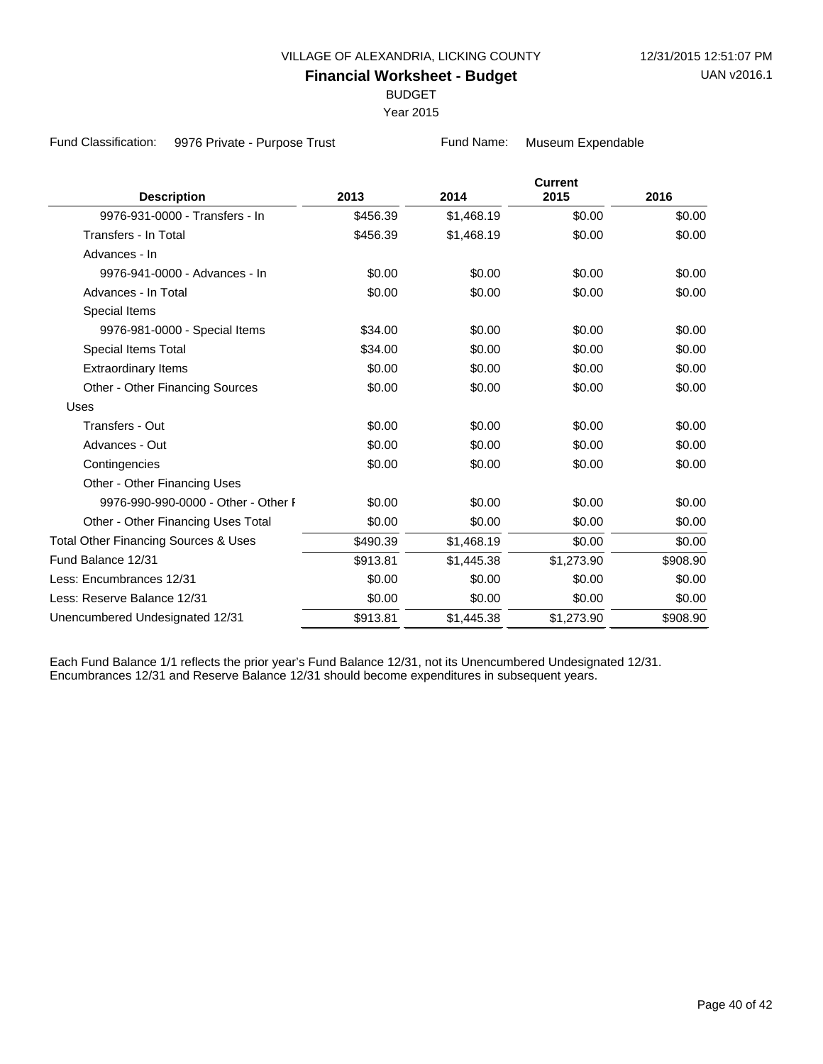BUDGET

Year 2015

Fund Classification: 9976 Private - Purpose Trust Fund Name: Museum Expendable

|          |            |            | 2016                   |
|----------|------------|------------|------------------------|
| \$456.39 | \$1,468.19 | \$0.00     | \$0.00                 |
| \$456.39 | \$1,468.19 | \$0.00     | \$0.00                 |
|          |            |            |                        |
| \$0.00   | \$0.00     | \$0.00     | \$0.00                 |
| \$0.00   | \$0.00     | \$0.00     | \$0.00                 |
|          |            |            |                        |
| \$34.00  | \$0.00     | \$0.00     | \$0.00                 |
| \$34.00  | \$0.00     | \$0.00     | \$0.00                 |
| \$0.00   | \$0.00     | \$0.00     | \$0.00                 |
| \$0.00   | \$0.00     | \$0.00     | \$0.00                 |
|          |            |            |                        |
| \$0.00   | \$0.00     | \$0.00     | \$0.00                 |
| \$0.00   | \$0.00     | \$0.00     | \$0.00                 |
| \$0.00   | \$0.00     | \$0.00     | \$0.00                 |
|          |            |            |                        |
| \$0.00   | \$0.00     | \$0.00     | \$0.00                 |
| \$0.00   | \$0.00     | \$0.00     | \$0.00                 |
| \$490.39 | \$1,468.19 | \$0.00     | \$0.00                 |
| \$913.81 | \$1,445.38 | \$1,273.90 | \$908.90               |
| \$0.00   | \$0.00     | \$0.00     | \$0.00                 |
| \$0.00   | \$0.00     | \$0.00     | \$0.00                 |
| \$913.81 | \$1,445.38 | \$1,273.90 | \$908.90               |
|          | 2013       | 2014       | <b>Current</b><br>2015 |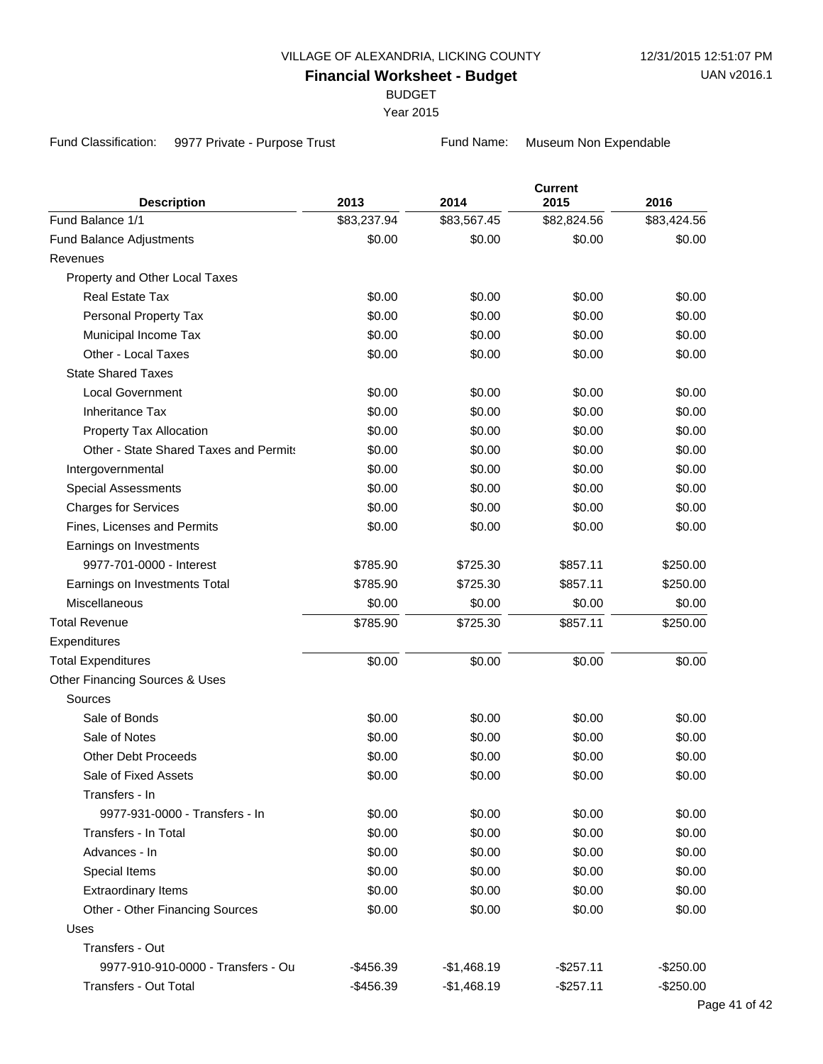BUDGET

Year 2015

Fund Classification: 9977 Private - Purpose Trust Fund Name: Museum Non Expendable

| <b>Description</b>                     | 2013        | 2014         | <b>Current</b><br>2015 | 2016        |
|----------------------------------------|-------------|--------------|------------------------|-------------|
| Fund Balance 1/1                       | \$83,237.94 | \$83,567.45  | \$82,824.56            | \$83,424.56 |
| <b>Fund Balance Adjustments</b>        | \$0.00      | \$0.00       | \$0.00                 | \$0.00      |
| Revenues                               |             |              |                        |             |
| Property and Other Local Taxes         |             |              |                        |             |
| <b>Real Estate Tax</b>                 | \$0.00      | \$0.00       | \$0.00                 | \$0.00      |
| Personal Property Tax                  | \$0.00      | \$0.00       | \$0.00                 | \$0.00      |
| Municipal Income Tax                   | \$0.00      | \$0.00       | \$0.00                 | \$0.00      |
| Other - Local Taxes                    | \$0.00      | \$0.00       | \$0.00                 | \$0.00      |
| <b>State Shared Taxes</b>              |             |              |                        |             |
| Local Government                       | \$0.00      | \$0.00       | \$0.00                 | \$0.00      |
| <b>Inheritance Tax</b>                 | \$0.00      | \$0.00       | \$0.00                 | \$0.00      |
| Property Tax Allocation                | \$0.00      | \$0.00       | \$0.00                 | \$0.00      |
| Other - State Shared Taxes and Permits | \$0.00      | \$0.00       | \$0.00                 | \$0.00      |
| Intergovernmental                      | \$0.00      | \$0.00       | \$0.00                 | \$0.00      |
| <b>Special Assessments</b>             | \$0.00      | \$0.00       | \$0.00                 | \$0.00      |
| <b>Charges for Services</b>            | \$0.00      | \$0.00       | \$0.00                 | \$0.00      |
| Fines, Licenses and Permits            | \$0.00      | \$0.00       | \$0.00                 | \$0.00      |
| Earnings on Investments                |             |              |                        |             |
| 9977-701-0000 - Interest               | \$785.90    | \$725.30     | \$857.11               | \$250.00    |
| Earnings on Investments Total          | \$785.90    | \$725.30     | \$857.11               | \$250.00    |
| Miscellaneous                          | \$0.00      | \$0.00       | \$0.00                 | \$0.00      |
| <b>Total Revenue</b>                   | \$785.90    | \$725.30     | \$857.11               | \$250.00    |
| Expenditures                           |             |              |                        |             |
| <b>Total Expenditures</b>              | \$0.00      | \$0.00       | \$0.00                 | \$0.00      |
| Other Financing Sources & Uses         |             |              |                        |             |
| Sources                                |             |              |                        |             |
| Sale of Bonds                          | \$0.00      | \$0.00       | \$0.00                 | \$0.00      |
| Sale of Notes                          | \$0.00      | \$0.00       | \$0.00                 | \$0.00      |
| <b>Other Debt Proceeds</b>             | \$0.00      | \$0.00       | \$0.00                 | \$0.00      |
| Sale of Fixed Assets                   | \$0.00      | \$0.00       | \$0.00                 | \$0.00      |
| Transfers - In                         |             |              |                        |             |
| 9977-931-0000 - Transfers - In         | \$0.00      | \$0.00       | \$0.00                 | \$0.00      |
| Transfers - In Total                   | \$0.00      | \$0.00       | \$0.00                 | \$0.00      |
| Advances - In                          | \$0.00      | \$0.00       | \$0.00                 | \$0.00      |
| Special Items                          | \$0.00      | \$0.00       | \$0.00                 | \$0.00      |
| <b>Extraordinary Items</b>             | \$0.00      | \$0.00       | \$0.00                 | \$0.00      |
| Other - Other Financing Sources        | \$0.00      | \$0.00       | \$0.00                 | \$0.00      |
| Uses                                   |             |              |                        |             |
| Transfers - Out                        |             |              |                        |             |
| 9977-910-910-0000 - Transfers - Ou     | -\$456.39   | $-$1,468.19$ | $-$257.11$             | $-$250.00$  |
| <b>Transfers - Out Total</b>           | $-$456.39$  | $-$1,468.19$ | $-$257.11$             | $-$250.00$  |